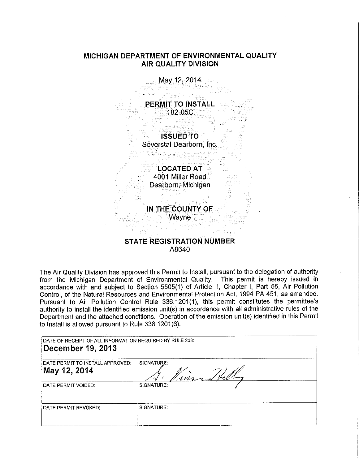# **MICHIGAN DEPARTMENT OF ENVIRONMENTAL QUALITY AIR QUALITY DIVISION**



# **STATE REGISTRATION NUMBER**  A8640

The Air Quality Division has approved this Permit to Install, pursuant to the delegation of authority from the Michigan Department of Environmental Quality. This permit is hereby issued in accordance with and subject to Section 5505(1) of Article II, Chapter I, Part 55, Air Pollution Control, of the Natural Resources and Environmental Protection Act, 1994 PA 451, as amended. Pursuant to Air Pollution Control Rule 336.1201(1), this permit constitutes the permittee's authority to install the identified emission unit(s) in accordance with all administrative rules of the Department and the attached conditions. Operation of the emission unit(s) identified in this Permit to Install is allowed pursuant to Rule 336.1201(6).

| DATE OF RECEIPT OF ALL INFORMATION REQUIRED BY RULE 203:<br>December 19, 2013 |                  |
|-------------------------------------------------------------------------------|------------------|
| IDATE PERMIT TO INSTALL APPROVED:<br>May 12, 2014                             | SIGNATURE:<br>ms |
| IDATE PERMIT VOIDED.                                                          | SIGNATURE:       |
| <b>IDATE PERMIT REVOKED:</b>                                                  | SIGNATURE:       |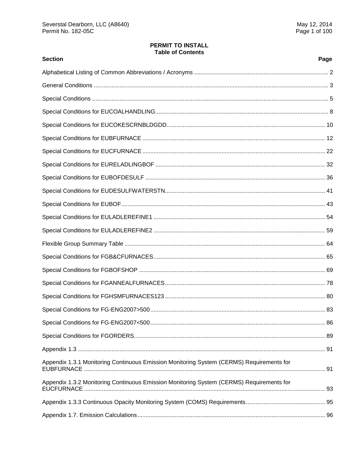# **PERMIT TO INSTALL Table of Contents**

| <b>Section</b>                                                                           | Page |
|------------------------------------------------------------------------------------------|------|
|                                                                                          |      |
|                                                                                          |      |
|                                                                                          |      |
|                                                                                          |      |
|                                                                                          |      |
|                                                                                          |      |
|                                                                                          |      |
|                                                                                          |      |
|                                                                                          |      |
|                                                                                          |      |
|                                                                                          |      |
|                                                                                          |      |
|                                                                                          |      |
|                                                                                          |      |
|                                                                                          |      |
|                                                                                          |      |
|                                                                                          |      |
|                                                                                          |      |
|                                                                                          |      |
|                                                                                          |      |
|                                                                                          |      |
|                                                                                          |      |
| Appendix 1.3.1 Monitoring Continuous Emission Monitoring System (CERMS) Requirements for |      |
| Appendix 1.3.2 Monitoring Continuous Emission Monitoring System (CERMS) Requirements for |      |
|                                                                                          |      |
|                                                                                          |      |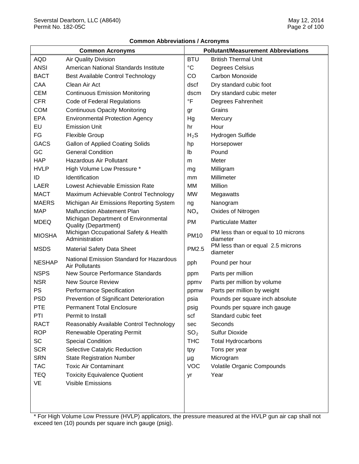|  | <b>Common Abbreviations / Acronyms</b> |  |
|--|----------------------------------------|--|
|--|----------------------------------------|--|

| <b>Common Acronyms</b> |                                                                     |                 | <b>Pollutant/Measurement Abbreviations</b>      |
|------------------------|---------------------------------------------------------------------|-----------------|-------------------------------------------------|
| <b>AQD</b>             | Air Quality Division                                                | <b>BTU</b>      | <b>British Thermal Unit</b>                     |
| <b>ANSI</b>            | American National Standards Institute                               | $\rm ^{\circ}C$ | Degrees Celsius                                 |
| <b>BACT</b>            | Best Available Control Technology                                   | CO              | Carbon Monoxide                                 |
| CAA                    | Clean Air Act                                                       | dscf            | Dry standard cubic foot                         |
| <b>CEM</b>             | <b>Continuous Emission Monitoring</b>                               | dscm            | Dry standard cubic meter                        |
| <b>CFR</b>             | Code of Federal Regulations                                         | $\circ$ F       | Degrees Fahrenheit                              |
| <b>COM</b>             | <b>Continuous Opacity Monitoring</b>                                | gr              | Grains                                          |
| <b>EPA</b>             | <b>Environmental Protection Agency</b>                              | Hg              | Mercury                                         |
| EU                     | <b>Emission Unit</b>                                                | hr              | Hour                                            |
| FG                     | <b>Flexible Group</b>                                               | $H_2S$          | Hydrogen Sulfide                                |
| <b>GACS</b>            | <b>Gallon of Applied Coating Solids</b>                             | hp              | Horsepower                                      |
| GC                     | <b>General Condition</b>                                            | lb              | Pound                                           |
| <b>HAP</b>             | Hazardous Air Pollutant                                             | m               | Meter                                           |
| <b>HVLP</b>            | High Volume Low Pressure *                                          | mg              | Milligram                                       |
| ID                     | Identification                                                      | mm              | Millimeter                                      |
| LAER                   | Lowest Achievable Emission Rate                                     | МM              | Million                                         |
| <b>MACT</b>            | Maximum Achievable Control Technology                               | <b>MW</b>       | Megawatts                                       |
| <b>MAERS</b>           | Michigan Air Emissions Reporting System                             | ng              | Nanogram                                        |
| <b>MAP</b>             | <b>Malfunction Abatement Plan</b>                                   | $NO_{x}$        | Oxides of Nitrogen                              |
| <b>MDEQ</b>            | Michigan Department of Environmental<br><b>Quality (Department)</b> | <b>PM</b>       | <b>Particulate Matter</b>                       |
| <b>MIOSHA</b>          | Michigan Occupational Safety & Health<br>Administration             | <b>PM10</b>     | PM less than or equal to 10 microns<br>diameter |
| <b>MSDS</b>            | <b>Material Safety Data Sheet</b>                                   | PM2.5           | PM less than or equal 2.5 microns<br>diameter   |
| <b>NESHAP</b>          | National Emission Standard for Hazardous<br><b>Air Pollutants</b>   | pph             | Pound per hour                                  |
| <b>NSPS</b>            | <b>New Source Performance Standards</b>                             | ppm             | Parts per million                               |
| <b>NSR</b>             | <b>New Source Review</b>                                            | ppmv            | Parts per million by volume                     |
| PS                     | Performance Specification                                           | ppmw            | Parts per million by weight                     |
| <b>PSD</b>             | Prevention of Significant Deterioration                             | psia            | Pounds per square inch absolute                 |
| <b>PTE</b>             | <b>Permanent Total Enclosure</b>                                    | psig            | Pounds per square inch gauge                    |
| PTI                    | Permit to Install                                                   | scf             | Standard cubic feet                             |
| RACT                   | Reasonably Available Control Technology                             | sec             | Seconds                                         |
| <b>ROP</b>             | <b>Renewable Operating Permit</b>                                   | SO <sub>2</sub> | <b>Sulfur Dioxide</b>                           |
| <b>SC</b>              | <b>Special Condition</b>                                            | <b>THC</b>      | <b>Total Hydrocarbons</b>                       |
| <b>SCR</b>             | Selective Catalytic Reduction                                       | tpy             | Tons per year                                   |
| <b>SRN</b>             | <b>State Registration Number</b>                                    | μg              | Microgram                                       |
| <b>TAC</b>             | <b>Toxic Air Contaminant</b>                                        | <b>VOC</b>      | Volatile Organic Compounds                      |
| <b>TEQ</b>             | <b>Toxicity Equivalence Quotient</b>                                | yr              | Year                                            |
| VE                     | Visible Emissions                                                   |                 |                                                 |
|                        |                                                                     |                 |                                                 |

\* For High Volume Low Pressure (HVLP) applicators, the pressure measured at the HVLP gun air cap shall not exceed ten (10) pounds per square inch gauge (psig).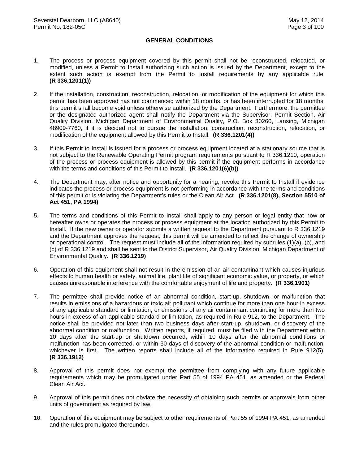## **GENERAL CONDITIONS**

- 1. The process or process equipment covered by this permit shall not be reconstructed, relocated, or modified, unless a Permit to Install authorizing such action is issued by the Department, except to the extent such action is exempt from the Permit to Install requirements by any applicable rule. **(R 336.1201(1))**
- 2. If the installation, construction, reconstruction, relocation, or modification of the equipment for which this permit has been approved has not commenced within 18 months, or has been interrupted for 18 months, this permit shall become void unless otherwise authorized by the Department. Furthermore, the permittee or the designated authorized agent shall notify the Department via the Supervisor, Permit Section, Air Quality Division, Michigan Department of Environmental Quality, P.O. Box 30260, Lansing, Michigan 48909-7760, if it is decided not to pursue the installation, construction, reconstruction, relocation, or modification of the equipment allowed by this Permit to Install. **(R 336.1201(4))**
- 3. If this Permit to Install is issued for a process or process equipment located at a stationary source that is not subject to the Renewable Operating Permit program requirements pursuant to R 336.1210, operation of the process or process equipment is allowed by this permit if the equipment performs in accordance with the terms and conditions of this Permit to Install. **(R 336.1201(6)(b))**
- 4. The Department may, after notice and opportunity for a hearing, revoke this Permit to Install if evidence indicates the process or process equipment is not performing in accordance with the terms and conditions of this permit or is violating the Department's rules or the Clean Air Act. **(R 336.1201(8), Section 5510 of Act 451, PA 1994)**
- 5. The terms and conditions of this Permit to Install shall apply to any person or legal entity that now or hereafter owns or operates the process or process equipment at the location authorized by this Permit to Install. If the new owner or operator submits a written request to the Department pursuant to R 336.1219 and the Department approves the request, this permit will be amended to reflect the change of ownership or operational control. The request must include all of the information required by subrules (1)(a), (b), and (c) of R 336.1219 and shall be sent to the District Supervisor, Air Quality Division, Michigan Department of Environmental Quality. **(R 336.1219)**
- 6. Operation of this equipment shall not result in the emission of an air contaminant which causes injurious effects to human health or safety, animal life, plant life of significant economic value, or property, or which causes unreasonable interference with the comfortable enjoyment of life and property. **(R 336.1901)**
- 7. The permittee shall provide notice of an abnormal condition, start-up, shutdown, or malfunction that results in emissions of a hazardous or toxic air pollutant which continue for more than one hour in excess of any applicable standard or limitation, or emissions of any air contaminant continuing for more than two hours in excess of an applicable standard or limitation, as required in Rule 912, to the Department. The notice shall be provided not later than two business days after start-up, shutdown, or discovery of the abnormal condition or malfunction. Written reports, if required, must be filed with the Department within 10 days after the start-up or shutdown occurred, within 10 days after the abnormal conditions or malfunction has been corrected, or within 30 days of discovery of the abnormal condition or malfunction, whichever is first. The written reports shall include all of the information required in Rule 912(5). **(R 336.1912)**
- 8. Approval of this permit does not exempt the permittee from complying with any future applicable requirements which may be promulgated under Part 55 of 1994 PA 451, as amended or the Federal Clean Air Act.
- 9. Approval of this permit does not obviate the necessity of obtaining such permits or approvals from other units of government as required by law.
- 10. Operation of this equipment may be subject to other requirements of Part 55 of 1994 PA 451, as amended and the rules promulgated thereunder.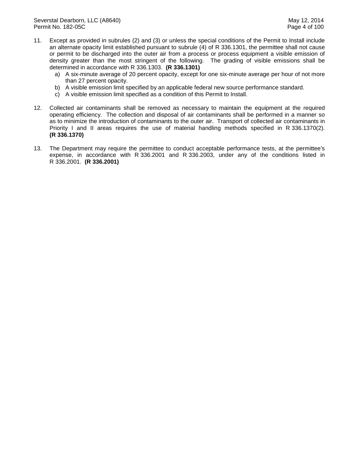- 11. Except as provided in subrules (2) and (3) or unless the special conditions of the Permit to Install include an alternate opacity limit established pursuant to subrule (4) of R 336.1301, the permittee shall not cause or permit to be discharged into the outer air from a process or process equipment a visible emission of density greater than the most stringent of the following. The grading of visible emissions shall be determined in accordance with R 336.1303. **(R 336.1301)** 
	- a) A six-minute average of 20 percent opacity, except for one six-minute average per hour of not more than 27 percent opacity.
	- b) A visible emission limit specified by an applicable federal new source performance standard.
	- c) A visible emission limit specified as a condition of this Permit to Install.
- 12. Collected air contaminants shall be removed as necessary to maintain the equipment at the required operating efficiency. The collection and disposal of air contaminants shall be performed in a manner so as to minimize the introduction of contaminants to the outer air. Transport of collected air contaminants in Priority I and II areas requires the use of material handling methods specified in R 336.1370(2). **(R 336.1370)**
- 13. The Department may require the permittee to conduct acceptable performance tests, at the permittee's expense, in accordance with R 336.2001 and R 336.2003, under any of the conditions listed in R 336.2001. **(R 336.2001)**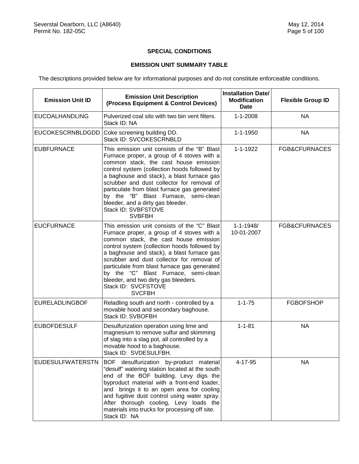## **SPECIAL CONDITIONS**

## **EMISSION UNIT SUMMARY TABLE**

The descriptions provided below are for informational purposes and do not constitute enforceable conditions.

| <b>Emission Unit ID</b> | <b>Emission Unit Description</b><br>(Process Equipment & Control Devices)                                                                                                                                                                                                                                                                                                                                                                               | <b>Installation Date/</b><br><b>Modification</b><br><b>Date</b> | <b>Flexible Group ID</b> |
|-------------------------|---------------------------------------------------------------------------------------------------------------------------------------------------------------------------------------------------------------------------------------------------------------------------------------------------------------------------------------------------------------------------------------------------------------------------------------------------------|-----------------------------------------------------------------|--------------------------|
| <b>EUCOALHANDLING</b>   | Pulverized coal silo with two bin vent filters.<br>Stack ID: NA                                                                                                                                                                                                                                                                                                                                                                                         | $1 - 1 - 2008$                                                  | <b>NA</b>                |
| <b>EUCOKESCRNBLDGDD</b> | Coke screening building DD.<br>Stack ID: SVCOKESCRNBLD                                                                                                                                                                                                                                                                                                                                                                                                  | $1 - 1 - 1950$                                                  | <b>NA</b>                |
| <b>EUBFURNACE</b>       | This emission unit consists of the "B" Blast<br>Furnace proper, a group of 4 stoves with a<br>common stack, the cast house emission<br>control system (collection hoods followed by<br>a baghouse and stack), a blast furnace gas<br>scrubber and dust collector for removal of<br>particulate from blast furnace gas generated<br>by the "B" Blast Furnace, semi-clean<br>bleeder, and a dirty gas bleeder.<br>Stack ID: SVBFSTOVE<br><b>SVBFBH</b>    | $1 - 1 - 1922$                                                  | FGB&CFURNACES            |
| <b>EUCFURNACE</b>       | This emission unit consists of the "C" Blast<br>Furnace proper, a group of 4 stoves with a<br>common stack, the cast house emission<br>control system (collection hoods followed by<br>a baghouse and stack), a blast furnace gas<br>scrubber and dust collector for removal of<br>particulate from blast furnace gas generated<br>by the "C" Blast Furnace, semi-clean<br>bleeder, and two dirty gas bleeders.<br>Stack ID: SVCFSTOVE<br><b>SVCFBH</b> | $1 - 1 - 1948/$<br>10-01-2007                                   | FGB&CFURNACES            |
| <b>EURELADLINGBOF</b>   | Reladling south and north - controlled by a<br>movable hood and secondary baghouse.<br>Stack ID: SVBOFBH                                                                                                                                                                                                                                                                                                                                                | $1 - 1 - 75$                                                    | <b>FGBOFSHOP</b>         |
| <b>EUBOFDESULF</b>      | Desulfurization operation using lime and<br>magnesium to remove sulfur and skimming<br>of slag into a slag pot, all controlled by a<br>movable hood to a baghouse.<br>Stack ID: SVDESULFBH.                                                                                                                                                                                                                                                             | $1 - 1 - 81$                                                    | <b>NA</b>                |
| <b>EUDESULFWATERSTN</b> | BOF desulfurization by-product material<br>"desulf" watering station located at the south<br>end of the BOF building. Levy digs the<br>byproduct material with a front-end loader,<br>and brings it to an open area for cooling<br>and fugitive dust control using water spray.<br>After thorough cooling, Levy loads the<br>materials into trucks for processing off site.<br>Stack ID: NA                                                             | 4-17-95                                                         | <b>NA</b>                |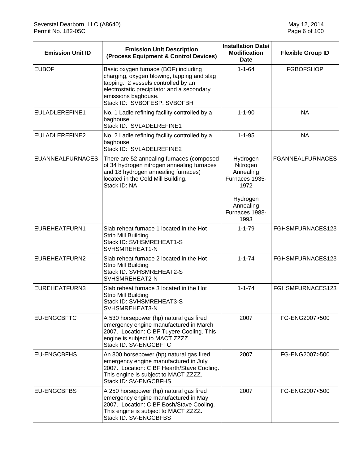| <b>Emission Unit ID</b> | <b>Emission Unit Description</b><br>(Process Equipment & Control Devices)                                                                                                                                                     | <b>Installation Date/</b><br><b>Modification</b><br><b>Date</b>                                                | <b>Flexible Group ID</b> |
|-------------------------|-------------------------------------------------------------------------------------------------------------------------------------------------------------------------------------------------------------------------------|----------------------------------------------------------------------------------------------------------------|--------------------------|
| <b>EUBOF</b>            | Basic oxygen furnace (BOF) including<br>charging, oxygen blowing, tapping and slag<br>tapping. 2 vessels controlled by an<br>electrostatic precipitator and a secondary<br>emissions baghouse.<br>Stack ID: SVBOFESP, SVBOFBH | $1 - 1 - 64$                                                                                                   | <b>FGBOFSHOP</b>         |
| EULADLEREFINE1          | No. 1 Ladle refining facility controlled by a<br>baghouse<br>Stack ID: SVLADELREFINE1                                                                                                                                         | $1 - 1 - 90$                                                                                                   | <b>NA</b>                |
| EULADLEREFINE2          | No. 2 Ladle refining facility controlled by a<br>baghouse.<br>Stack ID: SVLADELREFINE2                                                                                                                                        | $1 - 1 - 95$                                                                                                   | <b>NA</b>                |
| <b>EUANNEALFURNACES</b> | There are 52 annealing furnaces (composed<br>of 34 hydrogen nitrogen annealing furnaces<br>and 18 hydrogen annealing furnaces)<br>located in the Cold Mill Building.<br>Stack ID: NA                                          | Hydrogen<br>Nitrogen<br>Annealing<br>Furnaces 1935-<br>1972<br>Hydrogen<br>Annealing<br>Furnaces 1988-<br>1993 | <b>FGANNEALFURNACES</b>  |
| EUREHEATFURN1           | Slab reheat furnace 1 located in the Hot<br>Strip Mill Building<br>Stack ID: SVHSMREHEAT1-S<br>SVHSMREHEAT1-N                                                                                                                 | $1 - 1 - 79$                                                                                                   | FGHSMFURNACES123         |
| EUREHEATFURN2           | Slab reheat furnace 2 located in the Hot<br><b>Strip Mill Building</b><br>Stack ID: SVHSMREHEAT2-S<br>SVHSMREHEAT2-N                                                                                                          | $1 - 1 - 74$                                                                                                   | FGHSMFURNACES123         |
| EUREHEATFURN3           | Slab reheat furnace 3 located in the Hot<br>Strip Mill Building<br>Stack ID: SVHSMREHEAT3-S<br>SVHSMREHEAT3-N                                                                                                                 | $1 - 1 - 74$                                                                                                   | FGHSMFURNACES123         |
| <b>EU-ENGCBFTC</b>      | A 530 horsepower (hp) natural gas fired<br>emergency engine manufactured in March<br>2007. Location: C BF Tuyere Cooling. This<br>engine is subject to MACT ZZZZ.<br>Stack ID: SV-ENGCBFTC                                    | 2007                                                                                                           | FG-ENG2007>500           |
| <b>EU-ENGCBFHS</b>      | An 800 horsepower (hp) natural gas fired<br>emergency engine manufactured in July<br>2007. Location: C BF Hearth/Stave Cooling.<br>This engine is subject to MACT ZZZZ.<br>Stack ID: SV-ENGCBFHS                              | 2007                                                                                                           | FG-ENG2007>500           |
| <b>EU-ENGCBFBS</b>      | A 250 horsepower (hp) natural gas fired<br>emergency engine manufactured in May<br>2007. Location: C BF Bosh/Stave Cooling.<br>This engine is subject to MACT ZZZZ.<br>Stack ID: SV-ENGCBFBS                                  | 2007                                                                                                           | FG-ENG2007<500           |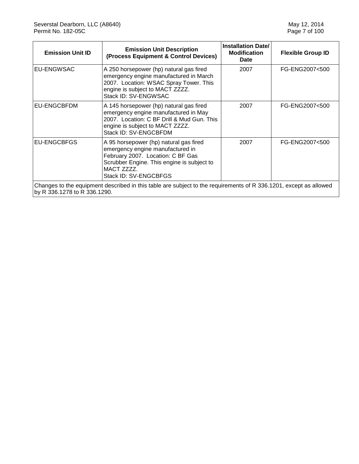| <b>Emission Unit ID</b>      | <b>Emission Unit Description</b><br>(Process Equipment & Control Devices)                                                                                                                            | <b>Installation Date/</b><br><b>Modification</b><br>Date | <b>Flexible Group ID</b> |
|------------------------------|------------------------------------------------------------------------------------------------------------------------------------------------------------------------------------------------------|----------------------------------------------------------|--------------------------|
| EU-ENGWSAC                   | A 250 horsepower (hp) natural gas fired<br>emergency engine manufactured in March<br>2007. Location: WSAC Spray Tower. This<br>engine is subject to MACT ZZZZ.<br>Stack ID: SV-ENGWSAC               | 2007                                                     | FG-ENG2007<500           |
| EU-ENGCBFDM                  | A 145 horsepower (hp) natural gas fired<br>emergency engine manufactured in May<br>2007. Location: C BF Drill & Mud Gun. This<br>engine is subject to MACT ZZZZ.<br>Stack ID: SV-ENGCBFDM            | 2007                                                     | FG-ENG2007<500           |
| EU-ENGCBFGS                  | A 95 horsepower (hp) natural gas fired<br>emergency engine manufactured in<br>February 2007. Location: C BF Gas<br>Scrubber Engine. This engine is subject to<br>MACT ZZZZ.<br>Stack ID: SV-ENGCBFGS | 2007                                                     | FG-ENG2007<500           |
| by R 336.1278 to R 336.1290. | Changes to the equipment described in this table are subject to the requirements of R 336.1201, except as allowed                                                                                    |                                                          |                          |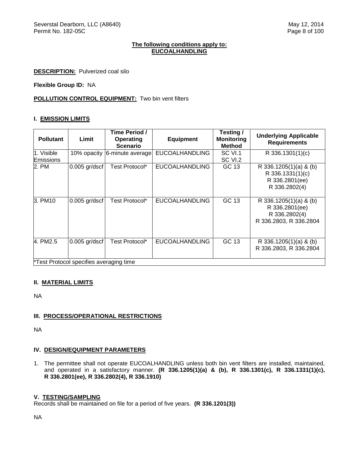#### **The following conditions apply to: EUCOALHANDLING**

**DESCRIPTION:** Pulverized coal silo

**Flexible Group ID:** NA

## **POLLUTION CONTROL EQUIPMENT:** Two bin vent filters

#### **I. EMISSION LIMITS**

| <b>Pollutant</b>        | Limit                                   | Time Period /<br><b>Operating</b><br><b>Scenario</b> | <b>Equipment</b>      | Testing /<br><b>Monitoring</b><br><b>Method</b> | <b>Underlying Applicable</b><br><b>Requirements</b>                                 |
|-------------------------|-----------------------------------------|------------------------------------------------------|-----------------------|-------------------------------------------------|-------------------------------------------------------------------------------------|
| 1. Visible<br>Emissions | 10% opacity                             | 6-minute average                                     | <b>EUCOALHANDLING</b> | SC VI.1<br>SC VI.2                              | R 336.1301(1)(c)                                                                    |
| 2. PM                   | $0.005$ gr/dscf                         | Test Protocol*                                       | <b>EUCOALHANDLING</b> | GC 13                                           | R 336.1205(1)(a) & (b)<br>R 336.1331(1)(c)<br>R 336.2801(ee)<br>R 336.2802(4)       |
| 3. PM10                 | $0.005$ gr/dscf                         | Test Protocol*                                       | <b>EUCOALHANDLING</b> | GC 13                                           | R 336.1205(1)(a) & (b)<br>R 336.2801(ee)<br>R 336.2802(4)<br>R 336.2803, R 336.2804 |
| 4. PM2.5                | $0.005$ gr/dscf                         | Test Protocol*                                       | <b>EUCOALHANDLING</b> | GC 13                                           | R 336.1205(1)(a) & (b)<br>R 336.2803, R 336.2804                                    |
|                         | *Test Protocol specifies averaging time |                                                      |                       |                                                 |                                                                                     |

#### **II. MATERIAL LIMITS**

NA

## **III. PROCESS/OPERATIONAL RESTRICTIONS**

NA

#### **IV. DESIGN/EQUIPMENT PARAMETERS**

1. The permittee shall not operate EUCOALHANDLING unless both bin vent filters are installed, maintained, and operated in a satisfactory manner. **(R 336.1205(1)(a) & (b), R 336.1301(c), R 336.1331(1)(c), R 336.2801(ee), R 336.2802(4), R 336.1910)**

#### **V. TESTING/SAMPLING**

Records shall be maintained on file for a period of five years. **(R 336.1201(3))**

NA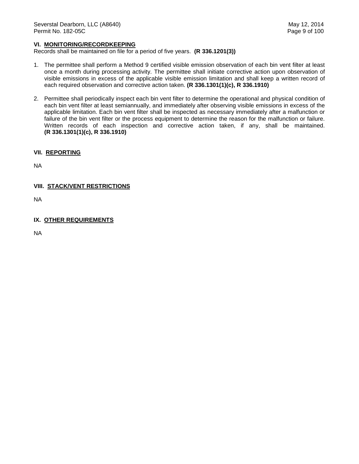#### **VI. MONITORING/RECORDKEEPING**

Records shall be maintained on file for a period of five years. **(R 336.1201(3))**

- 1. The permittee shall perform a Method 9 certified visible emission observation of each bin vent filter at least once a month during processing activity. The permittee shall initiate corrective action upon observation of visible emissions in excess of the applicable visible emission limitation and shall keep a written record of each required observation and corrective action taken. **(R 336.1301(1)(c), R 336.1910)**
- 2. Permittee shall periodically inspect each bin vent filter to determine the operational and physical condition of each bin vent filter at least semiannually, and immediately after observing visible emissions in excess of the applicable limitation. Each bin vent filter shall be inspected as necessary immediately after a malfunction or failure of the bin vent filter or the process equipment to determine the reason for the malfunction or failure. Written records of each inspection and corrective action taken, if any, shall be maintained. **(R 336.1301(1)(c), R 336.1910)**

## **VII. REPORTING**

NA

#### **VIII. STACK/VENT RESTRICTIONS**

NA

#### **IX. OTHER REQUIREMENTS**

NA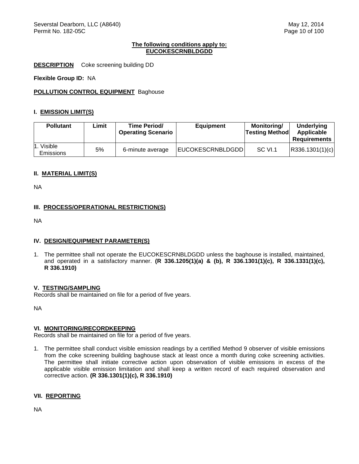#### **The following conditions apply to: EUCOKESCRNBLDGDD**

**DESCRIPTION** Coke screening building DD

**Flexible Group ID:** NA

**POLLUTION CONTROL EQUIPMENT** Baghouse

#### **I. EMISSION LIMIT(S)**

| <b>Pollutant</b>               | Limit | <b>Time Period/</b><br><b>Operating Scenario</b> | <b>Equipment</b>        | Monitoring/<br><b>Testing Method</b> | Underlying<br>Applicable<br><b>Requirements</b> |
|--------------------------------|-------|--------------------------------------------------|-------------------------|--------------------------------------|-------------------------------------------------|
| 1. Visible<br><b>Emissions</b> | 5%    | 6-minute average                                 | <b>EUCOKESCRNBLDGDD</b> | SC VI.1                              | R336.1301(1)(c)                                 |

## **II. MATERIAL LIMIT(S)**

NA

#### **III. PROCESS/OPERATIONAL RESTRICTION(S)**

NA

#### **IV. DESIGN/EQUIPMENT PARAMETER(S)**

1. The permittee shall not operate the EUCOKESCRNBLDGDD unless the baghouse is installed, maintained, and operated in a satisfactory manner. **(R 336.1205(1)(a) & (b), R 336.1301(1)(c), R 336.1331(1)(c), R 336.1910)**

#### **V. TESTING/SAMPLING**

Records shall be maintained on file for a period of five years.

NA

#### **VI. MONITORING/RECORDKEEPING**

Records shall be maintained on file for a period of five years.

1. The permittee shall conduct visible emission readings by a certified Method 9 observer of visible emissions from the coke screening building baghouse stack at least once a month during coke screening activities. The permittee shall initiate corrective action upon observation of visible emissions in excess of the applicable visible emission limitation and shall keep a written record of each required observation and corrective action. **(R 336.1301(1)(c), R 336.1910)**

#### **VII. REPORTING**

NA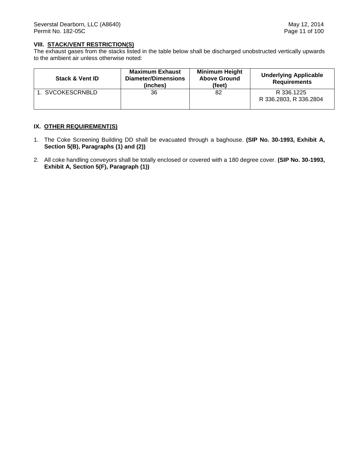### **VIII. STACK/VENT RESTRICTION(S)**

The exhaust gases from the stacks listed in the table below shall be discharged unobstructed vertically upwards to the ambient air unless otherwise noted:

| <b>Stack &amp; Vent ID</b> | <b>Maximum Exhaust</b><br><b>Diameter/Dimensions</b><br>(inches) | <b>Minimum Height</b><br><b>Above Ground</b><br>(feet) | <b>Underlying Applicable</b><br><b>Requirements</b> |
|----------------------------|------------------------------------------------------------------|--------------------------------------------------------|-----------------------------------------------------|
| 1. SVCOKESCRNBLD           | 36                                                               | 82                                                     | R 336.1225<br>R 336.2803, R 336.2804                |

## **IX. OTHER REQUIREMENT(S)**

- 1. The Coke Screening Building DD shall be evacuated through a baghouse. **(SIP No. 30-1993, Exhibit A, Section 5(B), Paragraphs (1) and (2))**
- 2. All coke handling conveyors shall be totally enclosed or covered with a 180 degree cover. **(SIP No. 30-1993, Exhibit A, Section 5(F), Paragraph (1))**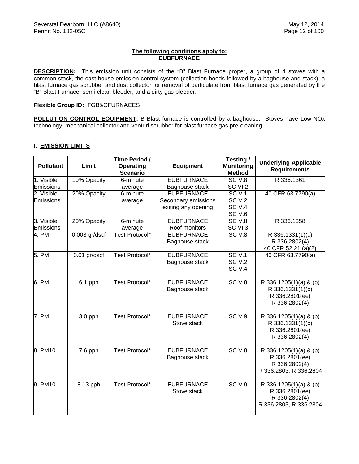## **The following conditions apply to: EUBFURNACE**

**DESCRIPTION:** This emission unit consists of the "B" Blast Furnace proper, a group of 4 stoves with a common stack, the cast house emission control system (collection hoods followed by a baghouse and stack), a blast furnace gas scrubber and dust collector for removal of particulate from blast furnace gas generated by the "B" Blast Furnace, semi-clean bleeder, and a dirty gas bleeder.

### **Flexible Group ID:** FGB&CFURNACES

**POLLUTION CONTROL EQUIPMENT:** B Blast furnace is controlled by a baghouse. Stoves have Low-NOx technology; mechanical collector and venturi scrubber for blast furnace gas pre-cleaning.

## **I. EMISSION LIMITS**

| <b>Pollutant</b>               | Limit           | Time Period /<br><b>Operating</b><br><b>Scenario</b> | <b>Equipment</b>                                                | Testing/<br><b>Monitoring</b><br><b>Method</b>                   | <b>Underlying Applicable</b><br><b>Requirements</b>                                 |
|--------------------------------|-----------------|------------------------------------------------------|-----------------------------------------------------------------|------------------------------------------------------------------|-------------------------------------------------------------------------------------|
| 1. Visible<br>Emissions        | 10% Opacity     | 6-minute<br>average                                  | <b>EUBFURNACE</b><br>Baghouse stack                             | SC <sub>V.8</sub><br>SC VI.2                                     | R 336.1361                                                                          |
| 2. Visible<br><b>Emissions</b> | 20% Opacity     | 6-minute<br>average                                  | <b>EUBFURNACE</b><br>Secondary emissions<br>exiting any opening | SCV.1<br><b>SC V.2</b><br>SC <sub>V.4</sub><br>SC <sub>V.6</sub> | 40 CFR 63.7790(a)                                                                   |
| 3. Visible<br>Emissions        | 20% Opacity     | 6-minute<br>average                                  | <b>EUBFURNACE</b><br>Roof monitors                              | SC <sub>V.8</sub><br>SC VI.3                                     | R 336.1358                                                                          |
| 4. PM                          | $0.003$ gr/dscf | Test Protocol*                                       | <b>EUBFURNACE</b><br>Baghouse stack                             | SC <sub>V.8</sub>                                                | R 336.1331(1)(c)<br>R 336.2802(4)<br>40 CFR 52.21 (a)(2)                            |
| 5. PM                          | $0.01$ gr/dscf  | Test Protocol*                                       | <b>EUBFURNACE</b><br>Baghouse stack                             | SCV.1<br><b>SC V.2</b><br>SC <sub>V.4</sub>                      | 40 CFR 63.7790(a)                                                                   |
| $6.$ PM                        | $6.1$ pph       | <b>Test Protocol*</b>                                | <b>EUBFURNACE</b><br>Baghouse stack                             | SC <sub>V.8</sub>                                                | R 336.1205(1)(a) & (b)<br>R 336.1331(1)(c)<br>R 336.2801(ee)<br>R 336.2802(4)       |
| 7. PM                          | $3.0$ pph       | <b>Test Protocol*</b>                                | <b>EUBFURNACE</b><br>Stove stack                                | SCV.9                                                            | R 336.1205(1)(a) & (b)<br>R 336.1331(1)(c)<br>R 336.2801(ee)<br>R 336.2802(4)       |
| 8. PM10                        | 7.6 pph         | Test Protocol*                                       | <b>EUBFURNACE</b><br>Baghouse stack                             | SC <sub>V.8</sub>                                                | R 336.1205(1)(a) & (b)<br>R 336.2801(ee)<br>R 336.2802(4)<br>R 336.2803, R 336.2804 |
| 9. PM10                        | 8.13 pph        | Test Protocol*                                       | <b>EUBFURNACE</b><br>Stove stack                                | SC <sub>V.9</sub>                                                | R 336.1205(1)(a) & (b)<br>R 336.2801(ee)<br>R 336.2802(4)<br>R 336.2803, R 336.2804 |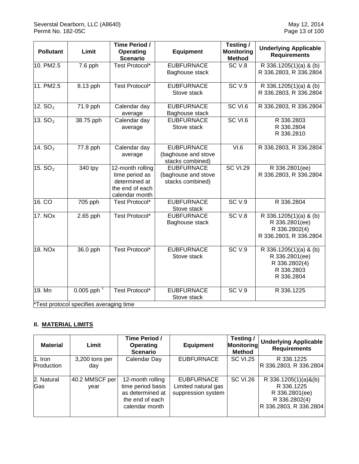| <b>Pollutant</b> | Limit                                                  | Time Period /<br><b>Operating</b><br><b>Scenario</b>                                     | <b>Equipment</b>                                             | Testing /<br><b>Monitoring</b><br><b>Method</b> | <b>Underlying Applicable</b><br><b>Requirements</b>                                   |
|------------------|--------------------------------------------------------|------------------------------------------------------------------------------------------|--------------------------------------------------------------|-------------------------------------------------|---------------------------------------------------------------------------------------|
| 10. PM2.5        | 7.6 pph                                                | Test Protocol*                                                                           | <b>EUBFURNACE</b><br>Baghouse stack                          | SC <sub>V.8</sub>                               | R 336.1205(1)(a) & (b)<br>R 336.2803, R 336.2804                                      |
| 11. PM2.5        | 8.13 pph                                               | Test Protocol*                                                                           | <b>EUBFURNACE</b><br>Stove stack                             | SC <sub>V.9</sub>                               | R 336.1205(1)(a) & (b)<br>R 336.2803, R 336.2804                                      |
| 12. $SO2$        | 71.9 pph                                               | Calendar day<br>average                                                                  | <b>EUBFURNACE</b><br>Baghouse stack                          | SC VI.6                                         | R 336.2803, R 336.2804                                                                |
| 13. $SO2$        | 38.75 pph                                              | Calendar day<br>average                                                                  | <b>EUBFURNACE</b><br>Stove stack                             | SC VI.6                                         | R 336.2803<br>R 336.2804<br>R 336.2810                                                |
| 14. $SO2$        | 77.8 pph                                               | Calendar day<br>average                                                                  | <b>EUBFURNACE</b><br>(baghouse and stove<br>stacks combined) | VI.6                                            | R 336.2803, R 336.2804                                                                |
| 15. $SO2$        | 340 tpy                                                | 12-month rolling<br>time period as<br>determined at<br>the end of each<br>calendar month | <b>EUBFURNACE</b><br>(baghouse and stove<br>stacks combined) | <b>SC VI.29</b>                                 | R 336.2801(ee)<br>R 336.2803, R 336.2804                                              |
| 16. CO           | 705 pph                                                | Test Protocol*                                                                           | <b>EUBFURNACE</b><br>Stove stack                             | SC <sub>V.9</sub>                               | R 336.2804                                                                            |
| 17. NOX          | 2.65 pph                                               | <b>Test Protocol*</b>                                                                    | <b>EUBFURNACE</b><br>Baghouse stack                          | SCV.8                                           | R 336.1205(1)(a) & (b)<br>R 336.2801(ee)<br>R 336.2802(4)<br>R 336.2803, R 336.2804   |
| <b>18. NOx</b>   | 36.0 pph                                               | Test Protocol*                                                                           | <b>EUBFURNACE</b><br>Stove stack                             | SCV.9                                           | R 336.1205(1)(a) & (b)<br>R 336.2801(ee)<br>R 336.2802(4)<br>R 336.2803<br>R 336.2804 |
| 19. Mn           | $0.005$ pph<br>*Test protocol specifies averaging time | <b>Test Protocol*</b>                                                                    | <b>EUBFURNACE</b><br>Stove stack                             | SCV.9                                           | R 336.1225                                                                            |

# **II. MATERIAL LIMITS**

| <b>Material</b>       | Limit                  | Time Period /<br>Operating<br><b>Scenario</b>                                                  | <b>Equipment</b>                                               | Testing/<br><b>Monitoring</b><br>Method | <b>Underlying Applicable</b><br><b>Requirements</b>                                             |
|-----------------------|------------------------|------------------------------------------------------------------------------------------------|----------------------------------------------------------------|-----------------------------------------|-------------------------------------------------------------------------------------------------|
| 1. Iron<br>Production | 3,200 tons per<br>day  | Calendar Day                                                                                   | <b>EUBFURNACE</b>                                              | <b>SC VI.25</b>                         | R 336.1225<br>R 336.2803, R 336.2804                                                            |
| 2. Natural<br>Gas     | 40.2 MMSCF per<br>vear | 12-month rolling<br>time period basis<br>as determined at<br>the end of each<br>calendar month | <b>EUBFURNACE</b><br>Limited natural gas<br>suppression system | <b>SC VI.26</b>                         | R 336.1205(1)(a)&(b)<br>R 336.1225<br>R 336.2801(ee)<br>R 336.2802(4)<br>R 336.2803, R 336.2804 |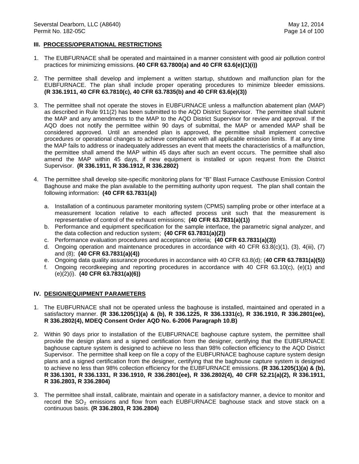#### **III. PROCESS/OPERATIONAL RESTRICTIONS**

- 1. The EUBFURNACE shall be operated and maintained in a manner consistent with good air pollution control practices for minimizing emissions. **(40 CFR 63.7800(a) and 40 CFR 63.6(e)(1)(i))**
- 2. The permittee shall develop and implement a written startup, shutdown and malfunction plan for the EUBFURNACE. The plan shall include proper operating procedures to minimize bleeder emissions. **(R 336.1911, 40 CFR 63.7810(c), 40 CFR 63.7835(b) and 40 CFR 63.6(e)(3))**
- 3. The permittee shall not operate the stoves in EUBFURNACE unless a malfunction abatement plan (MAP) as described in Rule 911(2) has been submitted to the AQD District Supervisor. The permittee shall submit the MAP and any amendments to the MAP to the AQD District Supervisor for review and approval. If the AQD does not notify the permittee within 90 days of submittal, the MAP or amended MAP shall be considered approved. Until an amended plan is approved, the permittee shall implement corrective procedures or operational changes to achieve compliance with all applicable emission limits.If at any time the MAP fails to address or inadequately addresses an event that meets the characteristics of a malfunction, the permittee shall amend the MAP within 45 days after such an event occurs. The permittee shall also amend the MAP within 45 days, if new equipment is installed or upon request from the District Supervisor. **(R 336.1911, R 336.1912, R 336.2802)**
- 4. The permittee shall develop site-specific monitoring plans for "B" Blast Furnace Casthouse Emission Control Baghouse and make the plan available to the permitting authority upon request. The plan shall contain the following information: **(40 CFR 63.7831(a))**
	- a. Installation of a continuous parameter monitoring system (CPMS) sampling probe or other interface at a measurement location relative to each affected process unit such that the measurement is representative of control of the exhaust emissions; **(40 CFR 63.7831(a)(1))**
	- b. Performance and equipment specification for the sample interface, the parametric signal analyzer, and the data collection and reduction system; **(40 CFR 63.7831(a)(2))**
	- c. Performance evaluation procedures and acceptance criteria; **(40 CFR 63.7831(a)(3))**
	- d. Ongoing operation and maintenance procedures in accordance with 40 CFR 63.8(c)(1), (3), 4(iii), (7) and (8); **(40 CFR 63.7831(a)(4))**
	- e. Ongoing data quality assurance procedures in accordance with 40 CFR 63.8(d); (**40 CFR 63.7831(a)(5))**
	- f. Ongoing recordkeeping and reporting procedures in accordance with 40 CFR 63.10(c), (e)(1) and (e)(2)(i). **(40 CFR 63.7831(a)(6))**

#### **IV. DESIGN/EQUIPMENT PARAMETERS**

- 1. The EUBFURNACE shall not be operated unless the baghouse is installed, maintained and operated in a satisfactory manner. **(R 336.1205(1)(a) & (b), R 336.1225, R 336.1331(c), R 336.1910, R 336.2801(ee), R 336.2802(4), MDEQ Consent Order AQD No. 6-2006 Paragraph 10.B)**
- 2. Within 90 days prior to installation of the EUBFURNACE baghouse capture system, the permittee shall provide the design plans and a signed certification from the designer, certifying that the EUBFURNACE baghouse capture system is designed to achieve no less than 98% collection efficiency to the AQD District Supervisor. The permittee shall keep on file a copy of the EUBFURNACE baghouse capture system design plans and a signed certification from the designer, certifying that the baghouse capture system is designed to achieve no less than 98% collection efficiency for the EUBFURNACE emissions. **(R 336.1205(1)(a) & (b), R 336.1301, R 336.1331, R 336.1910, R 336.2801(ee), R 336.2802(4), 40 CFR 52.21(a)(2), R 336.1911, R 336.2803, R 336.2804)**
- 3. The permittee shall install, calibrate, maintain and operate in a satisfactory manner, a device to monitor and record the  $SO<sub>2</sub>$  emissions and flow from each EUBFURNACE baghouse stack and stove stack on a continuous basis. **(R 336.2803, R 336.2804)**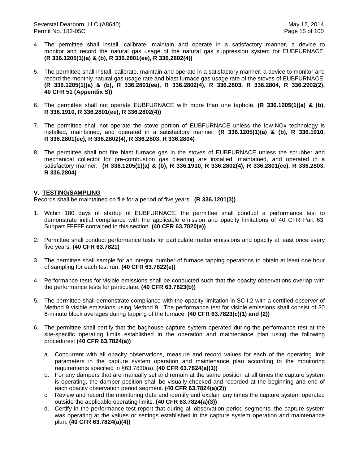- 4. The permittee shall install, calibrate, maintain and operate in a satisfactory manner, a device to monitor and record the natural gas usage of the natural gas suppression system for EUBFURNACE. **(R 336.1205(1)(a) & (b), R 336.2801(ee), R 336.2802(4))**
- 5. The permittee shall install, calibrate, maintain and operate in a satisfactory manner, a device to monitor and record the monthly natural gas usage rate and blast furnace gas usage rate of the stoves of EUBFURNACE. **(R 336.1205(1)(a) & (b), R 336.2801(ee), R 336.2802(4), R 336.2803, R 336.2804, R 336.2902(2), 40 CFR 51 (Appendix S))**
- 6. The permittee shall not operate EUBFURNACE with more than one taphole. **(R 336.1205(1)(a) & (b), R 336.1910, R 336.2801(ee), R 336.2802(4))**
- 7. The permittee shall not operate the stove portion of EUBFURNACE unless the low-NOx technology is installed, maintained, and operated in a satisfactory manner. **(R 336.1205(1)(a) & (b), R 336.1910, R 336.2801(ee), R 336.2802(4), R 336.2803, R 336.2804)**
- 8. The permittee shall not fire blast furnace gas in the stoves of EUBFURNACE unless the scrubber and mechanical collector for pre-combustion gas cleaning are installed, maintained, and operated in a satisfactory manner. **(R 336.1205(1)(a) & (b), R 336.1910, R 336.2802(4), R 336.2801(ee), R 336.2803, R 336.2804)**

#### **V. TESTING/SAMPLING**

- 1. Within 180 days of startup of EUBFURNACE, the permittee shall conduct a performance test to demonstrate initial compliance with the applicable emission and opacity limitations of 40 CFR Part 63, Subpart FFFFF contained in this section. **(40 CFR 63.7820(a))**
- 2. Permittee shall conduct performance tests for particulate matter emissions and opacity at least once every five years. **(40 CFR 63.7821)**
- 3. The permittee shall sample for an integral number of furnace tapping operations to obtain at least one hour of sampling for each test run. **(40 CFR 63.7822(e))**
- 4. Performance tests for visible emissions shall be conducted such that the opacity observations overlap with the performance tests for particulate. **(40 CFR 63.7823(b))**
- 5. The permittee shall demonstrate compliance with the opacity limitation in SC I.2 with a certified observer of Method 9 visible emissions using Method 9. The performance test for visible emissions shall consist of 30 6-minute block averages during tapping of the furnace. **(40 CFR 63.7823(c)(1) and (2))**
- 6. The permittee shall certify that the baghouse capture system operated during the performance test at the site-specific operating limits established in the operation and maintenance plan using the following procedures: **(40 CFR 63.7824(a))**
	- a. Concurrent with all opacity observations, measure and record values for each of the operating limit parameters in the capture system operation and maintenance plan according to the monitoring requirements specified in §63.7830(a). **(40 CFR 63.7824(a)(1))**
	- b. For any dampers that are manually set and remain at the same position at all times the capture system is operating, the damper position shall be visually checked and recorded at the beginning and end of each opacity observation period segment. **(40 CFR 63.7824(a)(2))**
	- c. Review and record the monitoring data and identify and explain any times the capture system operated outside the applicable operating limits. **(40 CFR 63.7824(a)(3))**
	- d. Certify in the performance test report that during all observation period segments, the capture system was operating at the values or settings established in the capture system operation and maintenance plan. **(40 CFR 63.7824(a)(4))**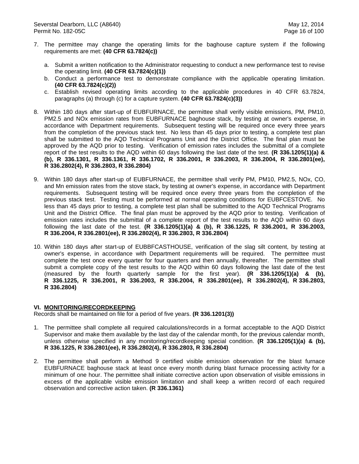- 7. The permittee may change the operating limits for the baghouse capture system if the following requirements are met: **(40 CFR 63.7824(c))**
	- a. Submit a written notification to the Administrator requesting to conduct a new performance test to revise the operating limit. **(40 CFR 63.7824(c)(1))**
	- b. Conduct a performance test to demonstrate compliance with the applicable operating limitation. **(40 CFR 63.7824(c)(2))**
	- c. Establish revised operating limits according to the applicable procedures in 40 CFR 63.7824, paragraphs (a) through (c) for a capture system. **(40 CFR 63.7824(c)(3))**
- 8. Within 180 days after start-up of EUBFURNACE, the permittee shall verify visible emissions, PM, PM10, PM2.5 and NOx emission rates from EUBFURNACE baghouse stack, by testing at owner's expense, in accordance with Department requirements. Subsequent testing will be required once every three years from the completion of the previous stack test. No less than 45 days prior to testing, a complete test plan shall be submitted to the AQD Technical Programs Unit and the District Office. The final plan must be approved by the AQD prior to testing. Verification of emission rates includes the submittal of a complete report of the test results to the AQD within 60 days following the last date of the test. **(R 336.1205(1)(a) & (b), R 336.1301, R 336.1361, R 336.1702, R 336.2001, R 336.2003, R 336.2004, R 336.2801(ee), R 336.2802(4), R 336.2803, R 336.2804)**
- 9. Within 180 days after start-up of EUBFURNACE, the permittee shall verify PM, PM10, PM2.5, NOx, CO, and Mn emission rates from the stove stack, by testing at owner's expense, in accordance with Department requirements. Subsequent testing will be required once every three years from the completion of the previous stack test. Testing must be performed at normal operating conditions for EUBFCESTOVE. No less than 45 days prior to testing, a complete test plan shall be submitted to the AQD Technical Programs Unit and the District Office. The final plan must be approved by the AQD prior to testing. Verification of emission rates includes the submittal of a complete report of the test results to the AQD within 60 days following the last date of the test. **(R 336.1205(1)(a) & (b), R 336.1225, R 336.2001, R 336.2003, R 336.2004, R 336.2801(ee), R 336.2802(4), R 336.2803, R 336.2804)**
- 10. Within 180 days after start-up of EUBBFCASTHOUSE, verification of the slag silt content, by testing at owner's expense, in accordance with Department requirements will be required. The permittee must complete the test once every quarter for four quarters and then annually, thereafter. The permittee shall submit a complete copy of the test results to the AQD within 60 days following the last date of the test (measured by the fourth quarterly sample for the first year). **(R 336.1205(1)(a) & (b), R 336.1225, R 336.2001, R 336.2003, R 336.2004, R 336.2801(ee), R 336.2802(4), R 336.2803, R 336.2804)**

#### **VI. MONITORING/RECORDKEEPING**

- 1. The permittee shall complete all required calculations/records in a format acceptable to the AQD District Supervisor and make them available by the last day of the calendar month, for the previous calendar month, unless otherwise specified in any monitoring/recordkeeping special condition. **(R 336.1205(1)(a) & (b), R 336.1225, R 336.2801(ee), R 336.2802(4), R 336.2803, R 336.2804)**
- 2. The permittee shall perform a Method 9 certified visible emission observation for the blast furnace EUBFURNACE baghouse stack at least once every month during blast furnace processing activity for a minimum of one hour. The permittee shall initiate corrective action upon observation of visible emissions in excess of the applicable visible emission limitation and shall keep a written record of each required observation and corrective action taken. **(R 336.1361)**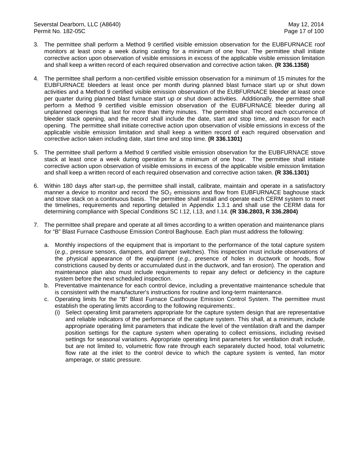- 3. The permittee shall perform a Method 9 certified visible emission observation for the EUBFURNACE roof monitors at least once a week during casting for a minimum of one hour. The permittee shall initiate corrective action upon observation of visible emissions in excess of the applicable visible emission limitation and shall keep a written record of each required observation and corrective action taken. **(R 336.1358)**
- 4. The permittee shall perform a non-certified visible emission observation for a minimum of 15 minutes for the EUBFURNACE bleeders at least once per month during planned blast furnace start up or shut down activities and a Method 9 certified visible emission observation of the EUBFURNACE bleeder at least once per quarter during planned blast furnace start up or shut down activities. Additionally, the permittee shall perform a Method 9 certified visible emission observation of the EUBFURNACE bleeder during all unplanned openings that last for more than thirty minutes. The permittee shall record each occurrence of bleeder stack opening, and the record shall include the date, start and stop time, and reason for each opening. The permittee shall initiate corrective action upon observation of visible emissions in excess of the applicable visible emission limitation and shall keep a written record of each required observation and corrective action taken including date, start time and stop time. **(R 336.1301)**
- 5. The permittee shall perform a Method 9 certified visible emission observation for the EUBFURNACE stove stack at least once a week during operation for a minimum of one hour. The permittee shall initiate corrective action upon observation of visible emissions in excess of the applicable visible emission limitation and shall keep a written record of each required observation and corrective action taken. **(R 336.1301)**
- 6. Within 180 days after start-up, the permittee shall install, calibrate, maintain and operate in a satisfactory manner a device to monitor and record the  $SO<sub>2</sub>$  emissions and flow from EUBFURNACE baghouse stack and stove stack on a continuous basis. The permittee shall install and operate each CERM system to meet the timelines, requirements and reporting detailed in Appendix 1.3.1 and shall use the CERM data for determining compliance with Special Conditions SC I.12, I.13, and I.14. **(R 336.2803, R 336.2804)**
- 7. The permittee shall prepare and operate at all times according to a written operation and maintenance plans for "B" Blast Furnace Casthouse Emission Control Baghouse. Each plan must address the following:
	- a. Monthly inspections of the equipment that is important to the performance of the total capture system (*e.g.,* pressure sensors, dampers, and damper switches). This inspection must include observations of the physical appearance of the equipment (*e.g.,* presence of holes in ductwork or hoods, flow constrictions caused by dents or accumulated dust in the ductwork, and fan erosion). The operation and maintenance plan also must include requirements to repair any defect or deficiency in the capture system before the next scheduled inspection.
	- b. Preventative maintenance for each control device, including a preventative maintenance schedule that is consistent with the manufacturer's instructions for routine and long-term maintenance.
	- c. Operating limits for the "B" Blast Furnace Casthouse Emission Control System. The permittee must establish the operating limits according to the following requirements:.
		- (i) Select operating limit parameters appropriate for the capture system design that are representative and reliable indicators of the performance of the capture system. This shall, at a minimum, include appropriate operating limit parameters that indicate the level of the ventilation draft and the damper position settings for the capture system when operating to collect emissions, including revised settings for seasonal variations. Appropriate operating limit parameters for ventilation draft include, but are not limited to, volumetric flow rate through each separately ducted hood, total volumetric flow rate at the inlet to the control device to which the capture system is vented, fan motor amperage, or static pressure.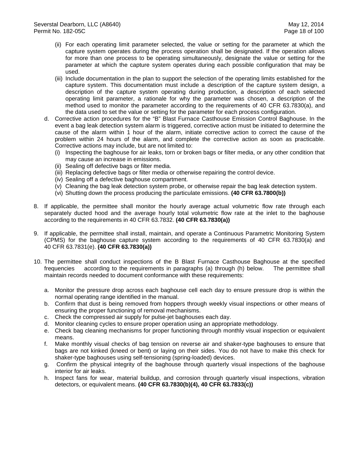- (ii) For each operating limit parameter selected, the value or setting for the parameter at which the capture system operates during the process operation shall be designated. If the operation allows for more than one process to be operating simultaneously, designate the value or setting for the parameter at which the capture system operates during each possible configuration that may be used.
- (iii) Include documentation in the plan to support the selection of the operating limits established for the capture system. This documentation must include a description of the capture system design, a description of the capture system operating during production, a description of each selected operating limit parameter, a rationale for why the parameter was chosen, a description of the method used to monitor the parameter according to the requirements of 40 CFR 63.7830(a), and the data used to set the value or setting for the parameter for each process configuration.
- d. Corrective action procedures for the "B" Blast Furnace Casthouse Emission Control Baghouse. In the event a bag leak detection system alarm is triggered, corrective action must be initiated to determine the cause of the alarm within 1 hour of the alarm, initiate corrective action to correct the cause of the problem within 24 hours of the alarm, and complete the corrective action as soon as practicable. Corrective actions may include, but are not limited to:
	- (i) Inspecting the baghouse for air leaks, torn or broken bags or filter media, or any other condition that may cause an increase in emissions.
	- (ii) Sealing off defective bags or filter media.
	- (iii) Replacing defective bags or filter media or otherwise repairing the control device.
	- (iv) Sealing off a defective baghouse compartment.
	- (v) Cleaning the bag leak detection system probe, or otherwise repair the bag leak detection system.
	- (vi) Shutting down the process producing the particulate emissions. **(40 CFR 63.7800(b))**
- 8. If applicable, the permittee shall monitor the hourly average actual volumetric flow rate through each separately ducted hood and the average hourly total volumetric flow rate at the inlet to the baghouse according to the requirements in 40 CFR 63.7832. **(40 CFR 63.7830(a))**
- 9. If applicable, the permittee shall install, maintain, and operate a Continuous Parametric Monitoring System (CPMS) for the baghouse capture system according to the requirements of 40 CFR 63.7830(a) and 40 CFR 63.7831(e). **(40 CFR 63.7830(a))**
- 10. The permittee shall conduct inspections of the B Blast Furnace Casthouse Baghouse at the specified frequencies according to the requirements in paragraphs (a) through (h) below. The permittee shall maintain records needed to document conformance with these requirements:
	- a. Monitor the pressure drop across each baghouse cell each day to ensure pressure drop is within the normal operating range identified in the manual.
	- b. Confirm that dust is being removed from hoppers through weekly visual inspections or other means of ensuring the proper functioning of removal mechanisms.
	- c. Check the compressed air supply for pulse-jet baghouses each day.
	- d. Monitor cleaning cycles to ensure proper operation using an appropriate methodology.
	- e. Check bag cleaning mechanisms for proper functioning through monthly visual inspection or equivalent means.
	- f. Make monthly visual checks of bag tension on reverse air and shaker-type baghouses to ensure that bags are not kinked (kneed or bent) or laying on their sides. You do not have to make this check for shaker-type baghouses using self-tensioning (spring-loaded) devices.
	- g. Confirm the physical integrity of the baghouse through quarterly visual inspections of the baghouse interior for air leaks.
	- h. Inspect fans for wear, material buildup, and corrosion through quarterly visual inspections, vibration detectors, or equivalent means. **(40 CFR 63.7830(b)(4), 40 CFR 63.7833(c))**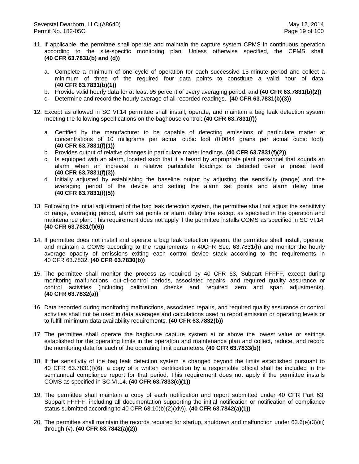- 11. If applicable, the permittee shall operate and maintain the capture system CPMS in continuous operation according to the site-specific monitoring plan. Unless otherwise specified, the CPMS shall: **(40 CFR 63.7831(b) and (d))**
	- a. Complete a minimum of one cycle of operation for each successive 15-minute period and collect a minimum of three of the required four data points to constitute a valid hour of data; **(40 CFR 63.7831(b)(1))**
	- b. Provide valid hourly data for at least 95 percent of every averaging period; and **(40 CFR 63.7831(b)(2))**
	- c. Determine and record the hourly average of all recorded readings. **(40 CFR 63.7831(b)(3))**
- 12. Except as allowed in SC VI.14 permittee shall install, operate, and maintain a bag leak detection system meeting the following specifications on the baghouse control: **(40 CFR 63.7831(f))**
	- a. Certified by the manufacturer to be capable of detecting emissions of particulate matter at concentrations of 10 milligrams per actual cubic foot (0.0044 grains per actual cubic foot). **(40 CFR 63.7831(f)(1))**
	- b. Provides output of relative changes in particulate matter loadings. **(40 CFR 63.7831(f)(2))**
	- c. Is equipped with an alarm, located such that it is heard by appropriate plant personnel that sounds an alarm when an increase in relative particulate loadings is detected over a preset level. **(40 CFR 63.7831(f)(3))**
	- d. Initially adjusted by establishing the baseline output by adjusting the sensitivity (range) and the averaging period of the device and setting the alarm set points and alarm delay time. **(40 CFR 63.7831(f)(5))**
- 13. Following the initial adjustment of the bag leak detection system, the permittee shall not adjust the sensitivity or range, averaging period, alarm set points or alarm delay time except as specified in the operation and maintenance plan. This requirement does not apply if the permittee installs COMS as specified in SC VI.14. **(40 CFR 63.7831(f)(6))**
- 14. If permittee does not install and operate a bag leak detection system, the permittee shall install, operate, and maintain a COMS according to the requirements in 40CFR Sec. 63.7831(h) and monitor the hourly average opacity of emissions exiting each control device stack according to the requirements in 40 CFR 63.7832. **(40 CFR 63.7830(b))**
- 15. The permittee shall monitor the process as required by 40 CFR 63, Subpart FFFFF, except during monitoring malfunctions, out-of-control periods, associated repairs, and required quality assurance or control activities (including calibration checks and required zero and span adjustments). **(40 CFR 63.7832(a))**
- 16. Data recorded during monitoring malfunctions, associated repairs, and required quality assurance or control activities shall not be used in data averages and calculations used to report emission or operating levels or to fulfill minimum data availability requirements. **(40 CFR 63.7832(b))**
- 17. The permittee shall operate the baghouse capture system at or above the lowest value or settings established for the operating limits in the operation and maintenance plan and collect, reduce, and record the monitoring data for each of the operating limit parameters. **(40 CFR 63.7833(b))**
- 18. If the sensitivity of the bag leak detection system is changed beyond the limits established pursuant to 40 CFR 63.7831(f)(6), a copy of a written certification by a responsible official shall be included in the semiannual compliance report for that period. This requirement does not apply if the permittee installs COMS as specified in SC VI.14. **(40 CFR 63.7833(c)(1))**
- 19. The permittee shall maintain a copy of each notification and report submitted under 40 CFR Part 63, Subpart FFFFF, including all documentation supporting the initial notification or notification of compliance status submitted according to 40 CFR 63.10(b)(2)(xiv)). **(40 CFR 63.7842(a)(1))**
- 20. The permittee shall maintain the records required for startup, shutdown and malfunction under 63.6(e)(3)(iii) through (v). **(40 CFR 63.7842(a)(2))**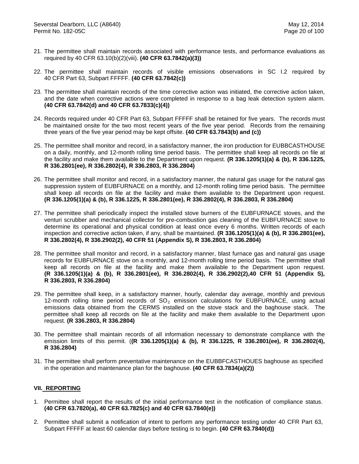- 21. The permittee shall maintain records associated with performance tests, and performance evaluations as required by 40 CFR 63.10(b)(2)(viii). **(40 CFR 63.7842(a)(3))**
- 22. The permittee shall maintain records of visible emissions observations in SC I.2 required by 40 CFR Part 63, Subpart FFFFF. **(40 CFR 63.7842(c))**
- 23. The permittee shall maintain records of the time corrective action was initiated, the corrective action taken, and the date when corrective actions were completed in response to a bag leak detection system alarm. **(40 CFR 63.7842(d) and 40 CFR 63.7833(c)(4))**
- 24. Records required under 40 CFR Part 63, Subpart FFFFF shall be retained for five years. The records must be maintained onsite for the two most recent years of the five year period. Records from the remaining three years of the five year period may be kept offsite. **(40 CFR 63.7843(b) and (c))**
- 25. The permittee shall monitor and record, in a satisfactory manner, the iron production for EUBBCASTHOUSE on a daily, monthly, and 12-month rolling time period basis. The permittee shall keep all records on file at the facility and make them available to the Department upon request. **(R 336.1205(1)(a) & (b), R 336.1225, R 336.2801(ee), R 336.2802(4), R 336.2803, R 336.2804)**
- 26. The permittee shall monitor and record, in a satisfactory manner, the natural gas usage for the natural gas suppression system of EUBFURNACE on a monthly, and 12-month rolling time period basis. The permittee shall keep all records on file at the facility and make them available to the Department upon request. **(R 336.1205(1)(a) & (b), R 336.1225, R 336.2801(ee), R 336.2802(4), R 336.2803, R 336.2804)**
- 27. The permittee shall periodically inspect the installed stove burners of the EUBFURNACE stoves, and the venturi scrubber and mechanical collector for pre-combustion gas cleaning of the EUBFURNACE stove to determine its operational and physical condition at least once every 6 months. Written records of each inspection and corrective action taken, if any, shall be maintained. **(R 336.1205(1)(a) & (b), R 336.2801(ee), R 336.2802(4), R 336.2902(2), 40 CFR 51 (Appendix S), R 336.2803, R 336.2804)**
- 28. The permittee shall monitor and record, in a satisfactory manner, blast furnace gas and natural gas usage records for EUBFURNACE stove on a monthly, and 12-month rolling time period basis. The permittee shall keep all records on file at the facility and make them available to the Department upon request. **(R 336.1205(1)(a) & (b), R 336.2801(ee), R 336.2802(4), R 336.2902(2),40 CFR 51 (Appendix S), R 336.2803, R 336.2804)**
- 29. The permittee shall keep, in a satisfactory manner, hourly, calendar day average, monthly and previous 12-month rolling time period records of  $SO<sub>2</sub>$  emission calculations for EUBFURNACE, using actual emissions data obtained from the CERMS installed on the stove stack and the baghouse stack. The permittee shall keep all records on file at the facility and make them available to the Department upon request. **(R 336.2803, R 336.2804)**
- 30. The permittee shall maintain records of all information necessary to demonstrate compliance with the emission limits of this permit. (**(R 336.1205(1)(a) & (b), R 336.1225, R 336.2801(ee), R 336.2802(4), R 336.2804)**
- 31. The permittee shall perform preventative maintenance on the EUBBFCASTHOUES baghouse as specified in the operation and maintenance plan for the baghouse. **(40 CFR 63.7834(a)(2))**

## **VII. REPORTING**

- 1. Permittee shall report the results of the initial performance test in the notification of compliance status. **(40 CFR 63.7820(a), 40 CFR 63.7825(c) and 40 CFR 63.7840(e))**
- 2. Permittee shall submit a notification of intent to perform any performance testing under 40 CFR Part 63, Subpart FFFFF at least 60 calendar days before testing is to begin. **(40 CFR 63.7840(d))**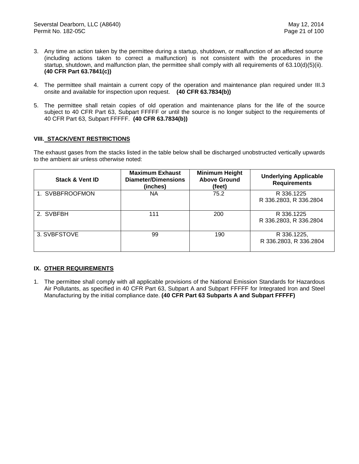- 3. Any time an action taken by the permittee during a startup, shutdown, or malfunction of an affected source (including actions taken to correct a malfunction) is not consistent with the procedures in the startup, shutdown, and malfunction plan, the permittee shall comply with all requirements of 63.10(d)(5)(ii). **(40 CFR Part 63.7841(c))**
- 4. The permittee shall maintain a current copy of the operation and maintenance plan required under III.3 onsite and available for inspection upon request. **(40 CFR 63.7834(b))**
- 5. The permittee shall retain copies of old operation and maintenance plans for the life of the source subject to 40 CFR Part 63, Subpart FFFFF or until the source is no longer subject to the requirements of 40 CFR Part 63, Subpart FFFFF. **(40 CFR 63.7834(b))**

## **VIII. STACK/VENT RESTRICTIONS**

The exhaust gases from the stacks listed in the table below shall be discharged unobstructed vertically upwards to the ambient air unless otherwise noted:

| <b>Stack &amp; Vent ID</b> | <b>Maximum Exhaust</b><br><b>Diameter/Dimensions</b><br>(inches) | <b>Minimum Height</b><br><b>Above Ground</b><br>(feet) | <b>Underlying Applicable</b><br><b>Requirements</b> |
|----------------------------|------------------------------------------------------------------|--------------------------------------------------------|-----------------------------------------------------|
| 1. SVBBFROOFMON            | ΝA                                                               | 75.2                                                   | R 336.1225<br>R 336.2803, R 336.2804                |
| 2. SVBFBH                  | 111                                                              | 200                                                    | R 336.1225<br>R 336.2803, R 336.2804                |
| 3. SVBFSTOVE               | 99                                                               | 190                                                    | R 336.1225,<br>R 336.2803, R 336.2804               |

## **IX. OTHER REQUIREMENTS**

1. The permittee shall comply with all applicable provisions of the National Emission Standards for Hazardous Air Pollutants, as specified in 40 CFR Part 63, Subpart A and Subpart FFFFF for Integrated Iron and Steel Manufacturing by the initial compliance date. **(40 CFR Part 63 Subparts A and Subpart FFFFF)**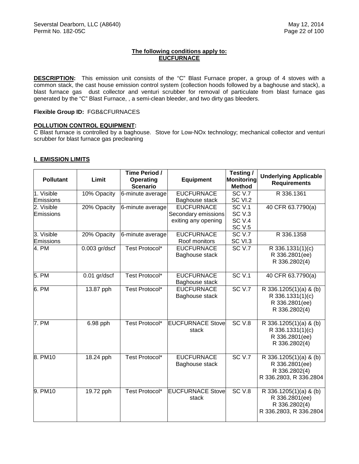## **The following conditions apply to: EUCFURNACE**

**DESCRIPTION:** This emission unit consists of the "C" Blast Furnace proper, a group of 4 stoves with a common stack, the cast house emission control system (collection hoods followed by a baghouse and stack), a blast furnace gas dust collector and venturi scrubber for removal of particulate from blast furnace gas generated by the "C" Blast Furnace, , a semi-clean bleeder, and two dirty gas bleeders.

#### **Flexible Group ID:** FGB&CFURNACES

## **POLLUTION CONTROL EQUIPMENT:**

C Blast furnace is controlled by a baghouse. Stove for Low-NOx technology; mechanical collector and venturi scrubber for blast furnace gas precleaning

#### **I. EMISSION LIMITS**

| <b>Pollutant</b> | Limit           | Time Period /<br><b>Operating</b><br><b>Scenario</b> | <b>Equipment</b>        | Testing /<br><b>Monitoring</b><br><b>Method</b> | <b>Underlying Applicable</b><br><b>Requirements</b> |
|------------------|-----------------|------------------------------------------------------|-------------------------|-------------------------------------------------|-----------------------------------------------------|
| 1. Visible       | 10% Opacity     | 6-minute average                                     | <b>EUCFURNACE</b>       | <b>SC V.7</b>                                   | R 336.1361                                          |
| Emissions        |                 |                                                      | Baghouse stack          | SC VI.2                                         |                                                     |
| 2. Visible       | 20% Opacity     | 6-minute average                                     | <b>EUCFURNACE</b>       | <b>SC V.1</b>                                   | 40 CFR 63.7790(a)                                   |
| Emissions        |                 |                                                      | Secondary emissions     | SC <sub>V.3</sub><br>SC <sub>V.4</sub>          |                                                     |
|                  |                 |                                                      | exiting any opening     | <b>SC V.5</b>                                   |                                                     |
| 3. Visible       | 20% Opacity     | 6-minute average                                     | <b>EUCFURNACE</b>       | SCV.7                                           | R 336.1358                                          |
| Emissions        |                 |                                                      | Roof monitors           | SC VI.3                                         |                                                     |
| 4. PM            | $0.003$ gr/dscf | Test Protocol*                                       | <b>EUCFURNACE</b>       | <b>SC V.7</b>                                   | $\overline{R}$ 336.1331(1)(c)                       |
|                  |                 |                                                      | Baghouse stack          |                                                 | R 336.2801(ee)                                      |
|                  |                 |                                                      |                         |                                                 | R 336.2802(4)                                       |
|                  |                 |                                                      |                         |                                                 |                                                     |
| 5. PM            | $0.01$ gr/dscf  | Test Protocol*                                       | <b>EUCFURNACE</b>       | SCV.1                                           | 40 CFR 63.7790(a)                                   |
|                  |                 |                                                      | Baghouse stack          |                                                 |                                                     |
| 6. PM            | 13.87 pph       | Test Protocol*                                       | <b>EUCFURNACE</b>       | SC <sub>V.7</sub>                               | $\overline{R}$ 336.1205(1)(a) & (b)                 |
|                  |                 |                                                      | Baghouse stack          |                                                 | R 336.1331(1)(c)                                    |
|                  |                 |                                                      |                         |                                                 | R 336.2801(ee)                                      |
|                  |                 |                                                      |                         |                                                 | R 336.2802(4)                                       |
|                  |                 |                                                      |                         |                                                 |                                                     |
| 7. PM            | 6.98 pph        | Test Protocol*                                       | <b>EUCFURNACE Stove</b> | SC <sub>V.8</sub>                               | R 336.1205(1)(a) & (b)                              |
|                  |                 |                                                      | stack                   |                                                 | R 336.1331(1)(c)                                    |
|                  |                 |                                                      |                         |                                                 | R 336.2801(ee)                                      |
|                  |                 |                                                      |                         |                                                 | R 336.2802(4)                                       |
| 8. PM10          | 18.24 pph       | Test Protocol*                                       | <b>EUCFURNACE</b>       | SCV.7                                           | R 336.1205(1)(a) & (b)                              |
|                  |                 |                                                      | Baghouse stack          |                                                 | R 336.2801(ee)                                      |
|                  |                 |                                                      |                         |                                                 | R 336.2802(4)                                       |
|                  |                 |                                                      |                         |                                                 | R 336.2803, R 336.2804                              |
|                  |                 |                                                      |                         |                                                 |                                                     |
| 9. PM10          | 19.72 pph       | Test Protocol*                                       | <b>EUCFURNACE Stove</b> | SC <sub>V.8</sub>                               | R 336.1205(1)(a) & (b)                              |
|                  |                 |                                                      | stack                   |                                                 | R 336.2801(ee)                                      |
|                  |                 |                                                      |                         |                                                 | R 336.2802(4)                                       |
|                  |                 |                                                      |                         |                                                 | R 336.2803, R 336.2804                              |
|                  |                 |                                                      |                         |                                                 |                                                     |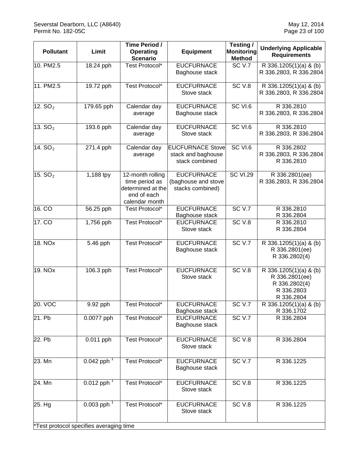| <b>Pollutant</b>    | Limit                                   | Time Period /<br>Operating<br><b>Scenario</b>                                            | Equipment                                                       | Testing/<br><b>Monitoring</b><br><b>Method</b> | <b>Underlying Applicable</b><br><b>Requirements</b>                                   |
|---------------------|-----------------------------------------|------------------------------------------------------------------------------------------|-----------------------------------------------------------------|------------------------------------------------|---------------------------------------------------------------------------------------|
| 10. PM2.5           | 18.24 pph                               | Test Protocol*                                                                           | <b>EUCFURNACE</b><br>Baghouse stack                             | SC <sub>V.7</sub>                              | R 336.1205(1)(a) & (b)<br>R 336.2803, R 336.2804                                      |
| 11. PM2.5           | 19.72 pph                               | Test Protocol*                                                                           | <b>EUCFURNACE</b><br>Stove stack                                | SC <sub>V.8</sub>                              | R 336.1205(1)(a) & (b)<br>R 336.2803, R 336.2804                                      |
| 12. $SO2$           | 179.65 pph                              | Calendar day<br>average                                                                  | <b>EUCFURNACE</b><br>Baghouse stack                             | SC VI.6                                        | R 336.2810<br>R 336.2803, R 336.2804                                                  |
| 13. $SO2$           | 193.6 pph                               | Calendar day<br>average                                                                  | <b>EUCFURNACE</b><br>Stove stack                                | SC VI.6                                        | R 336.2810<br>R 336.2803, R 336.2804                                                  |
| 14. SO <sub>2</sub> | 271.4 pph                               | Calendar day<br>average                                                                  | <b>EUCFURNACE Stove</b><br>stack and baghouse<br>stack combined | SC VI.6                                        | R 336.2802<br>R 336.2803, R 336.2804<br>R 336.2810                                    |
| 15. $SO2$           | 1,188 tpy                               | 12-month rolling<br>time period as<br>determined at the<br>end of each<br>calendar month | <b>EUCFURNACE</b><br>(baghouse and stove<br>stacks combined)    | <b>SC VI.29</b>                                | R 336.2801(ee)<br>R 336.2803, R 336.2804                                              |
| 16. CO              | 56.25 pph                               | Test Protocol*                                                                           | <b>EUCFURNACE</b><br>Baghouse stack                             | SCV.7                                          | R 336.2810<br>R 336.2804                                                              |
| 17. CO              | 1,756 pph                               | Test Protocol*                                                                           | <b>EUCFURNACE</b><br>Stove stack                                | SC <sub>V.8</sub>                              | R 336.2810<br>R 336.2804                                                              |
| 18. NO <sub>x</sub> | 5.46 pph                                | Test Protocol*                                                                           | <b>EUCFURNACE</b><br>Baghouse stack                             | SC <sub>V.7</sub>                              | R 336.1205(1)(a) & (b)<br>R 336.2801(ee)<br>R 336.2802(4)                             |
| 19. NO <sub>x</sub> | 106.3 pph                               | Test Protocol*                                                                           | <b>EUCFURNACE</b><br>Stove stack                                | SC <sub>V.8</sub>                              | R 336.1205(1)(a) & (b)<br>R 336.2801(ee)<br>R 336.2802(4)<br>R 336.2803<br>R 336.2804 |
| 20. VOC             | $\overline{9.92}$ pph                   | Test Protocol*                                                                           | <b>EUCFURNACE</b><br>Baghouse stack                             | <b>SC V.7</b>                                  | R 336.1205(1)(a) & (b)<br>R 336.1702                                                  |
| 21. Pb              | 0.0077 pph                              | Test Protocol*                                                                           | <b>EUCFURNACE</b><br>Baghouse stack                             | SC <sub>V.7</sub>                              | R 336.2804                                                                            |
| 22. Pb              | 0.011 pph                               | <b>Test Protocol*</b>                                                                    | <b>EUCFURNACE</b><br>Stove stack                                | SC <sub>V.8</sub>                              | R 336.2804                                                                            |
| 23. Mn              | $0.042$ pph <sup>1</sup>                | Test Protocol*                                                                           | <b>EUCFURNACE</b><br>Baghouse stack                             | SC <sub>V.7</sub>                              | R 336.1225                                                                            |
| 24. Mn              | $0.012$ pph <sup>1</sup>                | Test Protocol*                                                                           | <b>EUCFURNACE</b><br>Stove stack                                | SC <sub>V.8</sub>                              | R 336.1225                                                                            |
| 25. Hg              | $0.003$ pph <sup>1</sup>                | <b>Test Protocol*</b>                                                                    | <b>EUCFURNACE</b><br>Stove stack                                | SC <sub>V.8</sub>                              | R 336.1225                                                                            |
|                     | *Test protocol specifies averaging time |                                                                                          |                                                                 |                                                |                                                                                       |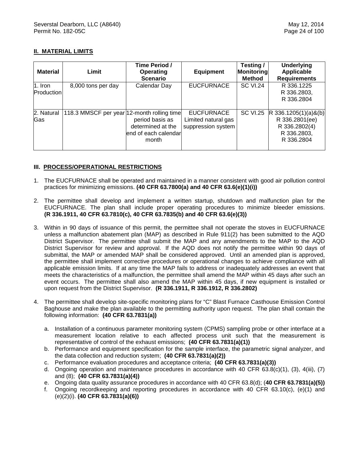# **II. MATERIAL LIMITS**

| <b>Material</b>                | Limit                                      | Time Period /<br>Operating<br><b>Scenario</b>                         | <b>Equipment</b>                                               | Testing/<br>Monitoring<br><b>Method</b> | <b>Underlying</b><br><b>Applicable</b><br><b>Requirements</b>                          |
|--------------------------------|--------------------------------------------|-----------------------------------------------------------------------|----------------------------------------------------------------|-----------------------------------------|----------------------------------------------------------------------------------------|
| $1.$ Iron<br><b>Production</b> | 8,000 tons per day                         | Calendar Day                                                          | <b>EUCFURNACE</b>                                              | <b>SC VI.24</b>                         | R 336.1225<br>R 336.2803,<br>R 336.2804                                                |
| 2. Natural<br><b>Gas</b>       | 118.3 MMSCF per year 12-month rolling time | period basis as<br>determined at the<br>end of each calendar<br>month | <b>EUCFURNACE</b><br>Limited natural gas<br>suppression system | <b>SC VI.25</b>                         | $R$ 336.1205(1)(a)&(b)<br>R 336.2801(ee)<br>R 336.2802(4)<br>R 336.2803,<br>R 336,2804 |

## **III. PROCESS/OPERATIONAL RESTRICTIONS**

- 1. The EUCFURNACE shall be operated and maintained in a manner consistent with good air pollution control practices for minimizing emissions. **(40 CFR 63.7800(a) and 40 CFR 63.6(e)(1)(i))**
- 2. The permittee shall develop and implement a written startup, shutdown and malfunction plan for the EUCFURNACE. The plan shall include proper operating procedures to minimize bleeder emissions. **(R 336.1911, 40 CFR 63.7810(c), 40 CFR 63.7835(b) and 40 CFR 63.6(e)(3))**
- 3. Within in 90 days of issuance of this permit, the permittee shall not operate the stoves in EUCFURNACE unless a malfunction abatement plan (MAP) as described in Rule 911(2) has been submitted to the AQD District Supervisor. The permittee shall submit the MAP and any amendments to the MAP to the AQD District Supervisor for review and approval. If the AQD does not notify the permittee within 90 days of submittal, the MAP or amended MAP shall be considered approved. Until an amended plan is approved, the permittee shall implement corrective procedures or operational changes to achieve compliance with all applicable emission limits.If at any time the MAP fails to address or inadequately addresses an event that meets the characteristics of a malfunction, the permittee shall amend the MAP within 45 days after such an event occurs. The permittee shall also amend the MAP within 45 days, if new equipment is installed or upon request from the District Supervisor. **(R 336.1911, R 336.1912, R 336.2802)**
- 4. The permittee shall develop site-specific monitoring plans for "C" Blast Furnace Casthouse Emission Control Baghouse and make the plan available to the permitting authority upon request. The plan shall contain the following information: **(40 CFR 63.7831(a))**
	- a. Installation of a continuous parameter monitoring system (CPMS) sampling probe or other interface at a measurement location relative to each affected process unit such that the measurement is representative of control of the exhaust emissions; **(40 CFR 63.7831(a)(1))**
	- b. Performance and equipment specification for the sample interface, the parametric signal analyzer, and the data collection and reduction system; **(40 CFR 63.7831(a)(2))**
	- c. Performance evaluation procedures and acceptance criteria; **(40 CFR 63.7831(a)(3))**
	- d. Ongoing operation and maintenance procedures in accordance with 40 CFR 63.8(c)(1), (3), 4(iii), (7) and (8); **(40 CFR 63.7831(a)(4))**
	- e. Ongoing data quality assurance procedures in accordance with 40 CFR 63.8(d); (**40 CFR 63.7831(a)(5))**
	- f. Ongoing recordkeeping and reporting procedures in accordance with 40 CFR 63.10(c), (e)(1) and (e)(2)(i). **(40 CFR 63.7831(a)(6))**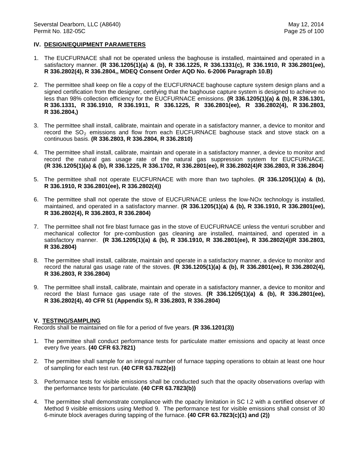#### **IV. DESIGN/EQUIPMENT PARAMETERS**

- 1. The EUCFURNACE shall not be operated unless the baghouse is installed, maintained and operated in a satisfactory manner. **(R 336.1205(1)(a) & (b), R 336.1225, R 336.1331(c), R 336.1910, R 336.2801(ee), R 336.2802(4), R 336.2804,, MDEQ Consent Order AQD No. 6-2006 Paragraph 10.B)**
- 2. The permittee shall keep on file a copy of the EUCFURNACE baghouse capture system design plans and a signed certification from the designer, certifying that the baghouse capture system is designed to achieve no less than 98% collection efficiency for the EUCFURNACE emissions. **(R 336.1205(1)(a) & (b), R 336.1301, R 336.1331, R 336.1910, R 336.1911, R 336.1225, R 336.2801(ee), R 336.2802(4), R 336.2803, R 336.2804,)**
- 3. The permittee shall install, calibrate, maintain and operate in a satisfactory manner, a device to monitor and record the  $SO<sub>2</sub>$  emissions and flow from each EUCFURNACE baghouse stack and stove stack on a continuous basis. **(R 336.2803, R 336.2804, R 336.2810)**
- 4. The permittee shall install, calibrate, maintain and operate in a satisfactory manner, a device to monitor and record the natural gas usage rate of the natural gas suppression system for EUCFURNACE. **(R 336.1205(1)(a) & (b), R 336.1225, R 336.1702, R 336.2801(ee), R 336.2802(4)R 336.2803, R 336.2804)**
- 5. The permittee shall not operate EUCFURNACE with more than two tapholes. **(R 336.1205(1)(a) & (b), R 336.1910, R 336.2801(ee), R 336.2802(4))**
- 6. The permittee shall not operate the stove of EUCFURNACE unless the low-NOx technology is installed, maintained, and operated in a satisfactory manner. **(R 336.1205(1)(a) & (b), R 336.1910, R 336.2801(ee), R 336.2802(4), R 336.2803, R 336.2804)**
- 7. The permittee shall not fire blast furnace gas in the stove of EUCFURNACE unless the venturi scrubber and mechanical collector for pre-combustion gas cleaning are installed, maintained, and operated in a satisfactory manner. **(R 336.1205(1)(a) & (b), R 336.1910, R 336.2801(ee), R 336.2802(4))R 336.2803, R 336.2804)**
- 8. The permittee shall install, calibrate, maintain and operate in a satisfactory manner, a device to monitor and record the natural gas usage rate of the stoves. **(R 336.1205(1)(a) & (b), R 336.2801(ee), R 336.2802(4), R 336.2803, R 336.2804)**
- 9. The permittee shall install, calibrate, maintain and operate in a satisfactory manner, a device to monitor and record the blast furnace gas usage rate of the stoves. **(R 336.1205(1)(a) & (b), R 336.2801(ee), R 336.2802(4), 40 CFR 51 (Appendix S), R 336.2803, R 336.2804)**

#### **V. TESTING/SAMPLING**

- 1. The permittee shall conduct performance tests for particulate matter emissions and opacity at least once every five years. **(40 CFR 63.7821)**
- 2. The permittee shall sample for an integral number of furnace tapping operations to obtain at least one hour of sampling for each test run. **(40 CFR 63.7822(e))**
- 3. Performance tests for visible emissions shall be conducted such that the opacity observations overlap with the performance tests for particulate. **(40 CFR 63.7823(b))**
- 4. The permittee shall demonstrate compliance with the opacity limitation in SC I.2 with a certified observer of Method 9 visible emissions using Method 9. The performance test for visible emissions shall consist of 30 6-minute block averages during tapping of the furnace. **(40 CFR 63.7823(c)(1) and (2))**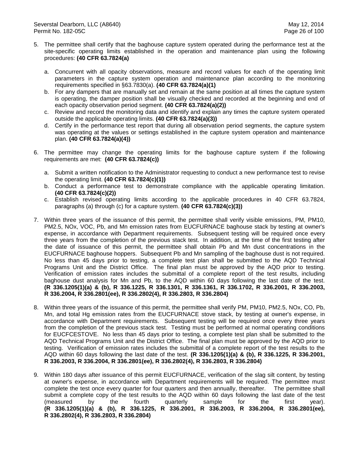- 5. The permittee shall certify that the baghouse capture system operated during the performance test at the site-specific operating limits established in the operation and maintenance plan using the following procedures: **(40 CFR 63.7824(a)**
	- a. Concurrent with all opacity observations, measure and record values for each of the operating limit parameters in the capture system operation and maintenance plan according to the monitoring requirements specified in §63.7830(a). **(40 CFR 63.7824(a)(1)**
	- b. For any dampers that are manually set and remain at the same position at all times the capture system is operating, the damper position shall be visually checked and recorded at the beginning and end of each opacity observation period segment. **(40 CFR 63.7824(a)(2))**
	- c. Review and record the monitoring data and identify and explain any times the capture system operated outside the applicable operating limits. **(40 CFR 63.7824(a)(3))**
	- d. Certify in the performance test report that during all observation period segments, the capture system was operating at the values or settings established in the capture system operation and maintenance plan. **(40 CFR 63.7824(a)(4))**
- 6. The permittee may change the operating limits for the baghouse capture system if the following requirements are met: **(40 CFR 63.7824(c))**
	- a. Submit a written notification to the Administrator requesting to conduct a new performance test to revise the operating limit. **(40 CFR 63.7824(c)(1))**
	- b. Conduct a performance test to demonstrate compliance with the applicable operating limitation. **(40 CFR 63.7824(c)(2))**
	- c. Establish revised operating limits according to the applicable procedures in 40 CFR 63.7824, paragraphs (a) through (c) for a capture system. **(40 CFR 63.7824(c)(3))**
- 7. Within three years of the issuance of this permit, the permittee shall verify visible emissions, PM, PM10, PM2.5, NOx, VOC, Pb, and Mn emission rates from EUCFURNACE baghouse stack by testing at owner's expense, in accordance with Department requirements. Subsequent testing will be required once every three years from the completion of the previous stack test. In addition, at the time of the first testing after the date of issuance of this permit, the permittee shall obtain Pb and Mn dust concentrations in the EUCFURNACE baghouse hoppers. Subsequent Pb and Mn sampling of the baghouse dust is not required. No less than 45 days prior to testing, a complete test plan shall be submitted to the AQD Technical Programs Unit and the District Office. The final plan must be approved by the AQD prior to testing. Verification of emission rates includes the submittal of a complete report of the test results, including baghouse dust analysis for Mn and Pb, to the AQD within 60 days following the last date of the test. **(R 336.1205(1)(a) & (b), R 336.1225, R 336.1301, R 336.1361, R 336.1702, R 336.2001, R 336.2003, R 336.2004, R 336.2801(ee), R 336.2802(4), R 336.2803, R 336.2804)**
- 8. Within three years of the issuance of this permit, the permittee shall verify PM, PM10, PM2.5, NOx, CO, Pb, Mn, and total Hg emission rates from the EUCFURNACE stove stack, by testing at owner's expense, in accordance with Department requirements. Subsequent testing will be required once every three years from the completion of the previous stack test. Testing must be performed at normal operating conditions for EUCFCESTOVE. No less than 45 days prior to testing, a complete test plan shall be submitted to the AQD Technical Programs Unit and the District Office. The final plan must be approved by the AQD prior to testing. Verification of emission rates includes the submittal of a complete report of the test results to the AQD within 60 days following the last date of the test. **(R 336.1205(1)(a) & (b), R 336.1225, R 336.2001, R 336.2003, R 336.2004, R 336.2801(ee), R 336.2802(4), R 336.2803, R 336.2804)**
- 9. Within 180 days after issuance of this permit EUCFURNACE, verification of the slag silt content, by testing at owner's expense, in accordance with Department requirements will be required. The permittee must complete the test once every quarter for four quarters and then annually, thereafter. The permittee shall submit a complete copy of the test results to the AQD within 60 days following the last date of the test (measured by the fourth quarterly sample for the first year). **(R 336.1205(1)(a) & (b), R 336.1225, R 336.2001, R 336.2003, R 336.2004, R 336.2801(ee), R 336.2802(4), R 336.2803, R 336.2804)**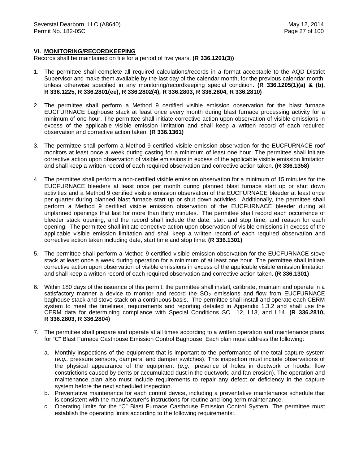#### **VI. MONITORING/RECORDKEEPING**

- 1. The permittee shall complete all required calculations/records in a format acceptable to the AQD District Supervisor and make them available by the last day of the calendar month, for the previous calendar month, unless otherwise specified in any monitoring/recordkeeping special condition. **(R 336.1205(1)(a) & (b), R 336.1225, R 336.2801(ee), R 336.2802(4), R 336.2803, R 336.2804, R 336.2810)**
- 2. The permittee shall perform a Method 9 certified visible emission observation for the blast furnace EUCFURNACE baghouse stack at least once every month during blast furnace processing activity for a minimum of one hour. The permittee shall initiate corrective action upon observation of visible emissions in excess of the applicable visible emission limitation and shall keep a written record of each required observation and corrective action taken. **(R 336.1361)**
- 3. The permittee shall perform a Method 9 certified visible emission observation for the EUCFURNACE roof monitors at least once a week during casting for a minimum of least one hour. The permittee shall initiate corrective action upon observation of visible emissions in excess of the applicable visible emission limitation and shall keep a written record of each required observation and corrective action taken. **(R 336.1358)**
- 4. The permittee shall perform a non-certified visible emission observation for a minimum of 15 minutes for the EUCFURNACE bleeders at least once per month during planned blast furnace start up or shut down activities and a Method 9 certified visible emission observation of the EUCFURNACE bleeder at least once per quarter during planned blast furnace start up or shut down activities. Additionally, the permittee shall perform a Method 9 certified visible emission observation of the EUCFURNACE bleeder during all unplanned openings that last for more than thirty minutes. The permittee shall record each occurrence of bleeder stack opening, and the record shall include the date, start and stop time, and reason for each opening. The permittee shall initiate corrective action upon observation of visible emissions in excess of the applicable visible emission limitation and shall keep a written record of each required observation and corrective action taken including date, start time and stop time. **(R 336.1301)**
- 5. The permittee shall perform a Method 9 certified visible emission observation for the EUCFURNACE stove stack at least once a week during operation for a minimum of at least one hour. The permittee shall initiate corrective action upon observation of visible emissions in excess of the applicable visible emission limitation and shall keep a written record of each required observation and corrective action taken. **(R 336.1301)**
- 6. Within 180 days of the issuance of this permit, the permittee shall install, calibrate, maintain and operate in a satisfactory manner a device to monitor and record the  $SO<sub>2</sub>$  emissions and flow from EUCFURNACE baghouse stack and stove stack on a continuous basis. The permittee shall install and operate each CERM system to meet the timelines, requirements and reporting detailed in Appendix 1.3.2 and shall use the CERM data for determining compliance with Special Conditions SC I.12, I.13, and I.14. **(R 336.2810, R 336.2803, R 336.2804)**
- 7. The permittee shall prepare and operate at all times according to a written operation and maintenance plans for "C" Blast Furnace Casthouse Emission Control Baghouse. Each plan must address the following:
	- a. Monthly inspections of the equipment that is important to the performance of the total capture system (*e.g.,* pressure sensors, dampers, and damper switches). This inspection must include observations of the physical appearance of the equipment (*e.g.,* presence of holes in ductwork or hoods, flow constrictions caused by dents or accumulated dust in the ductwork, and fan erosion). The operation and maintenance plan also must include requirements to repair any defect or deficiency in the capture system before the next scheduled inspection.
	- b. Preventative maintenance for each control device, including a preventative maintenance schedule that is consistent with the manufacturer's instructions for routine and long-term maintenance.
	- c. Operating limits for the "C" Blast Furnace Casthouse Emission Control System. The permittee must establish the operating limits according to the following requirements:.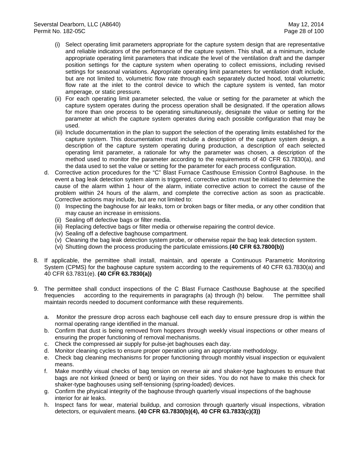- (i) Select operating limit parameters appropriate for the capture system design that are representative and reliable indicators of the performance of the capture system. This shall, at a minimum, include appropriate operating limit parameters that indicate the level of the ventilation draft and the damper position settings for the capture system when operating to collect emissions, including revised settings for seasonal variations. Appropriate operating limit parameters for ventilation draft include, but are not limited to, volumetric flow rate through each separately ducted hood, total volumetric flow rate at the inlet to the control device to which the capture system is vented, fan motor amperage, or static pressure.
- (ii) For each operating limit parameter selected, the value or setting for the parameter at which the capture system operates during the process operation shall be designated. If the operation allows for more than one process to be operating simultaneously, designate the value or setting for the parameter at which the capture system operates during each possible configuration that may be used.
- (iii) Include documentation in the plan to support the selection of the operating limits established for the capture system. This documentation must include a description of the capture system design, a description of the capture system operating during production, a description of each selected operating limit parameter, a rationale for why the parameter was chosen, a description of the method used to monitor the parameter according to the requirements of 40 CFR 63.7830(a), and the data used to set the value or setting for the parameter for each process configuration.
- d. Corrective action procedures for the "C" Blast Furnace Casthouse Emission Control Baghouse. In the event a bag leak detection system alarm is triggered, corrective action must be initiated to determine the cause of the alarm within 1 hour of the alarm, initiate corrective action to correct the cause of the problem within 24 hours of the alarm, and complete the corrective action as soon as practicable. Corrective actions may include, but are not limited to:
	- (i) Inspecting the baghouse for air leaks, torn or broken bags or filter media, or any other condition that may cause an increase in emissions.
	- (ii) Sealing off defective bags or filter media.
	- (iii) Replacing defective bags or filter media or otherwise repairing the control device.
	- (iv) Sealing off a defective baghouse compartment.
	- (v) Cleaning the bag leak detection system probe, or otherwise repair the bag leak detection system.
	- (vi) Shutting down the process producing the particulate emissions.**(40 CFR 63.7800(b))**
- 8. If applicable, the permittee shall install, maintain, and operate a Continuous Parametric Monitoring System (CPMS) for the baghouse capture system according to the requirements of 40 CFR 63.7830(a) and 40 CFR 63.7831(e). **(40 CFR 63.7830(a))**
- 9. The permittee shall conduct inspections of the C Blast Furnace Casthouse Baghouse at the specified frequencies according to the requirements in paragraphs (a) through (h) below. The permittee shall maintain records needed to document conformance with these requirements.
	- a. Monitor the pressure drop across each baghouse cell each day to ensure pressure drop is within the normal operating range identified in the manual.
	- b. Confirm that dust is being removed from hoppers through weekly visual inspections or other means of ensuring the proper functioning of removal mechanisms.
	- c. Check the compressed air supply for pulse-jet baghouses each day.
	- d. Monitor cleaning cycles to ensure proper operation using an appropriate methodology.
	- e. Check bag cleaning mechanisms for proper functioning through monthly visual inspection or equivalent means.
	- f. Make monthly visual checks of bag tension on reverse air and shaker-type baghouses to ensure that bags are not kinked (kneed or bent) or laying on their sides. You do not have to make this check for shaker-type baghouses using self-tensioning (spring-loaded) devices.
	- g. Confirm the physical integrity of the baghouse through quarterly visual inspections of the baghouse interior for air leaks.
	- h. Inspect fans for wear, material buildup, and corrosion through quarterly visual inspections, vibration detectors, or equivalent means. **(40 CFR 63.7830(b)(4), 40 CFR 63.7833(c)(3))**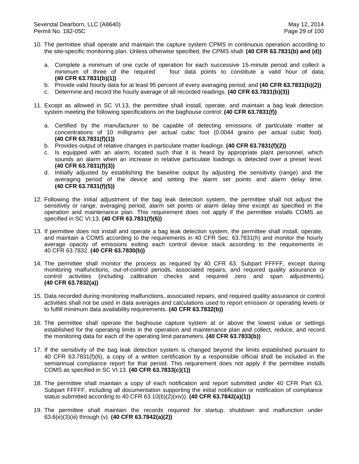- 10. The permittee shall operate and maintain the capture system CPMS in continuous operation according to the site-specific monitoring plan. Unless otherwise specified, the CPMS shall: **(40 CFR 63.7831(b) and (d))**
	- a. Complete a minimum of one cycle of operation for each successive 15-minute period and collect a minimum of three of the required four data points to constitute a valid hour of data; **(40 CFR 63.7831(b)(1))**
	- b. Provide valid hourly data for at least 95 percent of every averaging period; and **(40 CFR 63.7831(b)(2))**
	- c. Determine and record the hourly average of all recorded readings. **(40 CFR 63.7831(b)(3))**
- 11. Except as allowed in SC VI.13, the permittee shall install, operate, and maintain a bag leak detection system meeting the following specifications on the baghouse control: **(40 CFR 63.7831(f))**
	- a. Certified by the manufacturer to be capable of detecting emissions of particulate matter at concentrations of 10 milligrams per actual cubic foot (0.0044 grains per actual cubic foot). **(40 CFR 63.7831(f)(1))**
	- b. Provides output of relative changes in particulate matter loadings. **(40 CFR 63.7831(f)(2))**
	- c. Is equipped with an alarm, located such that it is heard by appropriate plant personnel, which sounds an alarm when an increase in relative particulate loadings is detected over a preset level. **(40 CFR 63.7831(f)(3))**
	- d. Initially adjusted by establishing the baseline output by adjusting the sensitivity (range) and the averaging period of the device and setting the alarm set points and alarm delay time. **(40 CFR 63.7831(f)(5))**
- 12. Following the initial adjustment of the bag leak detection system, the permittee shall not adjust the sensitivity or range, averaging period, alarm set points or alarm delay time except as specified in the operation and maintenance plan. This requirement does not apply if the permittee installs COMS as specified in SC VI.13. **(40 CFR 63.7831(f)(6))**
- 13. If permittee does not install and operate a bag leak detection system, the permittee shall install, operate, and maintain a COMS according to the requirements in 40 CFR Sec. 63.7831(h) and monitor the hourly average opacity of emissions exiting each control device stack according to the requirements in 40 CFR 63.7832. **(40 CFR 63.7830(b))**
- 14. The permittee shall monitor the process as required by 40 CFR 63, Subpart FFFFF, except during monitoring malfunctions, out-of-control periods, associated repairs, and required quality assurance or control activities (including calibration checks and required zero and span adjustments). (including calibration checks and required zero and span adjustments). **(40 CFR 63.7832(a))**
- 15. Data recorded during monitoring malfunctions, associated repairs, and required quality assurance or control activities shall not be used in data averages and calculations used to report emission or operating levels or to fulfill minimum data availability requirements. **(40 CFR 63.7832(b))**
- 16. The permittee shall operate the baghouse capture system at or above the lowest value or settings established for the operating limits in the operation and maintenance plan and collect, reduce, and record the monitoring data for each of the operating limit parameters. **(40 CFR 63.7833(b))**
- 17. If the sensitivity of the bag leak detection system is changed beyond the limits established pursuant to 40 CFR 63.7831(f)(6), a copy of a written certification by a responsible official shall be included in the semiannual compliance report for that period. This requirement does not apply if the permittee installs COMS as specified in SC VI.13. **(40 CFR 63.7833(c)(1))**
- 18. The permittee shall maintain a copy of each notification and report submitted under 40 CFR Part 63, Subpart FFFFF, including all documentation supporting the initial notification or notification of compliance status submitted according to 40 CFR 63.10(b)(2)(xiv)). **(40 CFR 63.7842(a)(1))**
- 19. The permittee shall maintain the records required for startup, shutdown and malfunction under 63.6(e)(3)(iii) through (v). **(40 CFR 63.7842(a)(2))**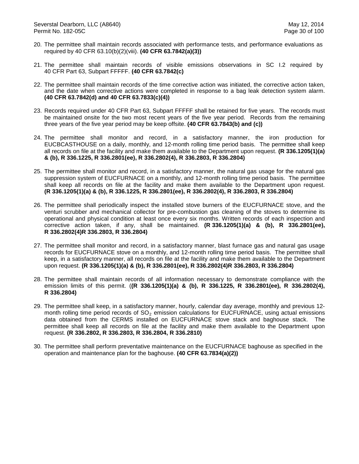- 20. The permittee shall maintain records associated with performance tests, and performance evaluations as required by 40 CFR 63.10(b)(2)(viii). **(40 CFR 63.7842(a)(3))**
- 21. The permittee shall maintain records of visible emissions observations in SC I.2 required by 40 CFR Part 63, Subpart FFFFF. **(40 CFR 63.7842(c)**
- 22. The permittee shall maintain records of the time corrective action was initiated, the corrective action taken, and the date when corrective actions were completed in response to a bag leak detection system alarm. **(40 CFR 63.7842(d) and 40 CFR 63.7833(c)(4))**
- 23. Records required under 40 CFR Part 63, Subpart FFFFF shall be retained for five years. The records must be maintained onsite for the two most recent years of the five year period. Records from the remaining three years of the five year period may be keep offsite. **(40 CFR 63.7843(b) and (c))**
- 24. The permittee shall monitor and record, in a satisfactory manner, the iron production for EUCBCASTHOUSE on a daily, monthly, and 12-month rolling time period basis. The permittee shall keep all records on file at the facility and make them available to the Department upon request. **(R 336.1205(1)(a) & (b), R 336.1225, R 336.2801(ee), R 336.2802(4), R 336.2803, R 336.2804)**
- 25. The permittee shall monitor and record, in a satisfactory manner, the natural gas usage for the natural gas suppression system of EUCFURNACE on a monthly, and 12-month rolling time period basis. The permittee shall keep all records on file at the facility and make them available to the Department upon request. **(R 336.1205(1)(a) & (b), R 336.1225, R 336.2801(ee), R 336.2802(4), R 336.2803, R 336.2804)**
- 26. The permittee shall periodically inspect the installed stove burners of the EUCFURNACE stove, and the venturi scrubber and mechanical collector for pre-combustion gas cleaning of the stoves to determine its operational and physical condition at least once every six months. Written records of each inspection and corrective action taken, if any, shall be maintained. **(R 336.1205(1)(a) & (b), R 336.2801(ee), R 336.2802(4)R 336.2803, R 336.2804)**
- 27. The permittee shall monitor and record, in a satisfactory manner, blast furnace gas and natural gas usage records for EUCFURNACE stove on a monthly, and 12-month rolling time period basis. The permittee shall keep, in a satisfactory manner, all records on file at the facility and make them available to the Department upon request. **(R 336.1205(1)(a) & (b), R 336.2801(ee), R 336.2802(4)R 336.2803, R 336.2804)**
- 28. The permittee shall maintain records of all information necessary to demonstrate compliance with the emission limits of this permit. (**(R 336.1205(1)(a) & (b), R 336.1225, R 336.2801(ee), R 336.2802(4), R 336.2804)**
- 29. The permittee shall keep, in a satisfactory manner, hourly, calendar day average, monthly and previous 12 month rolling time period records of  $SO<sub>2</sub>$  emission calculations for EUCFURNACE, using actual emissions data obtained from the CERMS installed on EUCFURNACE stove stack and baghouse stack. The permittee shall keep all records on file at the facility and make them available to the Department upon request. **(R 336.2802, R 336.2803, R 336.2804, R 336.2810)**
- 30. The permittee shall perform preventative maintenance on the EUCFURNACE baghouse as specified in the operation and maintenance plan for the baghouse. **(40 CFR 63.7834(a)(2))**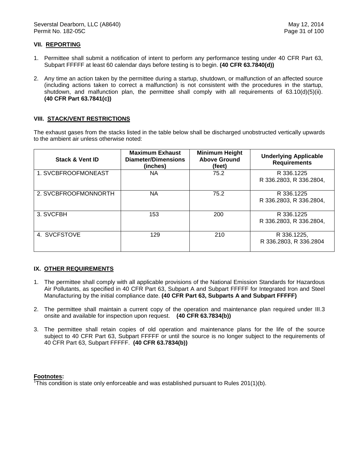### **VII. REPORTING**

- 1. Permittee shall submit a notification of intent to perform any performance testing under 40 CFR Part 63, Subpart FFFFF at least 60 calendar days before testing is to begin. **(40 CFR 63.7840(d))**
- 2. Any time an action taken by the permittee during a startup, shutdown, or malfunction of an affected source (including actions taken to correct a malfunction) is not consistent with the procedures in the startup, shutdown, and malfunction plan, the permittee shall comply with all requirements of 63.10(d)(5)(ii). **(40 CFR Part 63.7841(c))**

## **VIII. STACK/VENT RESTRICTIONS**

The exhaust gases from the stacks listed in the table below shall be discharged unobstructed vertically upwards to the ambient air unless otherwise noted:

| <b>Stack &amp; Vent ID</b> | <b>Maximum Exhaust</b><br><b>Diameter/Dimensions</b><br>(inches) | <b>Minimum Height</b><br><b>Above Ground</b><br>(feet) | <b>Underlying Applicable</b><br><b>Requirements</b> |
|----------------------------|------------------------------------------------------------------|--------------------------------------------------------|-----------------------------------------------------|
| 1. SVCBFROOFMONEAST        | ΝA                                                               | 75.2                                                   | R 336.1225<br>R 336.2803, R 336.2804,               |
| 2. SVCBFROOFMONNORTH       | NА                                                               | 75.2                                                   | R 336.1225<br>R 336.2803, R 336.2804,               |
| 3. SVCFBH                  | 153                                                              | 200                                                    | R 336.1225<br>R 336.2803, R 336.2804,               |
| 4. SVCFSTOVE               | 129                                                              | 210                                                    | R 336.1225,<br>R 336.2803, R 336.2804               |

## **IX. OTHER REQUIREMENTS**

- 1. The permittee shall comply with all applicable provisions of the National Emission Standards for Hazardous Air Pollutants, as specified in 40 CFR Part 63, Subpart A and Subpart FFFFF for Integrated Iron and Steel Manufacturing by the initial compliance date. **(40 CFR Part 63, Subparts A and Subpart FFFFF)**
- 2. The permittee shall maintain a current copy of the operation and maintenance plan required under III.3 onsite and available for inspection upon request. **(40 CFR 63.7834(b))**
- 3. The permittee shall retain copies of old operation and maintenance plans for the life of the source subject to 40 CFR Part 63, Subpart FFFFF or until the source is no longer subject to the requirements of 40 CFR Part 63, Subpart FFFFF. **(40 CFR 63.7834(b))**

#### **Footnotes:**

 $\overline{h}$ This condition is state only enforceable and was established pursuant to Rules 201(1)(b).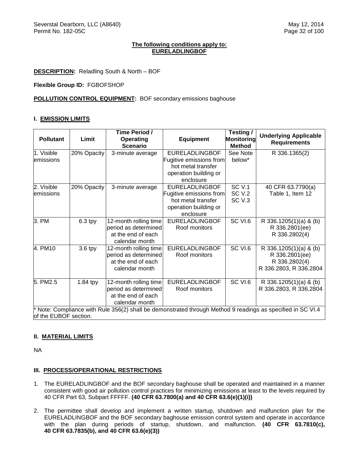#### **The following conditions apply to: EURELADLINGBOF**

**DESCRIPTION:** Reladling South & North – BOF

**Flexible Group ID:** FGBOFSHOP

**POLLUTION CONTROL EQUIPMENT:** BOF secondary emissions baghouse

## **I. EMISSION LIMITS**

| <b>Pollutant</b>                                                                                          | Limit       | Time Period /<br><b>Operating</b><br><b>Scenario</b> | <b>Equipment</b>        | Testing/<br>Monitoring<br><b>Method</b> | <b>Underlying Applicable</b><br><b>Requirements</b> |
|-----------------------------------------------------------------------------------------------------------|-------------|------------------------------------------------------|-------------------------|-----------------------------------------|-----------------------------------------------------|
| 1. Visible                                                                                                | 20% Opacity | 3-minute average                                     | <b>EURELADLINGBOF</b>   | See Note                                | R 336.1365(2)                                       |
| emissions                                                                                                 |             |                                                      | Fugitive emissions from | below*                                  |                                                     |
|                                                                                                           |             |                                                      | hot metal transfer      |                                         |                                                     |
|                                                                                                           |             |                                                      | operation building or   |                                         |                                                     |
|                                                                                                           |             |                                                      | enclosure               |                                         |                                                     |
| 2. Visible                                                                                                | 20% Opacity | 3-minute average                                     | <b>EURELADLINGBOF</b>   | <b>SC V.1</b>                           | 40 CFR 63.7790(a)                                   |
| emissions                                                                                                 |             |                                                      | Fugitive emissions from | <b>SC V.2</b>                           | Table 1, Item 12                                    |
|                                                                                                           |             |                                                      | hot metal transfer      | SC <sub>V.3</sub>                       |                                                     |
|                                                                                                           |             |                                                      | operation building or   |                                         |                                                     |
|                                                                                                           |             |                                                      | enclosure               |                                         |                                                     |
| 3. PM                                                                                                     | $6.3$ tpy   | 12-month rolling time                                | <b>EURELADLINGBOF</b>   | SC VI.6                                 | R 336.1205(1)(a) & (b)                              |
|                                                                                                           |             | period as determined                                 | Roof monitors           |                                         | R 336.2801(ee)                                      |
|                                                                                                           |             | at the end of each                                   |                         |                                         | R 336.2802(4)                                       |
|                                                                                                           |             | calendar month                                       |                         |                                         |                                                     |
| 4. PM10                                                                                                   | 3.6 tpy     | 12-month rolling time                                | <b>EURELADLINGBOF</b>   | SC VI.6                                 | R 336.1205(1)(a) & (b)                              |
|                                                                                                           |             | period as determined                                 | Roof monitors           |                                         | R 336.2801(ee)                                      |
|                                                                                                           |             | at the end of each                                   |                         |                                         | R 336.2802(4)                                       |
|                                                                                                           |             | calendar month                                       |                         |                                         | R 336.2803, R 336.2804                              |
| 5. PM2.5                                                                                                  | $1.84$ tpy  | 12-month rolling time                                | <b>EURELADLINGBOF</b>   | SC VI.6                                 | R 336.1205(1)(a) & (b)                              |
|                                                                                                           |             | period as determined                                 | Roof monitors           |                                         | R 336.2803, R 336.2804                              |
|                                                                                                           |             | at the end of each                                   |                         |                                         |                                                     |
|                                                                                                           |             | calendar month                                       |                         |                                         |                                                     |
| Note: Compliance with Rule 356(2) shall be demonstrated through Method 9 readings as specified in SC VI.4 |             |                                                      |                         |                                         |                                                     |
| of the EUBOF section.                                                                                     |             |                                                      |                         |                                         |                                                     |

## **II. MATERIAL LIMITS**

NA

## **III. PROCESS/OPERATIONAL RESTRICTIONS**

- 1. The EURELADLINGBOF and the BOF secondary baghouse shall be operated and maintained in a manner consistent with good air pollution control practices for minimizing emissions at least to the levels required by 40 CFR Part 63, Subpart FFFFF. **(40 CFR 63.7800(a) and 40 CFR 63.6(e)(1)(i))**
- 2. The permittee shall develop and implement a written startup, shutdown and malfunction plan for the EURELADLINGBOF and the BOF secondary baghouse emission control system and operate in accordance with the plan during periods of startup, shutdown, and malfunction. **(40 CFR 63.7810(c), 40 CFR 63.7835(b), and 40 CFR 63.6(e)(3))**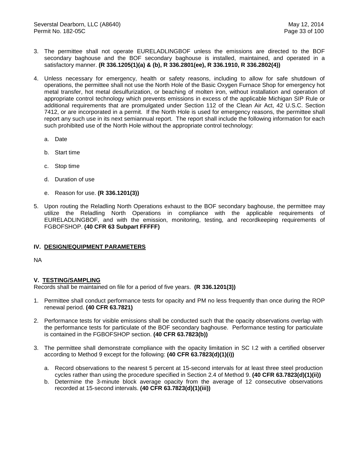- 3. The permittee shall not operate EURELADLINGBOF unless the emissions are directed to the BOF secondary baghouse and the BOF secondary baghouse is installed, maintained, and operated in a satisfactory manner. **(R 336.1205(1)(a) & (b), R 336.2801(ee), R 336.1910, R 336.2802(4))**
- 4. Unless necessary for emergency, health or safety reasons, including to allow for safe shutdown of operations, the permittee shall not use the North Hole of the Basic Oxygen Furnace Shop for emergency hot metal transfer, hot metal desulfurization, or beaching of molten iron, without installation and operation of appropriate control technology which prevents emissions in excess of the applicable Michigan SIP Rule or additional requirements that are promulgated under Section 112 of the Clean Air Act, 42 U.S.C. Section 7412, or are incorporated in a permit. If the North Hole is used for emergency reasons, the permittee shall report any such use in its next semiannual report. The report shall include the following information for each such prohibited use of the North Hole without the appropriate control technology:
	- a. Date
	- b. Start time
	- c. Stop time
	- d. Duration of use
	- e. Reason for use. **(R 336.1201(3))**
- 5. Upon routing the Reladling North Operations exhaust to the BOF secondary baghouse, the permittee may utilize the Reladling North Operations in compliance with the applicable requirements of EURELADLINGBOF, and with the emission, monitoring, testing, and recordkeeping requirements of FGBOFSHOP. **(40 CFR 63 Subpart FFFFF)**

#### **IV. DESIGN/EQUIPMENT PARAMETERS**

NA

#### **V. TESTING/SAMPLING**

- 1. Permittee shall conduct performance tests for opacity and PM no less frequently than once during the ROP renewal period. **(40 CFR 63.7821)**
- 2. Performance tests for visible emissions shall be conducted such that the opacity observations overlap with the performance tests for particulate of the BOF secondary baghouse. Performance testing for particulate is contained in the FGBOFSHOP section. **(40 CFR 63.7823(b))**
- 3. The permittee shall demonstrate compliance with the opacity limitation in SC I.2 with a certified observer according to Method 9 except for the following: **(40 CFR 63.7823(d)(1)(i))**
	- a. Record observations to the nearest 5 percent at 15-second intervals for at least three steel production cycles rather than using the procedure specified in Section 2.4 of Method 9. **(40 CFR 63.7823(d)(1)(ii))**
	- b. Determine the 3-minute block average opacity from the average of 12 consecutive observations recorded at 15-second intervals. **(40 CFR 63.7823(d)(1)(iii))**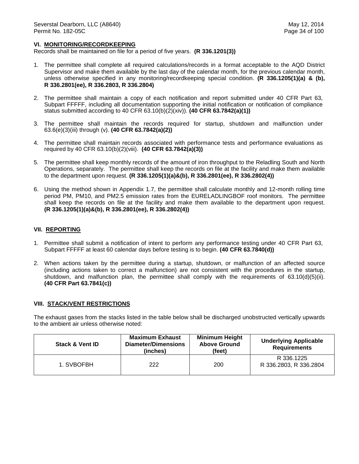#### **VI. MONITORING/RECORDKEEPING**

Records shall be maintained on file for a period of five years. **(R 336.1201(3))**

- 1. The permittee shall complete all required calculations/records in a format acceptable to the AQD District Supervisor and make them available by the last day of the calendar month, for the previous calendar month, unless otherwise specified in any monitoring/recordkeeping special condition. **(R 336.1205(1)(a) & (b), R 336.2801(ee), R 336.2803, R 336.2804)**
- 2. The permittee shall maintain a copy of each notification and report submitted under 40 CFR Part 63, Subpart FFFFF, including all documentation supporting the initial notification or notification of compliance status submitted according to 40 CFR 63.10(b)(2)(xiv)). **(40 CFR 63.7842(a)(1))**
- 3. The permittee shall maintain the records required for startup, shutdown and malfunction under 63.6(e)(3)(iii) through (v). **(40 CFR 63.7842(a)(2))**
- 4. The permittee shall maintain records associated with performance tests and performance evaluations as required by 40 CFR 63.10(b)(2)(viii). **(40 CFR 63.7842(a)(3))**
- 5. The permittee shall keep monthly records of the amount of iron throughput to the Reladling South and North Operations, separately. The permittee shall keep the records on file at the facility and make them available to the department upon request. **(R 336.1205(1)(a)&(b), R 336.2801(ee), R 336.2802(4))**
- 6. Using the method shown in Appendix 1.7, the permittee shall calculate monthly and 12-month rolling time period PM, PM10, and PM2.5 emission rates from the EURELADLINGBOF roof monitors. The permittee shall keep the records on file at the facility and make them available to the department upon request. **(R 336.1205(1)(a)&(b), R 336.2801(ee), R 336.2802(4))**

#### **VII. REPORTING**

- 1. Permittee shall submit a notification of intent to perform any performance testing under 40 CFR Part 63, Subpart FFFFF at least 60 calendar days before testing is to begin. **(40 CFR 63.7840(d))**
- 2. When actions taken by the permittee during a startup, shutdown, or malfunction of an affected source (including actions taken to correct a malfunction) are not consistent with the procedures in the startup, shutdown, and malfunction plan, the permittee shall comply with the requirements of 63.10(d)(5)(ii). **(40 CFR Part 63.7841(c))**

#### **VIII. STACK/VENT RESTRICTIONS**

The exhaust gases from the stacks listed in the table below shall be discharged unobstructed vertically upwards to the ambient air unless otherwise noted:

| <b>Stack &amp; Vent ID</b> | <b>Maximum Exhaust</b><br><b>Diameter/Dimensions</b><br>(inches) | <b>Minimum Height</b><br><b>Above Ground</b><br>(feet) | <b>Underlying Applicable</b><br><b>Requirements</b> |
|----------------------------|------------------------------------------------------------------|--------------------------------------------------------|-----------------------------------------------------|
| 1. SVBOFBH                 | 222                                                              | 200                                                    | R 336.1225<br>R 336.2803, R 336.2804                |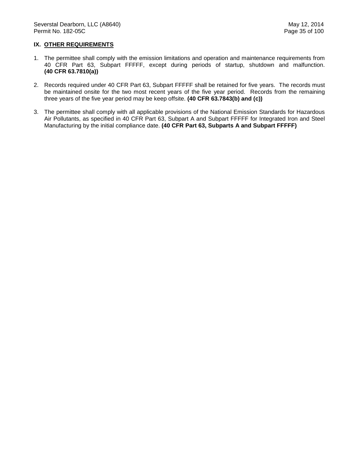### **IX. OTHER REQUIREMENTS**

- 1. The permittee shall comply with the emission limitations and operation and maintenance requirements from 40 CFR Part 63, Subpart FFFFF, except during periods of startup, shutdown and malfunction. **(40 CFR 63.7810(a))**
- 2. Records required under 40 CFR Part 63, Subpart FFFFF shall be retained for five years. The records must be maintained onsite for the two most recent years of the five year period. Records from the remaining three years of the five year period may be keep offsite. **(40 CFR 63.7843(b) and (c))**
- 3. The permittee shall comply with all applicable provisions of the National Emission Standards for Hazardous Air Pollutants, as specified in 40 CFR Part 63, Subpart A and Subpart FFFFF for Integrated Iron and Steel Manufacturing by the initial compliance date. **(40 CFR Part 63, Subparts A and Subpart FFFFF)**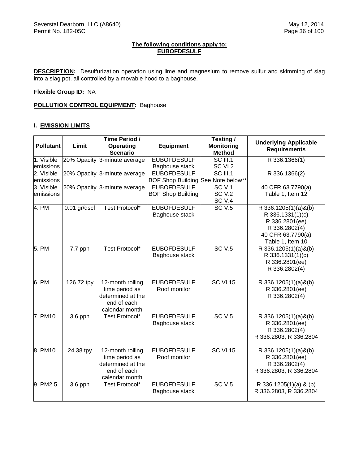## **The following conditions apply to: EUBOFDESULF**

**DESCRIPTION:** Desulfurization operation using lime and magnesium to remove sulfur and skimming of slag into a slag pot, all controlled by a movable hood to a baghouse.

**Flexible Group ID:** NA

**POLLUTION CONTROL EQUIPMENT:** Baghouse

## **I. EMISSION LIMITS**

| <b>Pollutant</b> | Limit          | Time Period /<br>Operating<br><b>Scenario</b> | <b>Equipment</b>                   | Testing /<br><b>Monitoring</b><br><b>Method</b> | <b>Underlying Applicable</b><br><b>Requirements</b> |
|------------------|----------------|-----------------------------------------------|------------------------------------|-------------------------------------------------|-----------------------------------------------------|
| 1. Visible       | 20% Opacity    | 3-minute average                              | <b>EUBOFDESULF</b>                 | SC III.1                                        | R 336.1366(1)                                       |
| emissions        |                |                                               | Baghouse stack                     | SC VI.2                                         |                                                     |
| 2. Visible       | 20% Opacity    | 3-minute average                              | <b>EUBOFDESULF</b>                 | $SC$ III.1                                      | R 336.1366(2)                                       |
| emissions        |                |                                               | BOF Shop Building See Note below** |                                                 |                                                     |
| 3. Visible       | 20% Opacity    | 3-minute average                              | <b>EUBOFDESULF</b>                 | <b>SC V.1</b>                                   | 40 CFR 63.7790(a)                                   |
| emissions        |                |                                               | <b>BOF Shop Building</b>           | <b>SC V.2</b>                                   | Table 1, Item 12                                    |
|                  |                |                                               |                                    | SC <sub>V.4</sub>                               |                                                     |
| 4. PM            | $0.01$ gr/dscf | <b>Test Protocol*</b>                         | <b>EUBOFDESULF</b>                 | <b>SC V.5</b>                                   | R 336.1205(1)(a)&(b)                                |
|                  |                |                                               | Baghouse stack                     |                                                 | R 336.1331(1)(c)                                    |
|                  |                |                                               |                                    |                                                 | R 336.2801(ee)                                      |
|                  |                |                                               |                                    |                                                 | R 336.2802(4)                                       |
|                  |                |                                               |                                    |                                                 | 40 CFR 63.7790(a)                                   |
|                  |                |                                               |                                    |                                                 | Table 1, Item 10                                    |
| 5. PM            | 7.7 pph        | Test Protocol*                                | <b>EUBOFDESULF</b>                 | SCV.5                                           | R 336.1205(1)(a)&(b)                                |
|                  |                |                                               | Baghouse stack                     |                                                 | R 336.1331(1)(c)                                    |
|                  |                |                                               |                                    |                                                 | R 336.2801(ee)                                      |
|                  |                |                                               |                                    |                                                 | R 336.2802(4)                                       |
| 6. PM            | 126.72 tpy     | $12$ -month rolling                           | <b>EUBOFDESULF</b>                 | <b>SC VI.15</b>                                 | R 336.1205(1)(a)&(b)                                |
|                  |                | time period as                                | Roof monitor                       |                                                 | R 336.2801(ee)                                      |
|                  |                | determined at the                             |                                    |                                                 | R 336.2802(4)                                       |
|                  |                | end of each                                   |                                    |                                                 |                                                     |
|                  |                | calendar month                                |                                    |                                                 |                                                     |
| 7. PM10          | $3.6$ pph      | Test Protocol*                                | <b>EUBOFDESULF</b>                 | SCV.5                                           | R 336.1205(1)(a)&(b)                                |
|                  |                |                                               | Baghouse stack                     |                                                 | R 336.2801(ee)                                      |
|                  |                |                                               |                                    |                                                 | R 336.2802(4)                                       |
|                  |                |                                               |                                    |                                                 | R 336.2803, R 336.2804                              |
| 8. PM10          | 24.38 tpy      | 12-month rolling                              | <b>EUBOFDESULF</b>                 | <b>SC VI.15</b>                                 | R 336.1205(1)(a)&(b)                                |
|                  |                | time period as                                | Roof monitor                       |                                                 | R 336.2801(ee)                                      |
|                  |                | determined at the                             |                                    |                                                 | R 336.2802(4)                                       |
|                  |                | end of each                                   |                                    |                                                 | R 336.2803, R 336.2804                              |
|                  |                | calendar month                                |                                    |                                                 |                                                     |
| 9. PM2.5         | $3.6$ pph      | Test Protocol*                                | <b>EUBOFDESULF</b>                 | SCV.5                                           | R 336.1205(1)(a) & (b)                              |
|                  |                |                                               | Baghouse stack                     |                                                 | R 336.2803, R 336.2804                              |
|                  |                |                                               |                                    |                                                 |                                                     |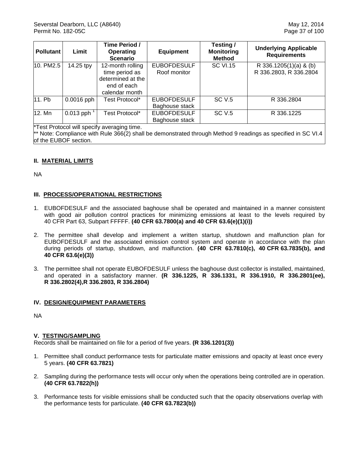| <b>Pollutant</b> | Limit                    | Time Period /<br><b>Operating</b><br><b>Scenario</b>                                     | <b>Equipment</b>                     | Testing /<br><b>Monitoring</b><br><b>Method</b> | <b>Underlying Applicable</b><br><b>Requirements</b> |
|------------------|--------------------------|------------------------------------------------------------------------------------------|--------------------------------------|-------------------------------------------------|-----------------------------------------------------|
| 10. PM2.5        | 14.25 tpy                | 12-month rolling<br>time period as<br>determined at the<br>end of each<br>calendar month | <b>EUBOFDESULF</b><br>Roof monitor   | <b>SC VI.15</b>                                 | R 336.1205(1)(a) & (b)<br>R 336.2803, R 336.2804    |
| 11. Pb           | $0.0016$ pph             | Test Protocol*                                                                           | <b>EUBOFDESULF</b><br>Baghouse stack | <b>SC V.5</b>                                   | R 336,2804                                          |
| 12. Mn           | $0.013$ pph <sup>1</sup> | Test Protocol*                                                                           | <b>EUBOFDESULF</b><br>Baghouse stack | <b>SC V.5</b>                                   | R 336.1225                                          |

\*Test Protocol will specify averaging time.

\*\* Note: Compliance with Rule 366(2) shall be demonstrated through Method 9 readings as specified in SC VI.4 of the EUBOF section.

# **II. MATERIAL LIMITS**

NA

## **III. PROCESS/OPERATIONAL RESTRICTIONS**

- 1. EUBOFDESULF and the associated baghouse shall be operated and maintained in a manner consistent with good air pollution control practices for minimizing emissions at least to the levels required by 40 CFR Part 63, Subpart FFFFF. **(40 CFR 63.7800(a) and 40 CFR 63.6(e)(1)(i))**
- 2. The permittee shall develop and implement a written startup, shutdown and malfunction plan for EUBOFDESULF and the associated emission control system and operate in accordance with the plan during periods of startup, shutdown, and malfunction. **(40 CFR 63.7810(c), 40 CFR 63.7835(b), and 40 CFR 63.6(e)(3))**
- 3. The permittee shall not operate EUBOFDESULF unless the baghouse dust collector is installed, maintained, and operated in a satisfactory manner. **(R 336.1225, R 336.1331, R 336.1910, R 336.2801(ee), R 336.2802(4),R 336.2803, R 336.2804)**

## **IV. DESIGN/EQUIPMENT PARAMETERS**

NA

## **V. TESTING/SAMPLING**

- 1. Permittee shall conduct performance tests for particulate matter emissions and opacity at least once every 5 years. **(40 CFR 63.7821)**
- 2. Sampling during the performance tests will occur only when the operations being controlled are in operation. **(40 CFR 63.7822(h))**
- 3. Performance tests for visible emissions shall be conducted such that the opacity observations overlap with the performance tests for particulate. **(40 CFR 63.7823(b))**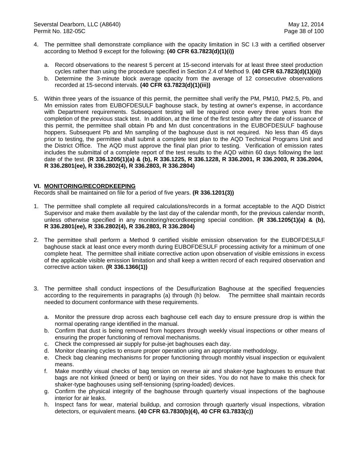- 4. The permittee shall demonstrate compliance with the opacity limitation in SC I.3 with a certified observer according to Method 9 except for the following: **(40 CFR 63.7823(d)(1)(i))**
	- a. Record observations to the nearest 5 percent at 15-second intervals for at least three steel production cycles rather than using the procedure specified in Section 2.4 of Method 9. **(40 CFR 63.7823(d)(1)(ii))**
	- b. Determine the 3-minute block average opacity from the average of 12 consecutive observations recorded at 15-second intervals. **(40 CFR 63.7823(d)(1)(iii))**
- 5. Within three years of the issuance of this permit, the permittee shall verify the PM, PM10, PM2.5, Pb, and Mn emission rates from EUBOFDESULF baghouse stack, by testing at owner's expense, in accordance with Department requirements. Subsequent testing will be required once every three years from the completion of the previous stack test. In addition, at the time of the first testing after the date of issuance of this permit, the permittee shall obtain Pb and Mn dust concentrations in the EUBOFDESULF baghouse hoppers. Subsequent Pb and Mn sampling of the baghouse dust is not required. No less than 45 days prior to testing, the permittee shall submit a complete test plan to the AQD Technical Programs Unit and the District Office. The AQD must approve the final plan prior to testing. Verification of emission rates includes the submittal of a complete report of the test results to the AQD within 60 days following the last date of the test. **(R 336.1205(1)(a) & (b), R 336.1225, R 336.1228, R 336.2001, R 336.2003, R 336.2004, R 336.2801(ee), R 336.2802(4), R 336.2803, R 336.2804)**

## **VI. MONITORING/RECORDKEEPING**

- 1. The permittee shall complete all required calculations/records in a format acceptable to the AQD District Supervisor and make them available by the last day of the calendar month, for the previous calendar month, unless otherwise specified in any monitoring/recordkeeping special condition. **(R 336.1205(1)(a) & (b), R 336.2801(ee), R 336.2802(4), R 336.2803, R 336.2804)**
- 2. The permittee shall perform a Method 9 certified visible emission observation for the EUBOFDESULF baghouse stack at least once every month during EUBOFDESULF processing activity for a minimum of one complete heat. The permittee shall initiate corrective action upon observation of visible emissions in excess of the applicable visible emission limitation and shall keep a written record of each required observation and corrective action taken. **(R 336.1366(1))**
- 3. The permittee shall conduct inspections of the Desulfurization Baghouse at the specified frequencies according to the requirements in paragraphs (a) through (h) below. The permittee shall maintain records needed to document conformance with these requirements.
	- a. Monitor the pressure drop across each baghouse cell each day to ensure pressure drop is within the normal operating range identified in the manual.
	- b. Confirm that dust is being removed from hoppers through weekly visual inspections or other means of ensuring the proper functioning of removal mechanisms.
	- c. Check the compressed air supply for pulse-jet baghouses each day.
	- d. Monitor cleaning cycles to ensure proper operation using an appropriate methodology.
	- e. Check bag cleaning mechanisms for proper functioning through monthly visual inspection or equivalent means.
	- f. Make monthly visual checks of bag tension on reverse air and shaker-type baghouses to ensure that bags are not kinked (kneed or bent) or laying on their sides. You do not have to make this check for shaker-type baghouses using self-tensioning (spring-loaded) devices.
	- g. Confirm the physical integrity of the baghouse through quarterly visual inspections of the baghouse interior for air leaks.
	- h. Inspect fans for wear, material buildup, and corrosion through quarterly visual inspections, vibration detectors, or equivalent means. **(40 CFR 63.7830(b)(4), 40 CFR 63.7833(c))**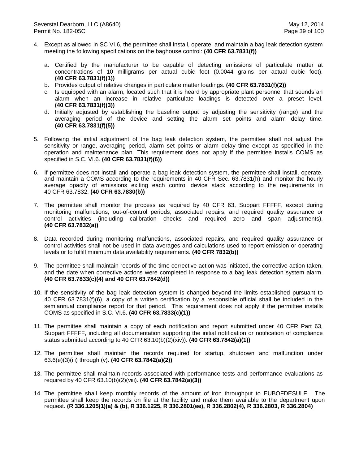- 4. Except as allowed in SC VI.6, the permittee shall install, operate, and maintain a bag leak detection system meeting the following specifications on the baghouse control: **(40 CFR 63.7831(f))**
	- a. Certified by the manufacturer to be capable of detecting emissions of particulate matter at concentrations of 10 milligrams per actual cubic foot (0.0044 grains per actual cubic foot). **(40 CFR 63.7831(f)(1))**
	- b. Provides output of relative changes in particulate matter loadings. **(40 CFR 63.7831(f)(2))**
	- c. Is equipped with an alarm, located such that it is heard by appropriate plant personnel that sounds an alarm when an increase in relative particulate loadings is detected over a preset level. **(40 CFR 63.7831(f)(3))**
	- d. Initially adjusted by establishing the baseline output by adjusting the sensitivity (range) and the averaging period of the device and setting the alarm set points and alarm delay time. **(40 CFR 63.7831(f)(5))**
- 5. Following the initial adjustment of the bag leak detection system, the permittee shall not adjust the sensitivity or range, averaging period, alarm set points or alarm delay time except as specified in the operation and maintenance plan. This requirement does not apply if the permittee installs COMS as specified in S.C. VI.6. **(40 CFR 63.7831(f)(6))**
- 6. If permittee does not install and operate a bag leak detection system, the permittee shall install, operate, and maintain a COMS according to the requirements in 40 CFR Sec. 63.7831(h) and monitor the hourly average opacity of emissions exiting each control device stack according to the requirements in 40 CFR 63.7832. **(40 CFR 63.7830(b))**
- 7. The permittee shall monitor the process as required by 40 CFR 63, Subpart FFFFF, except during monitoring malfunctions, out-of-control periods, associated repairs, and required quality assurance or control activities (including calibration checks and required zero and span adjustments). **(40 CFR 63.7832(a))**
- 8. Data recorded during monitoring malfunctions, associated repairs, and required quality assurance or control activities shall not be used in data averages and calculations used to report emission or operating levels or to fulfill minimum data availability requirements. **(40 CFR 7832(b))**
- 9. The permittee shall maintain records of the time corrective action was initiated, the corrective action taken, and the date when corrective actions were completed in response to a bag leak detection system alarm. **(40 CFR 63.7833(c)(4) and 40 CFR 63.7842(d))**
- 10. If the sensitivity of the bag leak detection system is changed beyond the limits established pursuant to 40 CFR 63.7831(f)(6), a copy of a written certification by a responsible official shall be included in the semiannual compliance report for that period. This requirement does not apply if the permittee installs COMS as specified in S.C. VI.6. **(40 CFR 63.7833(c)(1))**
- 11. The permittee shall maintain a copy of each notification and report submitted under 40 CFR Part 63, Subpart FFFFF, including all documentation supporting the initial notification or notification of compliance status submitted according to 40 CFR 63.10(b)(2)(xiv)). **(40 CFR 63.7842(a)(1))**
- 12. The permittee shall maintain the records required for startup, shutdown and malfunction under 63.6(e)(3)(iii) through (v). **(40 CFR 63.7842(a)(2))**
- 13. The permittee shall maintain records associated with performance tests and performance evaluations as required by 40 CFR 63.10(b)(2)(viii). **(40 CFR 63.7842(a)(3))**
- 14. The permittee shall keep monthly records of the amount of iron throughput to EUBOFDESULF. The permittee shall keep the records on file at the facility and make them available to the department upon request. **(R 336.1205(1)(a) & (b), R 336.1225, R 336.2801(ee), R 336.2802(4), R 336.2803, R 336.2804)**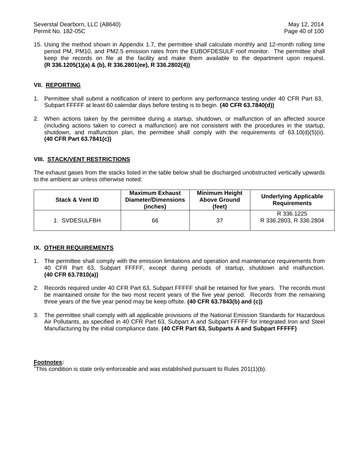15. Using the method shown in Appendix 1.7, the permittee shall calculate monthly and 12-month rolling time period PM, PM10, and PM2.5 emission rates from the EUBOFDESULF roof monitor. The permittee shall keep the records on file at the facility and make them available to the department upon request. **(R 336.1205(1)(a) & (b), R 336.2801(ee), R 336.2802(4))**

### **VII. REPORTING**

- 1. Permittee shall submit a notification of intent to perform any performance testing under 40 CFR Part 63, Subpart FFFFF at least 60 calendar days before testing is to begin. **(40 CFR 63.7840(d))**
- 2. When actions taken by the permittee during a startup, shutdown, or malfunction of an affected source (including actions taken to correct a malfunction) are not consistent with the procedures in the startup, shutdown, and malfunction plan, the permittee shall comply with the requirements of 63.10(d)(5)(ii). **(40 CFR Part 63.7841(c))**

### **VIII. STACK/VENT RESTRICTIONS**

The exhaust gases from the stacks listed in the table below shall be discharged unobstructed vertically upwards to the ambient air unless otherwise noted:

| <b>Stack &amp; Vent ID</b> | <b>Maximum Exhaust</b><br><b>Diameter/Dimensions</b><br>(inches) | <b>Minimum Height</b><br><b>Above Ground</b><br>(feet) | <b>Underlying Applicable</b><br><b>Requirements</b> |
|----------------------------|------------------------------------------------------------------|--------------------------------------------------------|-----------------------------------------------------|
| 1. SVDESULFBH              | 66                                                               | -37                                                    | R 336.1225<br>R 336.2803, R 336.2804                |

### **IX. OTHER REQUIREMENTS**

- 1. The permittee shall comply with the emission limitations and operation and maintenance requirements from 40 CFR Part 63, Subpart FFFFF, except during periods of startup, shutdown and malfunction. **(40 CFR 63.7810(a))**
- 2. Records required under 40 CFR Part 63, Subpart FFFFF shall be retained for five years. The records must be maintained onsite for the two most recent years of the five year period. Records from the remaining three years of the five year period may be keep offsite. **(40 CFR 63.7843(b) and (c))**
- 3. The permittee shall comply with all applicable provisions of the National Emission Standards for Hazardous Air Pollutants, as specified in 40 CFR Part 63, Subpart A and Subpart FFFFF for Integrated Iron and Steel Manufacturing by the initial compliance date. **(40 CFR Part 63, Subparts A and Subpart FFFFF)**

### **Footnotes:**

<sup>1</sup>This condition is state only enforceable and was established pursuant to Rules 201(1)(b).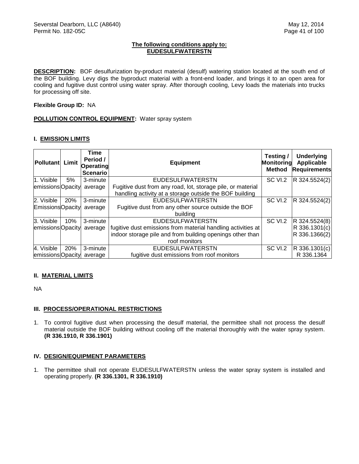### **The following conditions apply to: EUDESULFWATERSTN**

**DESCRIPTION:** BOF desulfurization by-product material (desulf) watering station located at the south end of the BOF building. Levy digs the byproduct material with a front-end loader, and brings it to an open area for cooling and fugitive dust control using water spray. After thorough cooling, Levy loads the materials into trucks for processing off site.

### **Flexible Group ID:** NA

## **POLLUTION CONTROL EQUIPMENT:** Water spray system

### **I. EMISSION LIMITS**

| Pollutant Limit         |     | Time<br>Period /<br><b>Operating</b><br><b>Scenario</b> | <b>Equipment</b>                                             | Testing/<br>Monitoring<br><b>Method</b> | <b>Underlying</b><br>Applicable<br><b>Requirements</b> |
|-------------------------|-----|---------------------------------------------------------|--------------------------------------------------------------|-----------------------------------------|--------------------------------------------------------|
| 1. Visible              | 5%  | 3-minute                                                | <b>EUDESULFWATERSTN</b>                                      | SC VI.2                                 | R 324.5524(2)                                          |
| emissions Opacity       |     | average                                                 | Fugitive dust from any road, lot, storage pile, or material  |                                         |                                                        |
|                         |     |                                                         | handling activity at a storage outside the BOF building      |                                         |                                                        |
| 2. Visible              | 20% | 3-minute                                                | <b>EUDESULFWATERSTN</b>                                      | SC VI.2                                 | R 324.5524(2)                                          |
| <b>EmissionsOpacity</b> |     | average                                                 | Fugitive dust from any other source outside the BOF          |                                         |                                                        |
|                         |     |                                                         | building                                                     |                                         |                                                        |
| 3. Visible              | 10% | 3-minute                                                | <b>EUDESULFWATERSTN</b>                                      | SC VI.2                                 | R 324.5524(8)                                          |
| emissions Opacity       |     | average                                                 | fugitive dust emissions from material handling activities at |                                         | R 336.1301(c)                                          |
|                         |     |                                                         | indoor storage pile and from building openings other than    |                                         | R 336.1366(2)                                          |
|                         |     |                                                         | roof monitors                                                |                                         |                                                        |
| 4. Visible              | 20% | 3-minute                                                | <b>EUDESULFWATERSTN</b>                                      | SC VI.2                                 | R 336.1301(c)                                          |
| emissions Opacity       |     | average                                                 | fugitive dust emissions from roof monitors                   |                                         | R 336.1364                                             |

## **II. MATERIAL LIMITS**

NA

# **III. PROCESS/OPERATIONAL RESTRICTIONS**

1. To control fugitive dust when processing the desulf material, the permittee shall not process the desulf material outside the BOF building without cooling off the material thoroughly with the water spray system. **(R 336.1910, R 336.1901)**

### **IV. DESIGN/EQUIPMENT PARAMETERS**

1. The permittee shall not operate EUDESULFWATERSTN unless the water spray system is installed and operating properly. **(R 336.1301, R 336.1910)**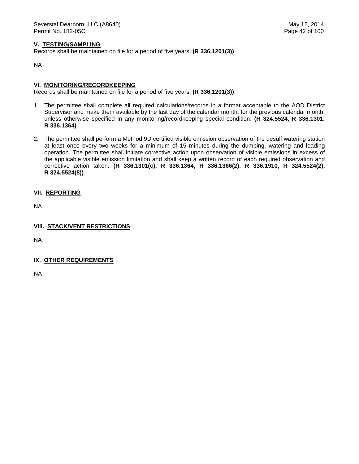### **V. TESTING/SAMPLING**

Records shall be maintained on file for a period of five years. **(R 336.1201(3))**

NA

### **VI. MONITORING/RECORDKEEPING**

Records shall be maintained on file for a period of five years. **(R 336.1201(3))**

- 1. The permittee shall complete all required calculations/records in a format acceptable to the AQD District Supervisor and make them available by the last day of the calendar month, for the previous calendar month, unless otherwise specified in any monitoring/recordkeeping special condition. **(R 324.5524, R 336.1301, R 336.1364)**
- 2. The permittee shall perform a Method 9D certified visible emission observation of the desulf watering station at least once every two weeks for a minimum of 15 minutes during the dumping, watering and loading operation. The permittee shall initiate corrective action upon observation of visible emissions in excess of the applicable visible emission limitation and shall keep a written record of each required observation and corrective action taken. **(R 336.1301(c), R 336.1364, R 336.1366(2), R 336.1910, R 324.5524(2), R 324.5524(8))**
- **VII. REPORTING**

NA

**VIII. STACK/VENT RESTRICTIONS**

NA

**IX. OTHER REQUIREMENTS**

NA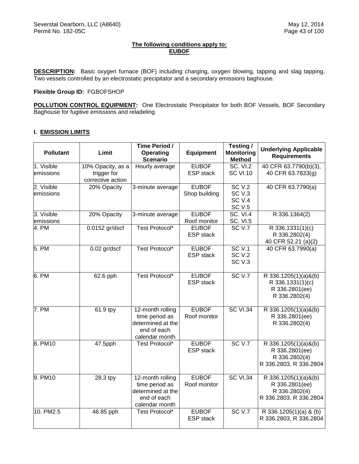## **The following conditions apply to: EUBOF**

**DESCRIPTION:** Basic oxygen furnace (BOF) including charging, oxygen blowing, tapping and slag tapping. Two vessels controlled by an electrostatic precipitator and a secondary emissions baghouse.

### **Flexible Group ID:** FGBOFSHOP

**POLLUTION CONTROL EQUIPMENT:** One Electrostatic Precipitator for both BOF Vessels, BOF Secondary Baghouse for fugitive emissions and reladeling

## **I. EMISSION LIMITS**

| <b>Pollutant</b>        | Limit                                                 | Time Period /<br><b>Operating</b><br><b>Scenario</b>                                     | <b>Equipment</b>                 | Testing /<br><b>Monitoring</b><br><b>Method</b>                  | <b>Underlying Applicable</b><br><b>Requirements</b>                               |
|-------------------------|-------------------------------------------------------|------------------------------------------------------------------------------------------|----------------------------------|------------------------------------------------------------------|-----------------------------------------------------------------------------------|
| 1. Visible<br>emissions | 10% Opacity, as a<br>trigger for<br>corrective action | Hourly average                                                                           | <b>EUBOF</b><br><b>ESP</b> stack | <b>SC. VI.2</b><br><b>SC VI.10</b>                               | 40 CFR 63.7790(b)(3),<br>40 CFR 63.7833(g)                                        |
| 2. Visible<br>emissions | 20% Opacity                                           | 3-minute average                                                                         | <b>EUBOF</b><br>Shop building    | SCV.2<br>SC <sub>V.3</sub><br>SC <sub>V.4</sub><br><b>SC V.5</b> | 40 CFR 63.7790(a)                                                                 |
| 3. Visible<br>emissions | 20% Opacity                                           | 3-minute average                                                                         | <b>EUBOF</b><br>Roof monitor     | <b>SC. VI.4</b><br><b>SC. VI.5</b>                               | R 336.1364(2)                                                                     |
| 4. PM                   | 0.0152 gr/dscf                                        | Test Protocol*                                                                           | <b>EUBOF</b><br><b>ESP</b> stack | <b>SC V.7</b>                                                    | R 336.1331(1)(c)<br>R 336.2802(4)<br>40 CFR 52.21 (a)(2)                          |
| 5. PM                   | 0.02 gr/dscf                                          | <b>Test Protocol*</b>                                                                    | <b>EUBOF</b><br><b>ESP</b> stack | SCV.1<br><b>SC V.2</b><br>SC <sub>V.3</sub>                      | 40 CFR 63.7990(a)                                                                 |
| 6. PM                   | $\overline{6}$ 2.6 pph                                | Test Protocol*                                                                           | <b>EUBOF</b><br><b>ESP</b> stack | SC <sub>V.7</sub>                                                | R 336.1205(1)(a)&(b)<br>R 336.1331(1)(c)<br>R 336.2801(ee)<br>R 336.2802(4)       |
| 7. PM                   | 61.9 tpy                                              | 12-month rolling<br>time period as<br>determined at the<br>end of each<br>calendar month | <b>EUBOF</b><br>Roof monitor     | <b>SC VI.34</b>                                                  | R 336.1205(1)(a)&(b)<br>R 336.2801(ee)<br>R 336.2802(4)                           |
| 8. PM10                 | 47.5pph                                               | Test Protocol*                                                                           | <b>EUBOF</b><br><b>ESP</b> stack | SC <sub>V.7</sub>                                                | R 336.1205(1)(a)&(b)<br>R 336.2801(ee)<br>R 336.2802(4)<br>R 336.2803, R 336.2804 |
| 9. PM10                 | 28.3 tpy                                              | 12-month rolling<br>time period as<br>determined at the<br>end of each<br>calendar month | <b>EUBOF</b><br>Roof monitor     | <b>SC VI.34</b>                                                  | R 336.1205(1)(a)&(b)<br>R 336.2801(ee)<br>R 336.2802(4)<br>R 336.2803, R 336.2804 |
| 10. PM2.5               | 46.85 pph                                             | Test Protocol*                                                                           | <b>EUBOF</b><br><b>ESP</b> stack | SC <sub>V.7</sub>                                                | R 336.1205(1)(a) & (b)<br>R 336.2803, R 336.2804                                  |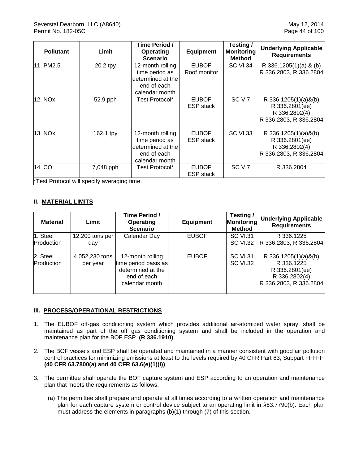| <b>Pollutant</b> | Limit                                       | Time Period /<br><b>Operating</b><br><b>Scenario</b>                                     | <b>Equipment</b>                 | Testing/<br><b>Monitoring</b><br><b>Method</b> | <b>Underlying Applicable</b><br><b>Requirements</b>                                      |
|------------------|---------------------------------------------|------------------------------------------------------------------------------------------|----------------------------------|------------------------------------------------|------------------------------------------------------------------------------------------|
| 11. PM2.5        | 20.2 tpy                                    | 12-month rolling<br>time period as<br>determined at the<br>end of each<br>calendar month | <b>EUBOF</b><br>Roof monitor     | <b>SC VI.34</b>                                | R 336.1205(1)(a) & (b)<br>R 336.2803, R 336.2804                                         |
| 12. NOx          | 52.9 pph                                    | Test Protocol*                                                                           | <b>EUBOF</b><br><b>ESP</b> stack | <b>SC V.7</b>                                  | R 336.1205 $(1)(a)$ & $(b)$<br>R 336.2801(ee)<br>R 336.2802(4)<br>R 336.2803, R 336.2804 |
| 13. NOx          | 162.1 tpy                                   | 12-month rolling<br>time period as<br>determined at the<br>end of each<br>calendar month | <b>EUBOF</b><br><b>ESP</b> stack | <b>SC VI.33</b>                                | R 336.1205(1)(a)&(b)<br>R 336.2801(ee)<br>R 336.2802(4)<br>R 336.2803, R 336.2804        |
| 14. CO           | 7,048 pph                                   | Test Protocol*                                                                           | <b>EUBOF</b><br><b>ESP</b> stack | SC V.7                                         | R 336.2804                                                                               |
|                  | *Test Protocol will specify averaging time. |                                                                                          |                                  |                                                |                                                                                          |

# **II. MATERIAL LIMITS**

| <b>Material</b>        | Limit                      | Time Period /<br>Operating<br><b>Scenario</b>                                                  | <b>Equipment</b> | Testing/<br>Monitoring<br><b>Method</b> | <b>Underlying Applicable</b><br><b>Requirements</b>                                                |
|------------------------|----------------------------|------------------------------------------------------------------------------------------------|------------------|-----------------------------------------|----------------------------------------------------------------------------------------------------|
| 1. Steel<br>Production | 12,200 tons per<br>day     | Calendar Day                                                                                   | <b>EUBOF</b>     | <b>SC VI.31</b><br><b>SC VI.32</b>      | R 336.1225<br>R 336.2803, R 336.2804                                                               |
| 2. Steel<br>Production | 4,052,230 tons<br>per year | 12-month rolling<br>time period basis as<br>determined at the<br>end of each<br>calendar month | <b>EUBOF</b>     | <b>SC VI.31</b><br><b>SC VI.32</b>      | R $336.1205(1)(a)$ &(b)<br>R 336.1225<br>R 336.2801(ee)<br>R 336.2802(4)<br>R 336.2803, R 336.2804 |

## **III. PROCESS/OPERATIONAL RESTRICTIONS**

- 1. The EUBOF off-gas conditioning system which provides additional air-atomized water spray, shall be maintained as part of the off gas conditioning system and shall be included in the operation and maintenance plan for the BOF ESP. **(R 336.1910)**
- 2. The BOF vessels and ESP shall be operated and maintained in a manner consistent with good air pollution control practices for minimizing emissions at least to the levels required by 40 CFR Part 63, Subpart FFFFF. **(40 CFR 63.7800(a) and 40 CFR 63.6(e)(1)(i))**
- 3. The permittee shall operate the BOF capture system and ESP according to an operation and maintenance plan that meets the requirements as follows:
	- (a) The permittee shall prepare and operate at all times according to a written operation and maintenance plan for each capture system or control device subject to an operating limit in §63.7790(b). Each plan must address the elements in paragraphs (b)(1) through (7) of this section.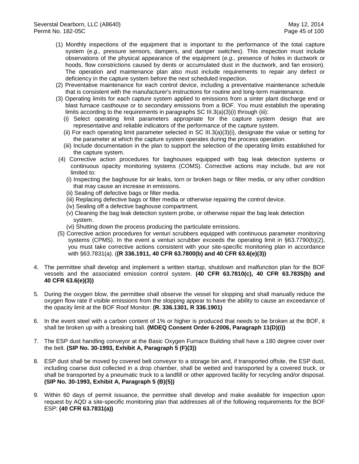- (1) Monthly inspections of the equipment that is important to the performance of the total capture system (*e.g.,* pressure sensors, dampers, and damper switches). This inspection must include observations of the physical appearance of the equipment (*e.g.,* presence of holes in ductwork or hoods, flow constrictions caused by dents or accumulated dust in the ductwork, and fan erosion). The operation and maintenance plan also must include requirements to repair any defect or deficiency in the capture system before the next scheduled inspection.
- (2) Preventative maintenance for each control device, including a preventative maintenance schedule that is consistent with the manufacturer's instructions for routine and long-term maintenance.
- (3) Operating limits for each capture system applied to emissions from a sinter plant discharge end or blast furnace casthouse or to secondary emissions from a BOF. You must establish the operating limits according to the requirements in paragraphs SC III.3(a)(3)(i) through (iii):
	- (i) Select operating limit parameters appropriate for the capture system design that are representative and reliable indicators of the performance of the capture system.
	- (ii) For each operating limit parameter selected in SC III.3(a)(3)(i), designate the value or setting for the parameter at which the capture system operates during the process operation.
	- (iii) Include documentation in the plan to support the selection of the operating limits established for the capture system.
- (4) Corrective action procedures for baghouses equipped with bag leak detection systems or continuous opacity monitoring systems (COMS). Corrective actions may include, but are not limited to:
	- (i) Inspecting the baghouse for air leaks, torn or broken bags or filter media, or any other condition that may cause an increase in emissions.
	- (ii) Sealing off defective bags or filter media.
	- (iii) Replacing defective bags or filter media or otherwise repairing the control device.
	- (iv) Sealing off a defective baghouse compartment.
	- (v) Cleaning the bag leak detection system probe, or otherwise repair the bag leak detection system.
	- (vi) Shutting down the process producing the particulate emissions.
- (5) Corrective action procedures for venturi scrubbers equipped with continuous parameter monitoring systems (CPMS). In the event a venturi scrubber exceeds the operating limit in §63.7790(b)(2), you must take corrective actions consistent with your site-specific monitoring plan in accordance with §63.7831(a). (**(R 336.1911, 40 CFR 63.7800(b) and 40 CFR 63.6(e)(3))**
- 4. The permittee shall develop and implement a written startup, shutdown and malfunction plan for the BOF vessels and the associated emission control system. **(40 CFR 63.7810(c), 40 CFR 63.7835(b) and 40 CFR 63.6(e)(3))**
- 5. During the oxygen blow, the permittee shall observe the vessel for slopping and shall manually reduce the oxygen flow rate if visible emissions from the slopping appear to have the ability to cause an exceedance of the opacity limit at the BOF Roof Monitor. **(R. 336.1301, R 336.1901)**
- 6. In the event steel with a carbon content of 1% or higher is produced that needs to be broken at the BOF, it shall be broken up with a breaking ball. **(MDEQ Consent Order 6-2006, Paragraph 11(D)(i))**
- 7. The ESP dust handling conveyor at the Basic Oxygen Furnace Building shall have a 180 degree cover over the belt. **(SIP No. 30-1993, Exhibit A, Paragraph 5 (F)(3))**
- 8. ESP dust shall be moved by covered belt conveyor to a storage bin and, if transported offsite, the ESP dust, including coarse dust collected in a drop chamber, shall be wetted and transported by a covered truck, or shall be transported by a pneumatic truck to a landfill or other approved facility for recycling and/or disposal. **(SIP No. 30-1993, Exhibit A, Paragraph 5 (B)(5))**
- 9. Within 60 days of permit issuance, the permittee shall develop and make available for inspection upon request by AQD a site-specific monitoring plan that addresses all of the following requirements for the BOF ESP: **(40 CFR 63.7831(a))**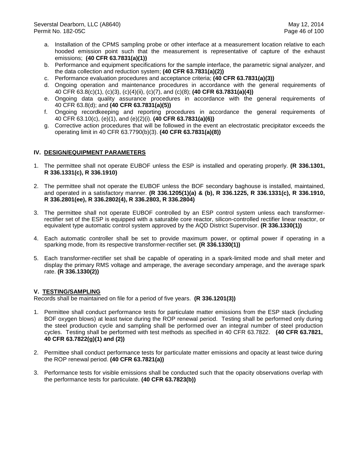- a. Installation of the CPMS sampling probe or other interface at a measurement location relative to each hooded emission point such that the measurement is representative of capture of the exhaust emissions; **(40 CFR 63.7831(a)(1))**
- b. Performance and equipment specifications for the sample interface, the parametric signal analyzer, and the data collection and reduction system; **(40 CFR 63.7831(a)(2))**
- c. Performance evaluation procedures and acceptance criteria; **(40 CFR 63.7831(a)(3))**
- d. Ongoing operation and maintenance procedures in accordance with the general requirements of 40 CFR 63.8(c)(1), (c)(3), (c)(4)(ii), (c)(7), and (c)(8); **(40 CFR 63.7831(a)(4))**
- e. Ongoing data quality assurance procedures in accordance with the general requirements of 40 CFR 63.8(d); and **(40 CFR 63.7831(a)(5))**
- f. Ongoing recordkeeping and reporting procedures in accordance the general requirements of 40 CFR 63.10(c), (e)(1), and (e)(2)(i). **(40 CFR 63.7831(a)(6))**
- g. Corrective action procedures that will be followed in the event an electrostatic precipitator exceeds the operating limit in 40 CFR 63.7790(b)(3). **(40 CFR 63.7831(a)(8))**

## **IV. DESIGN/EQUIPMENT PARAMETERS**

- 1. The permittee shall not operate EUBOF unless the ESP is installed and operating properly. **(R 336.1301, R 336.1331(c), R 336.1910)**
- 2. The permittee shall not operate the EUBOF unless the BOF secondary baghouse is installed, maintained, and operated in a satisfactory manner. **(R 336.1205(1)(a) & (b), R 336.1225, R 336.1331(c), R 336.1910, R 336.2801(ee), R 336.2802(4), R 336.2803, R 336.2804)**
- 3. The permittee shall not operate EUBOF controlled by an ESP control system unless each transformerrectifier set of the ESP is equipped with a saturable core reactor, silicon-controlled rectifier linear reactor, or equivalent type automatic control system approved by the AQD District Supervisor. **(R 336.1330(1))**
- 4. Each automatic controller shall be set to provide maximum power, or optimal power if operating in a sparking mode, from its respective transformer-rectifier set. **(R 336.1330(1))**
- 5. Each transformer-rectifier set shall be capable of operating in a spark-limited mode and shall meter and display the primary RMS voltage and amperage, the average secondary amperage, and the average spark rate. **(R 336.1330(2))**

## **V. TESTING/SAMPLING**

- 1. Permittee shall conduct performance tests for particulate matter emissions from the ESP stack (including BOF oxygen blows) at least twice during the ROP renewal period. Testing shall be performed only during the steel production cycle and sampling shall be performed over an integral number of steel production cycles. Testing shall be performed with test methods as specified in 40 CFR 63.7822. **(40 CFR 63.7821, 40 CFR 63.7822(g)(1) and (2))**
- 2. Permittee shall conduct performance tests for particulate matter emissions and opacity at least twice during the ROP renewal period. **(40 CFR 63.7821(a))**
- 3. Performance tests for visible emissions shall be conducted such that the opacity observations overlap with the performance tests for particulate. **(40 CFR 63.7823(b))**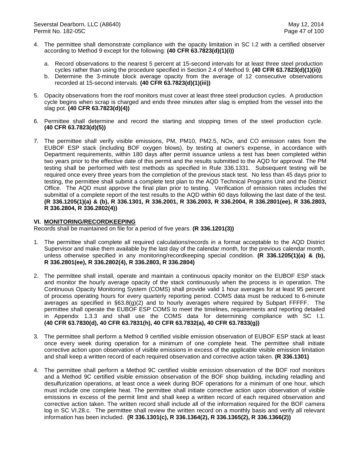- 4. The permittee shall demonstrate compliance with the opacity limitation in SC I.2 with a certified observer according to Method 9 except for the following: **(40 CFR 63.7823(d)(1)(i))**
	- a. Record observations to the nearest 5 percent at 15-second intervals for at least three steel production cycles rather than using the procedure specified in Section 2.4 of Method 9. **(40 CFR 63.7823(d)(1)(ii))**
	- b. Determine the 3-minute block average opacity from the average of 12 consecutive observations recorded at 15-second intervals. **(40 CFR 63.7823(d)(1)(iii))**
- 5. Opacity observations from the roof monitors must cover at least three steel production cycles. A production cycle begins when scrap is charged and ends three minutes after slag is emptied from the vessel into the slag pot. **(40 CFR 63.7823(d)(4))**
- 6. Permittee shall determine and record the starting and stopping times of the steel production cycle. **(40 CFR 63.7823(d)(5))**
- 7. The permittee shall verify visible emissions, PM, PM10, PM2.5, NOx, and CO emission rates from the EUBOF ESP stack (including BOF oxygen blows), by testing at owner's expense, in accordance with Department requirements, within 180 days after permit issuance unless a test has been completed within two years prior to the effective date of this permit and the results submitted to the AQD for approval. The PM testing shall be performed with test methods as specified in Rule 336.1331. Subsequent testing will be required once every three years from the completion of the previous stack test. No less than 45 days prior to testing, the permittee shall submit a complete test plan to the AQD Technical Programs Unit and the District Office. The AQD must approve the final plan prior to testing. Verification of emission rates includes the submittal of a complete report of the test results to the AQD within 60 days following the last date of the test. **(R 336.1205(1)(a) & (b), R 336.1301, R 336.2001, R 336.2003, R 336.2004, R 336.2801(ee), R 336.2803, R 336.2804, R 336.2802(4))**

### **VI. MONITORING/RECORDKEEPING**

- 1. The permittee shall complete all required calculations/records in a format acceptable to the AQD District Supervisor and make them available by the last day of the calendar month, for the previous calendar month, unless otherwise specified in any monitoring/recordkeeping special condition. **(R 336.1205(1)(a) & (b), R 336.2801(ee), R 336.2802(4), R 336.2803, R 336.2804)**
- 2. The permittee shall install, operate and maintain a continuous opacity monitor on the EUBOF ESP stack and monitor the hourly average opacity of the stack continuously when the process is in operation. The Continuous Opacity Monitoring System (COMS) shall provide valid 1 hour averages for at least 95 percent of process operating hours for every quarterly reporting period. COMS data must be reduced to 6-minute averages as specified in  $\S 63.8(g)(2)$  and to hourly averages where required by Subpart FFFFF. The permittee shall operate the EUBOF ESP COMS to meet the timelines, requirements and reporting detailed in Appendix 1.3.3 and shall use the COMS data for determining compliance with SC I.1. **(40 CFR 63.7830(d), 40 CFR 63.7831(h), 40 CFR 63.7832(a), 40 CFR 63.7833(g))**
- 3. The permittee shall perform a Method 9 certified visible emission observation of EUBOF ESP stack at least once every week during operation for a minimum of one complete heat. The permittee shall initiate corrective action upon observation of visible emissions in excess of the applicable visible emission limitation and shall keep a written record of each required observation and corrective action taken. **(R 336.1301)**
- 4. The permittee shall perform a Method 9C certified visible emission observation of the BOF roof monitors and a Method 9C certified visible emission observation of the BOF shop building, including reladling and desulfurization operations, at least once a week during BOF operations for a minimum of one hour, which must include one complete heat. The permittee shall initiate corrective action upon observation of visible emissions in excess of the permit limit and shall keep a written record of each required observation and corrective action taken. The written record shall include all of the information required for the BOF camera log in SC VI.28.c. The permittee shall review the written record on a monthly basis and verify all relevant information has been included. **(R 336.1301(c), R 336.1364(2), R 336.1365(2), R 336.1366(2))**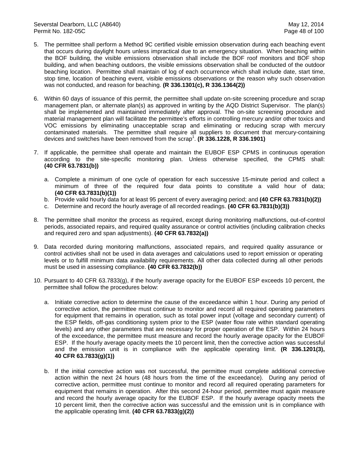- 5. The permittee shall perform a Method 9C certified visible emission observation during each beaching event that occurs during daylight hours unless impractical due to an emergency situation. When beaching within the BOF building, the visible emissions observation shall include the BOF roof monitors and BOF shop building, and when beaching outdoors, the visible emissions observation shall be conducted of the outdoor beaching location. Permittee shall maintain of log of each occurrence which shall include date, start time, stop time, location of beaching event, visible emissions observations or the reason why such observation was not conducted, and reason for beaching. **(R 336.1301(c), R 336.1364(2))**
- 6. Within 60 days of issuance of this permit, the permittee shall update on-site screening procedure and scrap management plan, or alternate plan(s) as approved in writing by the AQD District Supervisor. The plan(s) shall be implemented and maintained immediately after approval. The on-site screening procedure and material management plan will facilitate the permittee's efforts in controlling mercury and/or other toxics and VOC emissions by eliminating unacceptable scrap and eliminating or reducing scrap with mercury contaminated materials. The permittee shall require all suppliers to document that mercury-containing devices and switches have been removed from the scrap<sup>1</sup>. (R 336.1228, R 336.1901)
- 7. If applicable, the permittee shall operate and maintain the EUBOF ESP CPMS in continuous operation according to the site-specific monitoring plan. Unless otherwise specified, the CPMS shall: **(40 CFR 63.7831(b))**
	- a. Complete a minimum of one cycle of operation for each successive 15-minute period and collect a minimum of three of the required four data points to constitute a valid hour of data; **(40 CFR 63.7831(b)(1))**
	- b. Provide valid hourly data for at least 95 percent of every averaging period; and **(40 CFR 63.7831(b)(2))**
	- c. Determine and record the hourly average of all recorded readings. **(40 CFR 63.7831(b)(3))**
- 8. The permittee shall monitor the process as required, except during monitoring malfunctions, out-of-control periods, associated repairs, and required quality assurance or control activities (including calibration checks and required zero and span adjustments). **(40 CFR 63.7832(a))**
- 9. Data recorded during monitoring malfunctions, associated repairs, and required quality assurance or control activities shall not be used in data averages and calculations used to report emission or operating levels or to fulfill minimum data availability requirements. All other data collected during all other periods must be used in assessing compliance. **(40 CFR 63.7832(b))**
- 10. Pursuant to 40 CFR 63.7833(g), if the hourly average opacity for the EUBOF ESP exceeds 10 percent, the permittee shall follow the procedures below:
	- a. Initiate corrective action to determine the cause of the exceedance within 1 hour. During any period of corrective action, the permittee must continue to monitor and record all required operating parameters for equipment that remains in operation, such as total power input (voltage and secondary current) of the ESP fields, off-gas conditioning system prior to the ESP (water flow rate within standard operating levels) and any other parameters that are necessary for proper operation of the ESP. Within 24 hours of the exceedance, the permittee must measure and record the hourly average opacity for the EUBOF ESP. If the hourly average opacity meets the 10 percent limit, then the corrective action was successful and the emission unit is in compliance with the applicable operating limit. **(R 336.1201(3), 40 CFR 63.7833(g)(1))**
	- b. If the initial corrective action was not successful, the permittee must complete additional corrective action within the next 24 hours (48 hours from the time of the exceedance). During any period of corrective action, permittee must continue to monitor and record all required operating parameters for equipment that remains in operation. After this second 24-hour period, permittee must again measure and record the hourly average opacity for the EUBOF ESP. If the hourly average opacity meets the 10 percent limit, then the corrective action was successful and the emission unit is in compliance with the applicable operating limit. **(40 CFR 63.7833(g)(2))**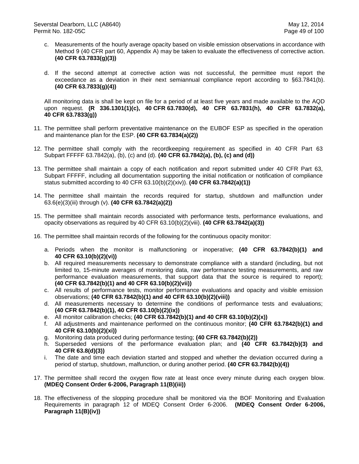- c. Measurements of the hourly average opacity based on visible emission observations in accordance with Method 9 (40 CFR part 60, Appendix A) may be taken to evaluate the effectiveness of corrective action. **(40 CFR 63.7833(g)(3))**
- d. If the second attempt at corrective action was not successful, the permittee must report the exceedance as a deviation in their next semiannual compliance report according to §63.7841(b). **(40 CFR 63.7833(g)(4))**

All monitoring data is shall be kept on file for a period of at least five years and made available to the AQD upon request. **(R 336.1301(1)(c), 40 CFR 63.7830(d), 40 CFR 63.7831(h), 40 CFR 63.7832(a), 40 CFR 63.7833(g))**

- 11. The permittee shall perform preventative maintenance on the EUBOF ESP as specified in the operation and maintenance plan for the ESP. **(40 CFR 63.7834(a)(2))**
- 12. The permittee shall comply with the recordkeeping requirement as specified in 40 CFR Part 63 Subpart FFFFF 63.7842(a), (b), (c) and (d). **(40 CFR 63.7842(a), (b), (c) and (d))**
- 13. The permittee shall maintain a copy of each notification and report submitted under 40 CFR Part 63, Subpart FFFFF, including all documentation supporting the initial notification or notification of compliance status submitted according to 40 CFR 63.10(b)(2)(xiv)). **(40 CFR 63.7842(a)(1))**
- 14. The permittee shall maintain the records required for startup, shutdown and malfunction under 63.6(e)(3)(iii) through (v). **(40 CFR 63.7842(a)(2))**
- 15. The permittee shall maintain records associated with performance tests, performance evaluations, and opacity observations as required by 40 CFR 63.10(b)(2)(viii). **(40 CFR 63.7842(a)(3))**
- 16. The permittee shall maintain records of the following for the continuous opacity monitor:
	- a. Periods when the monitor is malfunctioning or inoperative; **(40 CFR 63.7842(b)(1) and 40 CFR 63.10(b)(2)(vi))**
	- b. All required measurements necessary to demonstrate compliance with a standard (including, but not limited to, 15-minute averages of monitoring data, raw performance testing measurements, and raw performance evaluation measurements, that support data that the source is required to report); **(40 CFR 63.7842(b)(1) and 40 CFR 63.10(b)(2)(vii))**
	- c. All results of performance tests, monitor performance evaluations and opacity and visible emission observations; **(40 CFR 63.7842(b)(1) and 40 CFR 63.10(b)(2)(viii))**
	- d. All measurements necessary to determine the conditions of performance tests and evaluations; **(40 CFR 63.7842(b)(1), 40 CFR 63.10(b)(2)(ix))**
	- e. All monitor calibration checks; **(40 CFR 63.7842(b)(1) and 40 CFR 63.10(b)(2)(x))**
	- f. All adjustments and maintenance performed on the continuous monitor; **(40 CFR 63.7842(b)(1) and 40 CFR 63.10(b)(2)(xi))**
	- g. Monitoring data produced during performance testing; **(40 CFR 63.7842(b)(2))**
	- h. Superseded versions of the performance evaluation plan; and **(40 CFR 63.7842(b)(3) and 40 CFR 63.8(d)(3))**
	- i. The date and time each deviation started and stopped and whether the deviation occurred during a period of startup, shutdown, malfunction, or during another period. **(40 CFR 63.7842(b)(4))**
- 17. The permittee shall record the oxygen flow rate at least once every minute during each oxygen blow. **(MDEQ Consent Order 6-2006, Paragraph 11(B)(iii))**
- 18. The effectiveness of the slopping procedure shall be monitored via the BOF Monitoring and Evaluation Requirements in paragraph 12 of MDEQ Consent Order 6-2006. **(MDEQ Consent Order 6-2006, Paragraph 11(B)(iv))**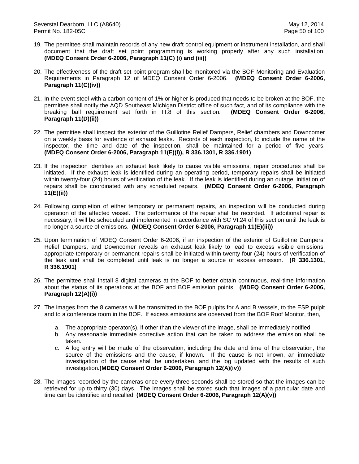- 19. The permittee shall maintain records of any new draft control equipment or instrument installation, and shall document that the draft set point programming is working properly after any such installation. **(MDEQ Consent Order 6-2006, Paragraph 11(C) (i) and (iii))**
- 20. The effectiveness of the draft set point program shall be monitored via the BOF Monitoring and Evaluation Requirements in Paragraph 12 of MDEQ Consent Order 6-2006. **(MDEQ Consent Order 6-2006, Paragraph 11(C)(iv))**
- 21. In the event steel with a carbon content of 1% or higher is produced that needs to be broken at the BOF, the permittee shall notify the AQD Southeast Michigan District office of such fact, and of its compliance with the breaking ball requirement set forth in III.8 of this section. **(MDEQ Consent Order 6-2006, Paragraph 11(D)(ii))**
- 22. The permittee shall inspect the exterior of the Guillotine Relief Dampers, Relief chambers and Downcomer on a weekly basis for evidence of exhaust leaks. Records of each inspection, to include the name of the inspector, the time and date of the inspection, shall be maintained for a period of five years. **(MDEQ Consent Order 6-2006, Paragraph 11(E)(i)), R 336.1301, R 336.1901)**
- 23. If the inspection identifies an exhaust leak likely to cause visible emissions, repair procedures shall be initiated. If the exhaust leak is identified during an operating period, temporary repairs shall be initiated within twenty-four (24) hours of verification of the leak. If the leak is identified during an outage, initiation of repairs shall be coordinated with any scheduled repairs. **(MDEQ Consent Order 6-2006, Paragraph 11(E)(ii))**
- 24. Following completion of either temporary or permanent repairs, an inspection will be conducted during operation of the affected vessel. The performance of the repair shall be recorded. If additional repair is necessary, it will be scheduled and implemented in accordance with SC VI.24 of this section until the leak is no longer a source of emissions. **(MDEQ Consent Order 6-2006, Paragraph 11(E)(iii))**
- 25. Upon termination of MDEQ Consent Order 6-2006, if an inspection of the exterior of Guillotine Dampers, Relief Dampers, and Downcomer reveals an exhaust leak likely to lead to excess visible emissions, appropriate temporary or permanent repairs shall be initiated within twenty-four (24) hours of verification of the leak and shall be completed until leak is no longer a source of excess emission. **(R 336.1301, R 336.1901)**
- 26. The permittee shall install 8 digital cameras at the BOF to better obtain continuous, real-time information about the status of its operations at the BOF and BOF emission points. **(MDEQ Consent Order 6-2006, Paragraph 12(A)(i))**
- 27. The images from the 8 cameras will be transmitted to the BOF pulpits for A and B vessels, to the ESP pulpit and to a conference room in the BOF. If excess emissions are observed from the BOF Roof Monitor, then,
	- a. The appropriate operator(s), if other than the viewer of the image, shall be immediately notified.
	- b. Any reasonable immediate corrective action that can be taken to address the emission shall be taken.
	- c. A log entry will be made of the observation, including the date and time of the observation, the source of the emissions and the cause, if known. If the cause is not known, an immediate investigation of the cause shall be undertaken, and the log updated with the results of such investigation.**(MDEQ Consent Order 6-2006, Paragraph 12(A)(iv))**
- 28. The images recorded by the cameras once every three seconds shall be stored so that the images can be retrieved for up to thirty (30) days. The images shall be stored such that images of a particular date and time can be identified and recalled. **(MDEQ Consent Order 6-2006, Paragraph 12(A)(v))**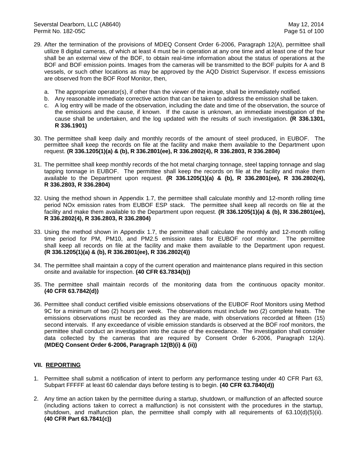- 29. After the termination of the provisions of MDEQ Consent Order 6-2006, Paragraph 12(A), permittee shall utilize 8 digital cameras, of which at least 4 must be in operation at any one time and at least one of the four shall be an external view of the BOF, to obtain real-time information about the status of operations at the BOF and BOF emission points. Images from the cameras will be transmitted to the BOF pulpits for A and B vessels, or such other locations as may be approved by the AQD District Supervisor. If excess emissions are observed from the BOF Roof Monitor, then,
	- a. The appropriate operator(s), if other than the viewer of the image, shall be immediately notified.
	- b. Any reasonable immediate corrective action that can be taken to address the emission shall be taken.
	- c. A log entry will be made of the observation, including the date and time of the observation, the source of the emissions and the cause, if known. If the cause is unknown, an immediate investigation of the cause shall be undertaken, and the log updated with the results of such investigation. **(R 336.1301, R 336.1901)**
- 30. The permittee shall keep daily and monthly records of the amount of steel produced, in EUBOF. The permittee shall keep the records on file at the facility and make them available to the Department upon request. **(R 336.1205(1)(a) & (b), R 336.2801(ee), R 336.2802(4), R 336.2803, R 336.2804)**
- 31. The permittee shall keep monthly records of the hot metal charging tonnage, steel tapping tonnage and slag tapping tonnage in EUBOF. The permittee shall keep the records on file at the facility and make them available to the Department upon request. **(R 336.1205(1)(a) & (b), R 336.2801(ee), R 336.2802(4), R 336.2803, R 336.2804)**
- 32. Using the method shown in Appendix 1.7, the permittee shall calculate monthly and 12-month rolling time period NOx emission rates from EUBOF ESP stack. The permittee shall keep all records on file at the facility and make them available to the Department upon request. **(R 336.1205(1)(a) & (b), R 336.2801(ee), R 336.2802(4), R 336.2803, R 336.2804)**
- 33. Using the method shown in Appendix 1.7, the permittee shall calculate the monthly and 12-month rolling time period for PM, PM10, and PM2.5 emission rates for EUBOF roof monitor. The permittee shall keep all records on file at the facility and make them available to the Department upon request. **(R 336.1205(1)(a) & (b), R 336.2801(ee), R 336.2802(4))**
- 34. The permittee shall maintain a copy of the current operation and maintenance plans required in this section onsite and available for inspection. **(40 CFR 63.7834(b))**
- 35. The permittee shall maintain records of the monitoring data from the continuous opacity monitor. **(40 CFR 63.7842(d))**
- 36. Permittee shall conduct certified visible emissions observations of the EUBOF Roof Monitors using Method 9C for a minimum of two (2) hours per week. The observations must include two (2) complete heats. The emissions observations must be recorded as they are made, with observations recorded at fifteen (15) second intervals. If any exceedance of visible emission standards is observed at the BOF roof monitors, the permittee shall conduct an investigation into the cause of the exceedance. The investigation shall consider data collected by the cameras that are required by Consent Order 6-2006, Paragraph 12(A). **(MDEQ Consent Order 6-2006, Paragraph 12(B)(i) & (ii))**

### **VII. REPORTING**

- 1. Permittee shall submit a notification of intent to perform any performance testing under 40 CFR Part 63, Subpart FFFFF at least 60 calendar days before testing is to begin. **(40 CFR 63.7840(d))**
- 2. Any time an action taken by the permittee during a startup, shutdown, or malfunction of an affected source (including actions taken to correct a malfunction) is not consistent with the procedures in the startup, shutdown, and malfunction plan, the permittee shall comply with all requirements of 63.10(d)(5)(ii). **(40 CFR Part 63.7841(c))**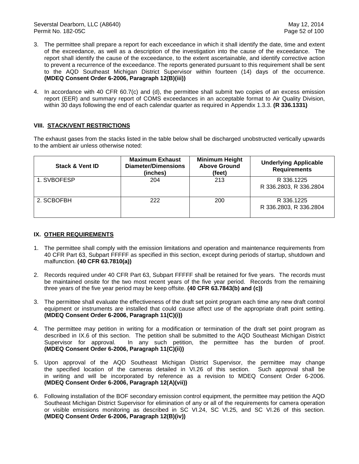- 3. The permittee shall prepare a report for each exceedance in which it shall identify the date, time and extent of the exceedance, as well as a description of the investigation into the cause of the exceedance. The report shall identify the cause of the exceedance, to the extent ascertainable, and identify corrective action to prevent a recurrence of the exceedance. The reports generated pursuant to this requirement shall be sent to the AQD Southeast Michigan District Supervisor within fourteen (14) days of the occurrence. **(MDEQ Consent Order 6-2006, Paragraph 12(B)(iii))**
- 4. In accordance with 40 CFR 60.7(c) and (d), the permittee shall submit two copies of an excess emission report (EER) and summary report of COMS exceedances in an acceptable format to Air Quality Division, within 30 days following the end of each calendar quarter as required in Appendix 1.3.3. **(R 336.1331)**

# **VIII. STACK/VENT RESTRICTIONS**

The exhaust gases from the stacks listed in the table below shall be discharged unobstructed vertically upwards to the ambient air unless otherwise noted:

| <b>Stack &amp; Vent ID</b> | <b>Maximum Exhaust</b><br>Diameter/Dimensions<br>(inches) | <b>Minimum Height</b><br><b>Above Ground</b><br>(feet) | <b>Underlying Applicable</b><br><b>Requirements</b> |
|----------------------------|-----------------------------------------------------------|--------------------------------------------------------|-----------------------------------------------------|
| 1. SVBOFESP                | 204                                                       | 213                                                    | R 336.1225<br>R 336.2803, R 336.2804                |
| 2. SCBOFBH                 | 222                                                       | 200                                                    | R 336.1225<br>R 336.2803, R 336.2804                |

## **IX. OTHER REQUIREMENTS**

- 1. The permittee shall comply with the emission limitations and operation and maintenance requirements from 40 CFR Part 63, Subpart FFFFF as specified in this section, except during periods of startup, shutdown and malfunction. **(40 CFR 63.7810(a))**
- 2. Records required under 40 CFR Part 63, Subpart FFFFF shall be retained for five years. The records must be maintained onsite for the two most recent years of the five year period. Records from the remaining three years of the five year period may be keep offsite. **(40 CFR 63.7843(b) and (c))**
- 3. The permittee shall evaluate the effectiveness of the draft set point program each time any new draft control equipment or instruments are installed that could cause affect use of the appropriate draft point setting. **(MDEQ Consent Order 6-2006, Paragraph 11(C)(i))**
- 4. The permittee may petition in writing for a modification or termination of the draft set point program as described in IX.6 of this section. The petition shall be submitted to the AQD Southeast Michigan District Supervisor for approval. In any such petition, the permittee has the burden of proof. **(MDEQ Consent Order 6-2006, Paragraph 11(C)(ii))**
- 5. Upon approval of the AQD Southeast Michigan District Supervisor, the permittee may change the specified location of the cameras detailed in VI.26 of this section. Such approval shall be in writing and will be incorporated by reference as a revision to MDEQ Consent Order 6-2006. **(MDEQ Consent Order 6-2006, Paragraph 12(A)(vii))**
- 6. Following installation of the BOF secondary emission control equipment, the permittee may petition the AQD Southeast Michigan District Supervisor for elimination of any or all of the requirements for camera operation or visible emissions monitoring as described in SC VI.24, SC VI.25, and SC VI.26 of this section. **(MDEQ Consent Order 6-2006, Paragraph 12(B)(iv))**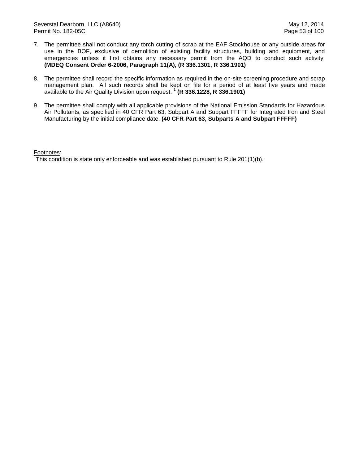- 7. The permittee shall not conduct any torch cutting of scrap at the EAF Stockhouse or any outside areas for use in the BOF, exclusive of demolition of existing facility structures, building and equipment, and emergencies unless it first obtains any necessary permit from the AQD to conduct such activity. **(MDEQ Consent Order 6-2006, Paragraph 11(A), (R 336.1301, R 336.1901)**
- 8. The permittee shall record the specific information as required in the on-site screening procedure and scrap management plan. All such records shall be kept on file for a period of at least five years and made available to the Air Quality Division upon request.<sup>1</sup> (R 336.1228, R 336.1901)
- 9. The permittee shall comply with all applicable provisions of the National Emission Standards for Hazardous Air Pollutants, as specified in 40 CFR Part 63, Subpart A and Subpart FFFFF for Integrated Iron and Steel Manufacturing by the initial compliance date. **(40 CFR Part 63, Subparts A and Subpart FFFFF)**

Footnotes:

<sup>1</sup>This condition is state only enforceable and was established pursuant to Rule 201(1)(b).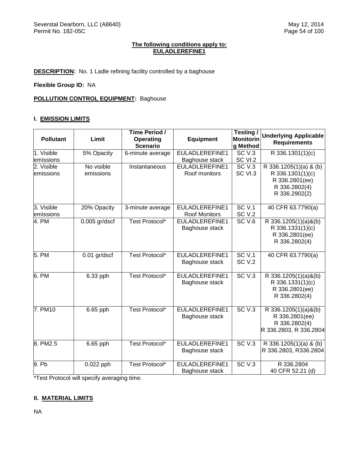## **The following conditions apply to: EULADLEREFINE1**

**DESCRIPTION:** No. 1 Ladle refining facility controlled by a baghouse

**Flexible Group ID:** NA

## **POLLUTION CONTROL EQUIPMENT:** Baghouse

## **I. EMISSION LIMITS**

| <b>Pollutant</b>                     | Limit                   | Time Period /<br><b>Operating</b><br><b>Scenario</b> | <b>Equipment</b>                                  | Testing /<br><b>Monitorin</b><br>g Method | <b>Underlying Applicable</b><br><b>Requirements</b>                                                         |
|--------------------------------------|-------------------------|------------------------------------------------------|---------------------------------------------------|-------------------------------------------|-------------------------------------------------------------------------------------------------------------|
| 1. Visible                           | 5% Opacity              | 6-minute average                                     | EULADLEREFINE1                                    | <b>SC V.3</b><br>SC VI.2                  | R 336.1301(1)(c)                                                                                            |
| emissions<br>2. Visible<br>emissions | No visible<br>emissions | Instantaneous                                        | Baghouse stack<br>EULADLEREFINE1<br>Roof monitors | SC <sub>V.3</sub><br>SC VI.3              | $\overline{R}$ 336.1205(1)(a) & (b)<br>R 336.1301(1)(c)<br>R 336.2801(ee)<br>R 336.2802(4)<br>R 336.2902(2) |
| 3. Visible<br>emissions              | 20% Opacity             | 3-minute average                                     | EULADLEREFINE1<br>Roof Monitors                   | SCV.1<br>SC <sub>V.2</sub>                | 40 CFR 63.7790(a)                                                                                           |
| 4. PM                                | $0.005$ gr/dscf         | Test Protocol*                                       | EULADLEREFINE1<br>Baghouse stack                  | SC <sub>V.6</sub>                         | R 336.1205(1)(a)&(b)<br>R 336.1331(1)(c)<br>R 336.2801(ee)<br>R 336.2802(4)                                 |
| 5. PM                                | 0.01 gr/dscf            | Test Protocol*                                       | EULADLEREFINE1<br>Baghouse stack                  | SCV.1<br><b>SC V.2</b>                    | 40 CFR 63.7790(a)                                                                                           |
| 6. PM                                | 6.33 pph                | Test Protocol*                                       | EULADLEREFINE1<br>Baghouse stack                  | SC <sub>V.3</sub>                         | R 336.1205(1)(a)&(b)<br>R 336.1331(1)(c)<br>R 336.2801(ee)<br>R 336.2802(4)                                 |
| 7. PM10                              | 6.65 pph                | Test Protocol*                                       | EULADLEREFINE1<br>Baghouse stack                  | SCV.3                                     | R 336.1205(1)(a)&(b)<br>R 336.2801(ee)<br>R 336.2802(4)<br>R 336.2803, R 336.2804                           |
| 8. PM2.5                             | 6.65 pph                | Test Protocol*                                       | EULADLEREFINE1<br>Baghouse stack                  | SC <sub>V.3</sub>                         | R 336.1205(1)(a) & (b)<br>R 336.2803, R336.2804                                                             |
| 9. Pb                                | 0.022 pph               | Test Protocol*                                       | EULADLEREFINE1<br>Baghouse stack                  | SCV.3                                     | R 336.2804<br>40 CFR 52.21 (d)                                                                              |

\*Test Protocol will specify averaging time.

## **II. MATERIAL LIMITS**

NA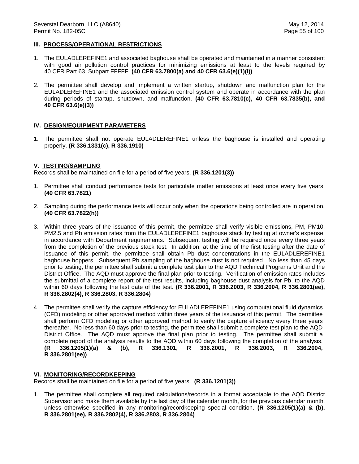### **III. PROCESS/OPERATIONAL RESTRICTIONS**

- 1. The EULADLEREFINE1 and associated baghouse shall be operated and maintained in a manner consistent with good air pollution control practices for minimizing emissions at least to the levels required by 40 CFR Part 63, Subpart FFFFF. **(40 CFR 63.7800(a) and 40 CFR 63.6(e)(1)(i))**
- 2. The permittee shall develop and implement a written startup, shutdown and malfunction plan for the EULADLEREFINE1 and the associated emission control system and operate in accordance with the plan during periods of startup, shutdown, and malfunction. **(40 CFR 63.7810(c), 40 CFR 63.7835(b), and 40 CFR 63.6(e)(3))**

#### **IV. DESIGN/EQUIPMENT PARAMETERS**

1. The permittee shall not operate EULADLEREFINE1 unless the baghouse is installed and operating properly. **(R 336.1331(c), R 336.1910)**

#### **V. TESTING/SAMPLING**

Records shall be maintained on file for a period of five years. **(R 336.1201(3))**

- 1. Permittee shall conduct performance tests for particulate matter emissions at least once every five years. **(40 CFR 63.7821)**
- 2. Sampling during the performance tests will occur only when the operations being controlled are in operation. **(40 CFR 63.7822(h))**
- 3. Within three years of the issuance of this permit, the permittee shall verify visible emissions, PM, PM10, PM2.5 and Pb emission rates from the EULADLEREFINE1 baghouse stack by testing at owner's expense, in accordance with Department requirements. Subsequent testing will be required once every three years from the completion of the previous stack test. In addition, at the time of the first testing after the date of issuance of this permit, the permittee shall obtain Pb dust concentrations in the EULADLEREFINE1 baghouse hoppers. Subsequent Pb sampling of the baghouse dust is not required. No less than 45 days prior to testing, the permittee shall submit a complete test plan to the AQD Technical Programs Unit and the District Office. The AQD must approve the final plan prior to testing. Verification of emission rates includes the submittal of a complete report of the test results, including baghouse dust analysis for Pb, to the AQD within 60 days following the last date of the test. **(R 336.2001, R 336.2003, R 336.2004, R 336.2801(ee), R 336.2802(4), R 336.2803, R 336.2804)**
- 4. The permittee shall verify the capture efficiency for EULADLEREFINE1 using computational fluid dynamics (CFD) modeling or other approved method within three years of the issuance of this permit. The permittee shall perform CFD modeling or other approved method to verify the capture efficiency every three years thereafter. No less than 60 days prior to testing, the permittee shall submit a complete test plan to the AQD District Office. The AQD must approve the final plan prior to testing. The permittee shall submit a complete report of the analysis results to the AQD within 60 days following the completion of the analysis.<br>(R 336.1205(1)(a) & (b), R 336.1301, R 336.2001, R 336.2003, R 336.2004, **(R 336.1205(1)(a) & (b), R 336.1301, R 336.2001, R 336.2003, R 336.2004, R 336.2801(ee))**

#### **VI. MONITORING/RECORDKEEPING**

Records shall be maintained on file for a period of five years. **(R 336.1201(3))**

1. The permittee shall complete all required calculations/records in a format acceptable to the AQD District Supervisor and make them available by the last day of the calendar month, for the previous calendar month, unless otherwise specified in any monitoring/recordkeeping special condition. **(R 336.1205(1)(a) & (b), R 336.2801(ee), R 336.2802(4), R 336.2803, R 336.2804)**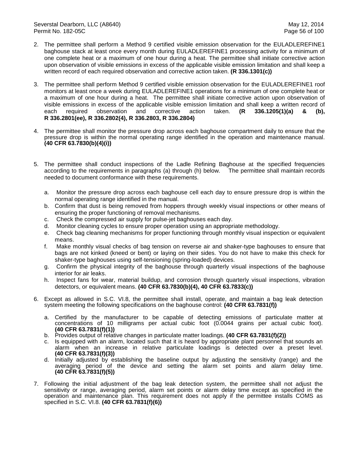- 2. The permittee shall perform a Method 9 certified visible emission observation for the EULADLEREFINE1 baghouse stack at least once every month during EULADLEREFINE1 processing activity for a minimum of one complete heat or a maximum of one hour during a heat. The permittee shall initiate corrective action upon observation of visible emissions in excess of the applicable visible emission limitation and shall keep a written record of each required observation and corrective action taken. **(R 336.1301(c))**
- 3. The permittee shall perform Method 9 certified visible emission observation for the EULADLEREFINE1 roof monitors at least once a week during EULADLEREFINE1 operations for a minimum of one complete heat or a maximum of one hour during a heat. The permittee shall initiate corrective action upon observation of visible emissions in excess of the applicable visible emission limitation and shall keep a written record of each required observation and corrective action taken. **(R 336.1205(1)(a) & (b), R 336.2801(ee), R 336.2802(4), R 336.2803, R 336.2804)**
- 4. The permittee shall monitor the pressure drop across each baghouse compartment daily to ensure that the pressure drop is within the normal operating range identified in the operation and maintenance manual. **(40 CFR 63.7830(b)(4)(i))**
- 5. The permittee shall conduct inspections of the Ladle Refining Baghouse at the specified frequencies according to the requirements in paragraphs (a) through (h) below. The permittee shall maintain records needed to document conformance with these requirements.
	- a. Monitor the pressure drop across each baghouse cell each day to ensure pressure drop is within the normal operating range identified in the manual.
	- b. Confirm that dust is being removed from hoppers through weekly visual inspections or other means of ensuring the proper functioning of removal mechanisms.
	- c. Check the compressed air supply for pulse-jet baghouses each day.
	- d. Monitor cleaning cycles to ensure proper operation using an appropriate methodology.
	- e. Check bag cleaning mechanisms for proper functioning through monthly visual inspection or equivalent means.
	- f. Make monthly visual checks of bag tension on reverse air and shaker-type baghouses to ensure that bags are not kinked (kneed or bent) or laying on their sides. You do not have to make this check for shaker-type baghouses using self-tensioning (spring-loaded) devices.
	- g. Confirm the physical integrity of the baghouse through quarterly visual inspections of the baghouse interior for air leaks.
	- h. Inspect fans for wear, material buildup, and corrosion through quarterly visual inspections, vibration detectors, or equivalent means. **(40 CFR 63.7830(b)(4), 40 CFR 63.7833(c))**
- 6. Except as allowed in S.C. VI.8, the permittee shall install, operate, and maintain a bag leak detection system meeting the following specifications on the baghouse control: **(40 CFR 63.7831(f))**
	- a. Certified by the manufacturer to be capable of detecting emissions of particulate matter at concentrations of 10 milligrams per actual cubic foot (0.0044 grains per actual cubic foot). **(40 CFR 63.7831(f)(1))**
	- b. Provides output of relative changes in particulate matter loadings. **(40 CFR 63.7831(f)(2))**
	- c. Is equipped with an alarm, located such that it is heard by appropriate plant personnel that sounds an alarm when an increase in relative particulate loadings is detected over a preset level. **(40 CFR 63.7831(f)(3))**
	- d. Initially adjusted by establishing the baseline output by adjusting the sensitivity (range) and the averaging period of the device and setting the alarm set points and alarm delay time. **(40 CFR 63.7831(f)(5))**
- 7. Following the initial adjustment of the bag leak detection system, the permittee shall not adjust the sensitivity or range, averaging period, alarm set points or alarm delay time except as specified in the operation and maintenance plan. This requirement does not apply if the permittee installs COMS as specified in S.C. VI.8. **(40 CFR 63.7831(f)(6))**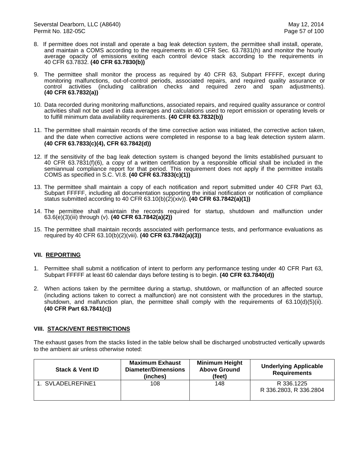- 8. If permittee does not install and operate a bag leak detection system, the permittee shall install, operate, and maintain a COMS according to the requirements in 40 CFR Sec. 63.7831(h) and monitor the hourly average opacity of emissions exiting each control device stack according to the requirements in 40 CFR 63.7832. **(40 CFR 63.7830(b))**
- 9. The permittee shall monitor the process as required by 40 CFR 63, Subpart FFFFF, except during monitoring malfunctions, out-of-control periods, associated repairs, and required quality assurance or control activities (including calibration checks and required zero and span adjustments). **(40 CFR 63.7832(a))**
- 10. Data recorded during monitoring malfunctions, associated repairs, and required quality assurance or control activities shall not be used in data averages and calculations used to report emission or operating levels or to fulfill minimum data availability requirements. **(40 CFR 63.7832(b))**
- 11. The permittee shall maintain records of the time corrective action was initiated, the corrective action taken, and the date when corrective actions were completed in response to a bag leak detection system alarm. **(40 CFR 63.7833(c)(4), CFR 63.7842(d))**
- 12. If the sensitivity of the bag leak detection system is changed beyond the limits established pursuant to 40 CFR 63.7831(f)(6), a copy of a written certification by a responsible official shall be included in the semiannual compliance report for that period. This requirement does not apply if the permittee installs COMS as specified in S.C. VI.8. **(40 CFR 63.7833(c)(1))**
- 13. The permittee shall maintain a copy of each notification and report submitted under 40 CFR Part 63, Subpart FFFFF, including all documentation supporting the initial notification or notification of compliance status submitted according to 40 CFR 63.10(b)(2)(xiv)). **(40 CFR 63.7842(a)(1))**
- 14. The permittee shall maintain the records required for startup, shutdown and malfunction under 63.6(e)(3)(iii) through (v). **(40 CFR 63.7842(a)(2))**
- 15. The permittee shall maintain records associated with performance tests, and performance evaluations as required by 40 CFR 63.10(b)(2)(viii). **(40 CFR 63.7842(a)(3))**

# **VII. REPORTING**

- 1. Permittee shall submit a notification of intent to perform any performance testing under 40 CFR Part 63, Subpart FFFFF at least 60 calendar days before testing is to begin. **(40 CFR 63.7840(d))**
- 2. When actions taken by the permittee during a startup, shutdown, or malfunction of an affected source (including actions taken to correct a malfunction) are not consistent with the procedures in the startup, shutdown, and malfunction plan, the permittee shall comply with the requirements of 63.10(d)(5)(ii). **(40 CFR Part 63.7841(c))**

### **VIII. STACK/VENT RESTRICTIONS**

The exhaust gases from the stacks listed in the table below shall be discharged unobstructed vertically upwards to the ambient air unless otherwise noted:

| <b>Stack &amp; Vent ID</b> | <b>Maximum Exhaust</b><br><b>Diameter/Dimensions</b><br>(inches) | <b>Minimum Height</b><br><b>Above Ground</b><br>(feet) | <b>Underlying Applicable</b><br><b>Requirements</b> |
|----------------------------|------------------------------------------------------------------|--------------------------------------------------------|-----------------------------------------------------|
| 1. SVLADELREFINE1          | 108                                                              | 148                                                    | R 336.1225<br>R 336.2803, R 336.2804                |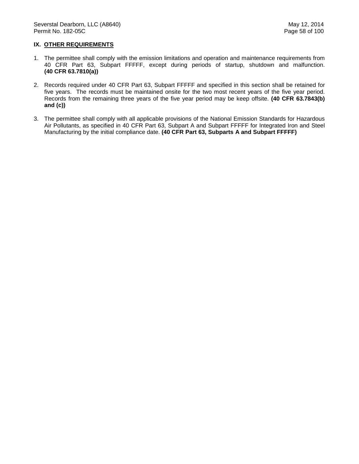## **IX. OTHER REQUIREMENTS**

- 1. The permittee shall comply with the emission limitations and operation and maintenance requirements from 40 CFR Part 63, Subpart FFFFF, except during periods of startup, shutdown and malfunction. **(40 CFR 63.7810(a))**
- 2. Records required under 40 CFR Part 63, Subpart FFFFF and specified in this section shall be retained for five years. The records must be maintained onsite for the two most recent years of the five year period. Records from the remaining three years of the five year period may be keep offsite. **(40 CFR 63.7843(b) and (c))**
- 3. The permittee shall comply with all applicable provisions of the National Emission Standards for Hazardous Air Pollutants, as specified in 40 CFR Part 63, Subpart A and Subpart FFFFF for Integrated Iron and Steel Manufacturing by the initial compliance date. **(40 CFR Part 63, Subparts A and Subpart FFFFF)**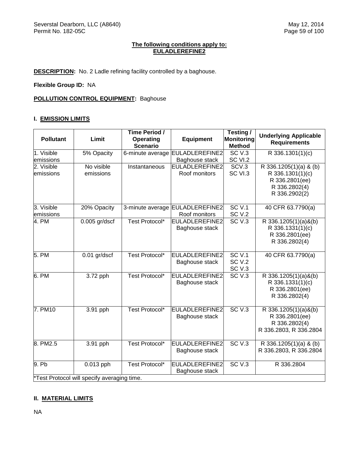## **The following conditions apply to: EULADLEREFINE2**

**DESCRIPTION:** No. 2 Ladle refining facility controlled by a baghouse.

**Flexible Group ID:** NA

**POLLUTION CONTROL EQUIPMENT: Baghouse** 

## **I. EMISSION LIMITS**

| <b>Pollutant</b>                            | Limit                   | Time Period /<br>Operating<br><b>Scenario</b> | <b>Equipment</b>                        | Testing /<br>Monitoring<br><b>Method</b> | <b>Underlying Applicable</b><br><b>Requirements</b>                                            |  |
|---------------------------------------------|-------------------------|-----------------------------------------------|-----------------------------------------|------------------------------------------|------------------------------------------------------------------------------------------------|--|
| 1. Visible                                  | 5% Opacity              |                                               | 6-minute average EULADLEREFINE2         | SCV.3                                    | R 336.1301(1)(c)                                                                               |  |
| emissions                                   |                         |                                               | Baghouse stack                          | SC VI.2                                  |                                                                                                |  |
| 2. Visible<br>emissions                     | No visible<br>emissions | Instantaneous                                 | EULADLEREFINE2<br>Roof monitors         | SCV.3<br>SC VI.3                         | R 336.1205(1)(a) & (b)<br>R 336.1301(1)(c)<br>R 336.2801(ee)<br>R 336.2802(4)<br>R 336.2902(2) |  |
| 3. Visible                                  | 20% Opacity             |                                               | 3-minute average EULADLEREFINE2         | <b>SC V.1</b>                            | 40 CFR 63.7790(a)                                                                              |  |
| emissions                                   |                         | Test Protocol*                                | Roof monitors<br><b>EULADLEREFINE2</b>  | SC <sub>V.2</sub><br>SC <sub>V.3</sub>   |                                                                                                |  |
| 4. PM                                       | $0.005$ gr/dscf         |                                               | Baghouse stack                          |                                          | R 336.1205(1)(a)&(b)<br>R 336.1331(1)(c)<br>R 336.2801(ee)<br>R 336.2802(4)                    |  |
| 5. PM                                       | $0.01$ gr/dscf          | Test Protocol*                                | EULADLEREFINE2<br>Baghouse stack        | SCV.1<br><b>SC V.2</b>                   | 40 CFR 63.7790(a)                                                                              |  |
|                                             |                         |                                               |                                         | <b>SC V.3</b>                            |                                                                                                |  |
| 6. PM                                       | 3.72 pph                | Test Protocol*                                | EULADLEREFINE2<br>Baghouse stack        | SCV.3                                    | R 336.1205(1)(a)&(b)<br>R 336.1331(1)(c)<br>R 336.2801(ee)<br>R 336.2802(4)                    |  |
| 7. PM10                                     | 3.91 pph                | Test Protocol*                                | <b>EULADLEREFINE2</b><br>Baghouse stack | SCV.3                                    | R 336.1205(1)(a)&(b)<br>R 336.2801(ee)<br>R 336.2802(4)<br>R 336.2803, R 336.2804              |  |
| 8. PM2.5                                    | 3.91 pph                | Test Protocol*                                | EULADLEREFINE2<br>Baghouse stack        | SC <sub>V.3</sub>                        | R 336.1205(1)(a) & (b)<br>R 336.2803, R 336.2804                                               |  |
| $9.$ Pb                                     | $0.013$ pph             | Test Protocol*                                | <b>EULADLEREFINE2</b><br>Baghouse stack | SCV.3                                    | R 336.2804                                                                                     |  |
| *Test Protocol will specify averaging time. |                         |                                               |                                         |                                          |                                                                                                |  |

# **II. MATERIAL LIMITS**

NA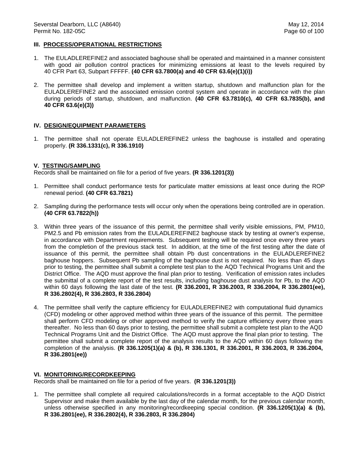### **III. PROCESS/OPERATIONAL RESTRICTIONS**

- 1. The EULADLEREFINE2 and associated baghouse shall be operated and maintained in a manner consistent with good air pollution control practices for minimizing emissions at least to the levels required by 40 CFR Part 63, Subpart FFFFF. **(40 CFR 63.7800(a) and 40 CFR 63.6(e)(1)(i))**
- 2. The permittee shall develop and implement a written startup, shutdown and malfunction plan for the EULADLEREFINE2 and the associated emission control system and operate in accordance with the plan during periods of startup, shutdown, and malfunction. **(40 CFR 63.7810(c), 40 CFR 63.7835(b), and 40 CFR 63.6(e)(3))**

#### **IV. DESIGN/EQUIPMENT PARAMETERS**

1. The permittee shall not operate EULADLEREFINE2 unless the baghouse is installed and operating properly. **(R 336.1331(c), R 336.1910)**

#### **V. TESTING/SAMPLING**

Records shall be maintained on file for a period of five years. **(R 336.1201(3))**

- 1. Permittee shall conduct performance tests for particulate matter emissions at least once during the ROP renewal period. **(40 CFR 63.7821)**
- 2. Sampling during the performance tests will occur only when the operations being controlled are in operation. **(40 CFR 63.7822(h))**
- 3. Within three years of the issuance of this permit, the permittee shall verify visible emissions, PM, PM10, PM2.5 and Pb emission rates from the EULADLEREFINE2 baghouse stack by testing at owner's expense, in accordance with Department requirements. Subsequent testing will be required once every three years from the completion of the previous stack test. In addition, at the time of the first testing after the date of issuance of this permit, the permittee shall obtain Pb dust concentrations in the EULADLEREFINE2 baghouse hoppers. Subsequent Pb sampling of the baghouse dust is not required. No less than 45 days prior to testing, the permittee shall submit a complete test plan to the AQD Technical Programs Unit and the District Office. The AQD must approve the final plan prior to testing. Verification of emission rates includes the submittal of a complete report of the test results, including baghouse dust analysis for Pb, to the AQD within 60 days following the last date of the test. **(R 336.2001, R 336.2003, R 336.2004, R 336.2801(ee), R 336.2802(4), R 336.2803, R 336.2804)**
- 4. The permittee shall verify the capture efficiency for EULADLEREFINE2 with computational fluid dynamics (CFD) modeling or other approved method within three years of the issuance of this permit. The permittee shall perform CFD modeling or other approved method to verify the capture efficiency every three years thereafter. No less than 60 days prior to testing, the permittee shall submit a complete test plan to the AQD Technical Programs Unit and the District Office. The AQD must approve the final plan prior to testing. The permittee shall submit a complete report of the analysis results to the AQD within 60 days following the completion of the analysis. **(R 336.1205(1)(a) & (b), R 336.1301, R 336.2001, R 336.2003, R 336.2004, R 336.2801(ee))**

#### **VI. MONITORING/RECORDKEEPING**

Records shall be maintained on file for a period of five years. **(R 336.1201(3))**

1. The permittee shall complete all required calculations/records in a format acceptable to the AQD District Supervisor and make them available by the last day of the calendar month, for the previous calendar month, unless otherwise specified in any monitoring/recordkeeping special condition. **(R 336.1205(1)(a) & (b), R 336.2801(ee), R 336.2802(4), R 336.2803, R 336.2804)**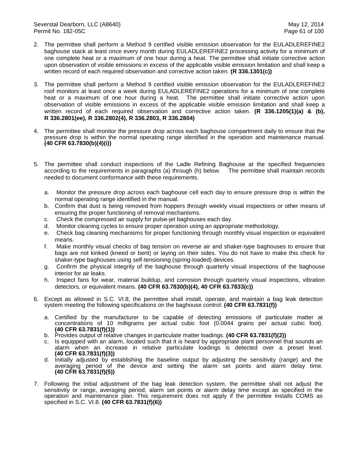- 2. The permittee shall perform a Method 9 certified visible emission observation for the EULADLEREFINE2 baghouse stack at least once every month during EULADLEREFINE2 processing activity for a minimum of one complete heat or a maximum of one hour during a heat. The permittee shall initiate corrective action upon observation of visible emissions in excess of the applicable visible emission limitation and shall keep a written record of each required observation and corrective action taken. **(R 336.1301(c))**
- 3. The permittee shall perform a Method 9 certified visible emission observation for the EULADLEREFINE2 roof monitors at least once a week during EULADLEREFINE2 operations for a minimum of one complete heat or a maximum of one hour during a heat. The permittee shall initiate corrective action upon observation of visible emissions in excess of the applicable visible emission limitation and shall keep a written record of each required observation and corrective action taken. **(R 336.1205(1)(a) & (b), R 336.2801(ee), R 336.2802(4), R 336.2803, R 336.2804)**
- 4. The permittee shall monitor the pressure drop across each baghouse compartment daily to ensure that the pressure drop is within the normal operating range identified in the operation and maintenance manual. **(40 CFR 63.7830(b)(4)(i))**
- 5. The permittee shall conduct inspections of the Ladle Refining Baghouse at the specified frequencies according to the requirements in paragraphs (a) through (h) below. The permittee shall maintain records needed to document conformance with these requirements.
	- a. Monitor the pressure drop across each baghouse cell each day to ensure pressure drop is within the normal operating range identified in the manual.
	- b. Confirm that dust is being removed from hoppers through weekly visual inspections or other means of ensuring the proper functioning of removal mechanisms.
	- c. Check the compressed air supply for pulse-jet baghouses each day.
	- d. Monitor cleaning cycles to ensure proper operation using an appropriate methodology.
	- e. Check bag cleaning mechanisms for proper functioning through monthly visual inspection or equivalent means.
	- f. Make monthly visual checks of bag tension on reverse air and shaker-type baghouses to ensure that bags are not kinked (kneed or bent) or laying on their sides. You do not have to make this check for shaker-type baghouses using self-tensioning (spring-loaded) devices.
	- g. Confirm the physical integrity of the baghouse through quarterly visual inspections of the baghouse interior for air leaks.
	- h. Inspect fans for wear, material buildup, and corrosion through quarterly visual inspections, vibration detectors, or equivalent means. **(40 CFR 63.7830(b)(4), 40 CFR 63.7833(c))**
- 6. Except as allowed in S.C. VI.8, the permittee shall install, operate, and maintain a bag leak detection system meeting the following specifications on the baghouse control: **(40 CFR 63.7831(f))**
	- a. Certified by the manufacturer to be capable of detecting emissions of particulate matter at concentrations of 10 milligrams per actual cubic foot (0.0044 grains per actual cubic foot). **(40 CFR 63.7831(f)(1))**
	- b. Provides output of relative changes in particulate matter loadings. **(40 CFR 63.7831(f)(2))**
	- c. Is equipped with an alarm, located such that it is heard by appropriate plant personnel that sounds an alarm when an increase in relative particulate loadings is detected over a preset level. **(40 CFR 63.7831(f)(3))**
	- d. Initially adjusted by establishing the baseline output by adjusting the sensitivity (range) and the averaging period of the device and setting the alarm set points and alarm delay time. **(40 CFR 63.7831(f)(5))**
- 7. Following the initial adjustment of the bag leak detection system, the permittee shall not adjust the sensitivity or range, averaging period, alarm set points or alarm delay time except as specified in the operation and maintenance plan. This requirement does not apply if the permittee installs COMS as specified in S.C. VI.8. **(40 CFR 63.7831(f)(6))**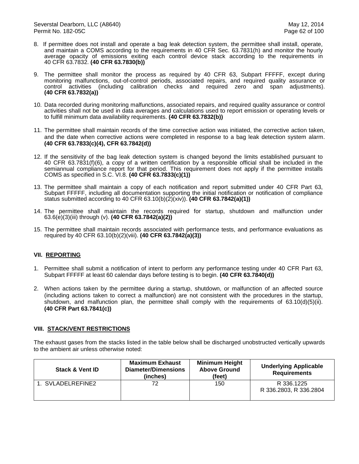- 8. If permittee does not install and operate a bag leak detection system, the permittee shall install, operate, and maintain a COMS according to the requirements in 40 CFR Sec. 63.7831(h) and monitor the hourly average opacity of emissions exiting each control device stack according to the requirements in 40 CFR 63.7832. **(40 CFR 63.7830(b))**
- 9. The permittee shall monitor the process as required by 40 CFR 63, Subpart FFFFF, except during monitoring malfunctions, out-of-control periods, associated repairs, and required quality assurance or control activities (including calibration checks and required zero and span adjustments). **(40 CFR 63.7832(a))**
- 10. Data recorded during monitoring malfunctions, associated repairs, and required quality assurance or control activities shall not be used in data averages and calculations used to report emission or operating levels or to fulfill minimum data availability requirements. **(40 CFR 63.7832(b))**
- 11. The permittee shall maintain records of the time corrective action was initiated, the corrective action taken, and the date when corrective actions were completed in response to a bag leak detection system alarm. **(40 CFR 63.7833(c)(4), CFR 63.7842(d))**
- 12. If the sensitivity of the bag leak detection system is changed beyond the limits established pursuant to 40 CFR 63.7831(f)(6), a copy of a written certification by a responsible official shall be included in the semiannual compliance report for that period. This requirement does not apply if the permittee installs COMS as specified in S.C. VI.8. **(40 CFR 63.7833(c)(1))**
- 13. The permittee shall maintain a copy of each notification and report submitted under 40 CFR Part 63, Subpart FFFFF, including all documentation supporting the initial notification or notification of compliance status submitted according to 40 CFR 63.10(b)(2)(xiv)). **(40 CFR 63.7842(a)(1))**
- 14. The permittee shall maintain the records required for startup, shutdown and malfunction under 63.6(e)(3)(iii) through (v). **(40 CFR 63.7842(a)(2))**
- 15. The permittee shall maintain records associated with performance tests, and performance evaluations as required by 40 CFR 63.10(b)(2)(viii). **(40 CFR 63.7842(a)(3))**

# **VII. REPORTING**

- 1. Permittee shall submit a notification of intent to perform any performance testing under 40 CFR Part 63, Subpart FFFFF at least 60 calendar days before testing is to begin. **(40 CFR 63.7840(d))**
- 2. When actions taken by the permittee during a startup, shutdown, or malfunction of an affected source (including actions taken to correct a malfunction) are not consistent with the procedures in the startup, shutdown, and malfunction plan, the permittee shall comply with the requirements of 63.10(d)(5)(ii). **(40 CFR Part 63.7841(c))**

### **VIII. STACK/VENT RESTRICTIONS**

The exhaust gases from the stacks listed in the table below shall be discharged unobstructed vertically upwards to the ambient air unless otherwise noted:

| <b>Stack &amp; Vent ID</b> | <b>Maximum Exhaust</b><br>Diameter/Dimensions<br>(inches) | <b>Minimum Height</b><br><b>Above Ground</b><br>(feet) | <b>Underlying Applicable</b><br><b>Requirements</b> |
|----------------------------|-----------------------------------------------------------|--------------------------------------------------------|-----------------------------------------------------|
| 1. SVLADELREFINE2          | 72                                                        | 150                                                    | R 336.1225<br>R 336.2803, R 336.2804                |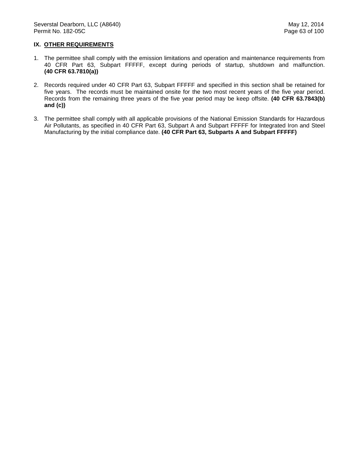## **IX. OTHER REQUIREMENTS**

- 1. The permittee shall comply with the emission limitations and operation and maintenance requirements from 40 CFR Part 63, Subpart FFFFF, except during periods of startup, shutdown and malfunction. **(40 CFR 63.7810(a))**
- 2. Records required under 40 CFR Part 63, Subpart FFFFF and specified in this section shall be retained for five years. The records must be maintained onsite for the two most recent years of the five year period. Records from the remaining three years of the five year period may be keep offsite. **(40 CFR 63.7843(b) and (c))**
- 3. The permittee shall comply with all applicable provisions of the National Emission Standards for Hazardous Air Pollutants, as specified in 40 CFR Part 63, Subpart A and Subpart FFFFF for Integrated Iron and Steel Manufacturing by the initial compliance date. **(40 CFR Part 63, Subparts A and Subpart FFFFF)**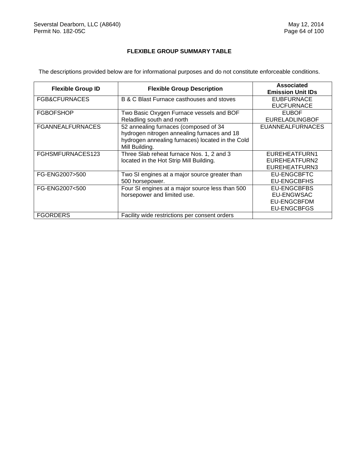## **FLEXIBLE GROUP SUMMARY TABLE**

The descriptions provided below are for informational purposes and do not constitute enforceable conditions.

| <b>Flexible Group ID</b> | <b>Flexible Group Description</b>                                                                                                                          | Associated<br><b>Emission Unit IDs</b>                                              |
|--------------------------|------------------------------------------------------------------------------------------------------------------------------------------------------------|-------------------------------------------------------------------------------------|
| FGB&CFURNACES            | B & C Blast Furnace casthouses and stoves                                                                                                                  | <b>EUBFURNACE</b><br><b>EUCFURNACE</b>                                              |
| <b>FGBOFSHOP</b>         | Two Basic Oxygen Furnace vessels and BOF<br>Reladling south and north                                                                                      | <b>EUBOF</b><br><b>EURELADLINGBOF</b>                                               |
| <b>FGANNEALFURNACES</b>  | 52 annealing furnaces (composed of 34<br>hydrogen nitrogen annealing furnaces and 18<br>hydrogen annealing furnaces) located in the Cold<br>Mill Building. | <b>EUANNEALFURNACES</b>                                                             |
| FGHSMFURNACES123         | Three Slab reheat furnace Nos. 1, 2 and 3<br>located in the Hot Strip Mill Building.                                                                       | EUREHEATFURN1<br>EUREHEATFURN2<br>EUREHEATFURN3                                     |
| FG-ENG2007>500           | Two SI engines at a major source greater than<br>500 horsepower.                                                                                           | <b>EU-ENGCBFTC</b><br>EU-ENGCBFHS                                                   |
| FG-ENG2007<500           | Four SI engines at a major source less than 500<br>horsepower and limited use.                                                                             | <b>EU-ENGCBFBS</b><br><b>EU-ENGWSAC</b><br><b>EU-ENGCBFDM</b><br><b>EU-ENGCBFGS</b> |
| <b>FGORDERS</b>          | Facility wide restrictions per consent orders                                                                                                              |                                                                                     |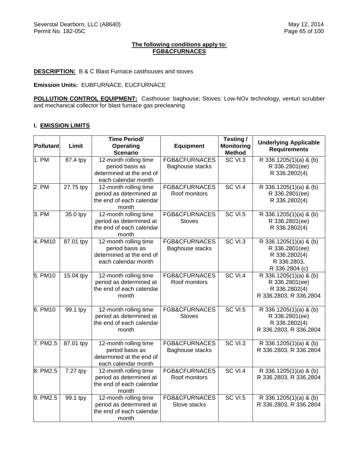### **The following conditions apply to: FGB&CFURNACES**

### **DESCRIPTION:** B & C Blast Furnace casthouses and stoves

**Emission Units:** EUBFURNACE, EUCFURNACE

**POLLUTION CONTROL EQUIPMENT:** Casthouse: baghouse; Stoves: Low-NOx technology, venturi scrubber and mechanical collector for blast furnace gas precleaning

## **I. EMISSION LIMITS**

|           |           | <b>Time Period/</b>                              |                                | Testing /                          | <b>Underlying Applicable</b>                     |
|-----------|-----------|--------------------------------------------------|--------------------------------|------------------------------------|--------------------------------------------------|
| Pollutant | Limit     | <b>Operating</b><br><b>Scenario</b>              | <b>Equipment</b>               | <b>Monitoring</b><br><b>Method</b> | <b>Requirements</b>                              |
| 1. PM     | 87.4 tpy  | 12-month rolling time                            | <b>FGB&amp;CFURNACES</b>       | SC VI.3                            | R 336.1205(1)(a) & (b)                           |
|           |           | period basis as                                  | Baghouse stacks                |                                    | R 336.2801(ee)                                   |
|           |           | determined at the end of                         |                                |                                    | R 336.2802(4)                                    |
|           |           | each calendar month                              |                                |                                    |                                                  |
| 2. PM     | 27.75 tpy | 12-month rolling time                            | <b>FGB&amp;CFURNACES</b>       | SC VI.4                            | R 336.1205(1)(a) & (b)                           |
|           |           | period as determined at                          | Roof monitors                  |                                    | R 336.2801(ee)                                   |
|           |           | the end of each calendar                         |                                |                                    | R 336.2802(4)                                    |
|           |           | month                                            |                                |                                    |                                                  |
| 3. PM     | 35.0 tpy  | 12-month rolling time<br>period as determined at | FGB&CFURNACES<br><b>Stoves</b> | <b>SC VI.5</b>                     | R 336.1205(1)(a) & (b)<br>R 336.2801(ee)         |
|           |           | the end of each calendar                         |                                |                                    | R 336.2802(4)                                    |
|           |           | month                                            |                                |                                    |                                                  |
| 4. PM10   | 87.01 tpy | 12-month rolling time                            | <b>FGB&amp;CFURNACES</b>       | SC VI.3                            | R 336.1205(1)(a) & (b)                           |
|           |           | period basis as                                  | Baghouse stacks                |                                    | R 336.2801(ee)                                   |
|           |           | determined at the end of                         |                                |                                    | R 336.2802(4)                                    |
|           |           | each calendar month                              |                                |                                    | R 336.2803,                                      |
|           |           |                                                  |                                |                                    | R 336.2804 (c)                                   |
| 5. PM10   | 15.04 tpy | 12-month rolling time                            | <b>FGB&amp;CFURNACES</b>       | SC VI.4                            | $\overline{R}$ 336.1205(1)(a) & (b)              |
|           |           | period as determined at                          | Roof monitors                  |                                    | R 336.2801(ee)                                   |
|           |           | the end of each calendar                         |                                |                                    | R 336.2802(4)                                    |
|           |           | month                                            |                                |                                    | R 336.2803, R 336.2804                           |
| 6. PM10   | 99.1 tpy  | 12-month rolling time                            | <b>FGB&amp;CFURNACES</b>       | <b>SC VI.5</b>                     | R 336.1205(1)(a) & (b)                           |
|           |           | period as determined at                          | <b>Stoves</b>                  |                                    | R 336.2801(ee)                                   |
|           |           | the end of each calendar                         |                                |                                    | R 336.2802(4)                                    |
|           |           | month                                            |                                |                                    | R 336.2803, R 336.2804                           |
| 7. PM2.5  | 87.01 tpy | 12-month rolling time                            | <b>FGB&amp;CFURNACES</b>       | SC VI.3                            | R 336.1205(1)(a) & (b)                           |
|           |           | period basis as                                  | Baghouse stacks                |                                    | R 336.2803, R 336.2804                           |
|           |           | determined at the end of                         |                                |                                    |                                                  |
|           |           | each calendar month                              |                                |                                    |                                                  |
| 8. PM2.5  | 7.27 tpy  | 12-month rolling time                            | <b>FGB&amp;CFURNACES</b>       | SC VI.4                            | R 336.1205(1)(a) & (b)                           |
|           |           | period as determined at                          | Roof monitors                  |                                    | R 336.2803, R 336.2804                           |
|           |           | the end of each calendar                         |                                |                                    |                                                  |
| 9. PM2.5  |           | month<br>12-month rolling time                   | FGB&CFURNACES                  | <b>SC VI.5</b>                     |                                                  |
|           | 99.1 tpy  | period as determined at                          | Stove stacks                   |                                    | R 336.1205(1)(a) & (b)<br>R 336.2803, R 336.2804 |
|           |           | the end of each calendar                         |                                |                                    |                                                  |
|           |           | month                                            |                                |                                    |                                                  |
|           |           |                                                  |                                |                                    |                                                  |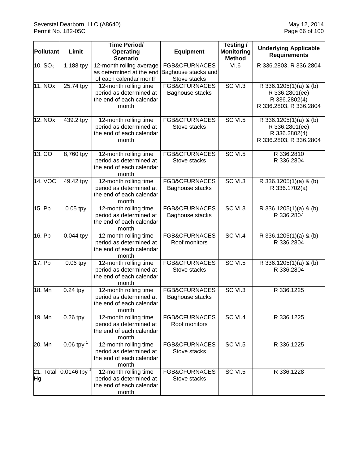| Pollutant           | Limit                        | <b>Time Period/</b><br>Operating<br><b>Scenario</b>                                   | <b>Equipment</b>                                     | Testing /<br><b>Monitoring</b><br><b>Method</b> | <b>Underlying Applicable</b><br><b>Requirements</b>                                 |
|---------------------|------------------------------|---------------------------------------------------------------------------------------|------------------------------------------------------|-------------------------------------------------|-------------------------------------------------------------------------------------|
| 10. $SO2$           | 1,188 tpy                    | 12-month rolling average<br>as determined at the end<br>of each calendar month        | FGB&CFURNACES<br>Baghouse stacks and<br>Stove stacks | VI.6                                            | R 336.2803, R 336.2804                                                              |
| 11. NO <sub>x</sub> | 25.74 tpy                    | 12-month rolling time<br>period as determined at<br>the end of each calendar<br>month | FGB&CFURNACES<br>Baghouse stacks                     | SC VI.3                                         | R 336.1205(1)(a) & (b)<br>R 336.2801(ee)<br>R 336.2802(4)<br>R 336.2803, R 336.2804 |
| 12. NOx             | 439.2 tpy                    | 12-month rolling time<br>period as determined at<br>the end of each calendar<br>month | FGB&CFURNACES<br>Stove stacks                        | <b>SC VI.5</b>                                  | R 336.1205(1)(a) & (b)<br>R 336.2801(ee)<br>R 336.2802(4)<br>R 336.2803, R 336.2804 |
| 13. CO              | 8,760 tpy                    | 12-month rolling time<br>period as determined at<br>the end of each calendar<br>month | FGB&CFURNACES<br>Stove stacks                        | <b>SC VI.5</b>                                  | R 336.2810<br>R 336.2804                                                            |
| 14. VOC             | 49.42 tpy                    | 12-month rolling time<br>period as determined at<br>the end of each calendar<br>month | <b>FGB&amp;CFURNACES</b><br>Baghouse stacks          | <b>SC VI.3</b>                                  | R 336.1205(1)(a) & (b)<br>R 336.1702(a)                                             |
| 15. Pb              | $0.05$ tpy                   | 12-month rolling time<br>period as determined at<br>the end of each calendar<br>month | <b>FGB&amp;CFURNACES</b><br>Baghouse stacks          | SC VI.3                                         | R 336.1205(1)(a) & (b)<br>R 336.2804                                                |
| 16. Pb              | $0.044$ tpy                  | 12-month rolling time<br>period as determined at<br>the end of each calendar<br>month | <b>FGB&amp;CFURNACES</b><br>Roof monitors            | <b>SC VI.4</b>                                  | R 336.1205(1)(a) & (b)<br>R 336.2804                                                |
| 17. Pb              | 0.06 tpy                     | 12-month rolling time<br>period as determined at<br>the end of each calendar<br>month | FGB&CFURNACES<br>Stove stacks                        | SC VI.5                                         | R 336.1205(1)(a) & (b)<br>R 336.2804                                                |
| 18. Mn              | 0.24 tpy $^{-1}$             | 12-month rolling time<br>period as determined at<br>the end of each calendar<br>month | <b>FGB&amp;CFURNACES</b><br>Baghouse stacks          | SC VI.3                                         | R 336.1225                                                                          |
| 19. Mn              | $0.26$ tpy <sup>1</sup>      | 12-month rolling time<br>period as determined at<br>the end of each calendar<br>month | FGB&CFURNACES<br>Roof monitors                       | SC VI.4                                         | R 336.1225                                                                          |
| 20. Mn              | 0.06 tpy $^{1}$              | 12-month rolling time<br>period as determined at<br>the end of each calendar<br>month | FGB&CFURNACES<br>Stove stacks                        | <b>SC VI.5</b>                                  | R 336.1225                                                                          |
| Hg                  | 21. Total $\vert 0.0146$ tpy | 12-month rolling time<br>period as determined at<br>the end of each calendar<br>month | <b>FGB&amp;CFURNACES</b><br>Stove stacks             | <b>SC VI.5</b>                                  | R 336.1228                                                                          |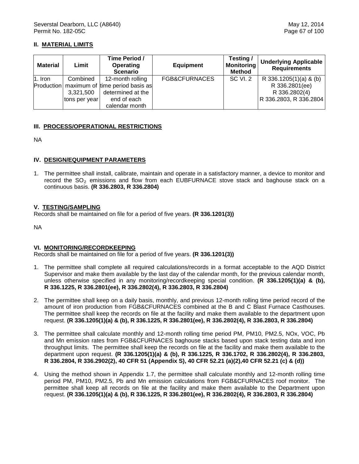## **II. MATERIAL LIMITS**

| <b>Material</b> | Limit         | Time Period /<br><b>Operating</b><br><b>Scenario</b> | <b>Equipment</b> | Testing/<br><b>Monitoring</b><br><b>Method</b> | <b>Underlying Applicable</b><br><b>Requirements</b> |
|-----------------|---------------|------------------------------------------------------|------------------|------------------------------------------------|-----------------------------------------------------|
| 1. Iron         | Combined      | 12-month rolling                                     | FGB&CFURNACES    | <b>SC VI. 2</b>                                | R 336.1205(1)(a) & (b)                              |
|                 |               | Production   maximum of time period basis as         |                  |                                                | R 336.2801(ee)                                      |
|                 | 3,321,500     | determined at the                                    |                  |                                                | R 336.2802(4)                                       |
|                 | tons per year | end of each                                          |                  |                                                | R 336.2803, R 336.2804                              |
|                 |               | calendar month                                       |                  |                                                |                                                     |

### **III. PROCESS/OPERATIONAL RESTRICTIONS**

NA

### **IV. DESIGN/EQUIPMENT PARAMETERS**

1. The permittee shall install, calibrate, maintain and operate in a satisfactory manner, a device to monitor and record the  $SO_2$  emissions and flow from each EUBFURNACE stove stack and baghouse stack on a continuous basis. **(R 336.2803, R 336.2804)**

### **V. TESTING/SAMPLING**

Records shall be maintained on file for a period of five years. **(R 336.1201(3))**

NA

### **VI. MONITORING/RECORDKEEPING**

- 1. The permittee shall complete all required calculations/records in a format acceptable to the AQD District Supervisor and make them available by the last day of the calendar month, for the previous calendar month, unless otherwise specified in any monitoring/recordkeeping special condition. **(R 336.1205(1)(a) & (b), R 336.1225, R 336.2801(ee), R 336.2802(4), R 336.2803, R 336.2804)**
- 2. The permittee shall keep on a daily basis, monthly, and previous 12-month rolling time period record of the amount of iron production from FGB&CFURNACES combined at the B and C Blast Furnace Casthouses. The permittee shall keep the records on file at the facility and make them available to the department upon request. **(R 336.1205(1)(a) & (b), R 336.1225, R 336.2801(ee), R 336.2802(4), R 336.2803, R 336.2804)**
- 3. The permittee shall calculate monthly and 12-month rolling time period PM, PM10, PM2.5, NOx, VOC, Pb and Mn emission rates from FGB&CFURNACES baghouse stacks based upon stack testing data and iron throughput limits. The permittee shall keep the records on file at the facility and make them available to the department upon request. **(R 336.1205(1)(a) & (b), R 336.1225, R 336.1702, R 336.2802(4), R 336.2803, R 336.2804, R 336.2902(2), 40 CFR 51 (Appendix S), 40 CFR 52.21 (a)(2),40 CFR 52.21 (c) & (d))**
- 4. Using the method shown in Appendix 1.7, the permittee shall calculate monthly and 12-month rolling time period PM, PM10, PM2.5, Pb and Mn emission calculations from FGB&CFURNACES roof monitor. The permittee shall keep all records on file at the facility and make them available to the Department upon request. **(R 336.1205(1)(a) & (b), R 336.1225, R 336.2801(ee), R 336.2802(4), R 336.2803, R 336.2804)**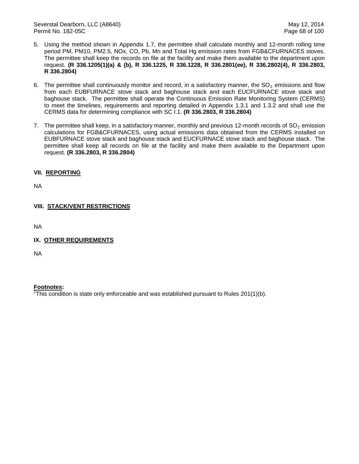- 5. Using the method shown in Appendix 1.7, the permittee shall calculate monthly and 12-month rolling time period PM, PM10, PM2.5, NOx, CO, Pb, Mn and Total Hg emission rates from FGB&CFURNACES stoves. The permittee shall keep the records on file at the facility and make them available to the department upon request. **(R 336.1205(1)(a) & (b), R 336.1225, R 336.1228, R 336.2801(ee), R 336.2802(4), R 336.2803, R 336.2804)**
- 6. The permittee shall continuously monitor and record, in a satisfactory manner, the  $SO<sub>2</sub>$  emissions and flow from each EUBFURNACE stove stack and baghouse stack and each EUCFURNACE stove stack and baghouse stack. The permittee shall operate the Continuous Emission Rate Monitoring System (CERMS) to meet the timelines, requirements and reporting detailed in Appendix 1.3.1 and 1.3.2 and shall use the CERMS data for determining compliance with SC I.1. **(R 336.2803, R 336.2804)**
- 7. The permittee shall keep, in a satisfactory manner, monthly and previous 12-month records of  $SO<sub>2</sub>$  emission calculations for FGB&CFURNACES, using actual emissions data obtained from the CERMS installed on EUBFURNACE stove stack and baghouse stack and EUCFURNACE stove stack and baghouse stack. The permittee shall keep all records on file at the facility and make them available to the Department upon request. **(R 336.2803, R 336.2804)**

# **VII. REPORTING**

NA

# **VIII. STACK/VENT RESTRICTIONS**

NA

**IX. OTHER REQUIREMENTS**

NA

## **Footnotes:**

 $\overline{f}$ This condition is state only enforceable and was established pursuant to Rules 201(1)(b).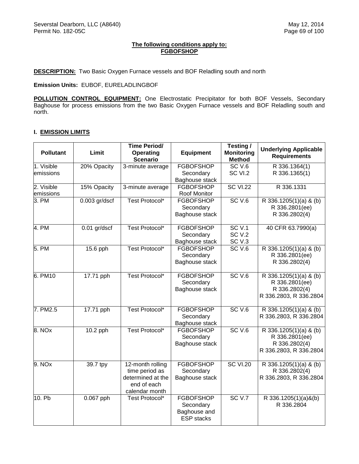## **The following conditions apply to: FGBOFSHOP**

**DESCRIPTION:** Two Basic Oxygen Furnace vessels and BOF Reladling south and north

**Emission Units:** EUBOF, EURELADLINGBOF

**POLLUTION CONTROL EQUIPMENT:** One Electrostatic Precipitator for both BOF Vessels, Secondary Baghouse for process emissions from the two Basic Oxygen Furnace vessels and BOF Reladling south and north.

## **I. EMISSION LIMITS**

| <b>Pollutant</b>        | Limit           | <b>Time Period/</b><br><b>Operating</b><br><b>Scenario</b>                               | <b>Equipment</b>                                                   | Testing /<br><b>Monitoring</b><br><b>Method</b> | <b>Underlying Applicable</b><br><b>Requirements</b>                                 |
|-------------------------|-----------------|------------------------------------------------------------------------------------------|--------------------------------------------------------------------|-------------------------------------------------|-------------------------------------------------------------------------------------|
| 1. Visible<br>emissions | 20% Opacity     | 3-minute average                                                                         | <b>FGBOFSHOP</b><br>Secondary<br>Baghouse stack                    | SC <sub>V.6</sub><br>SC VI.2                    | R 336.1364(1)<br>R 336.1365(1)                                                      |
| 2. Visible<br>emissions | 15% Opacity     | 3-minute average                                                                         | <b>FGBOFSHOP</b><br>Roof Monitor                                   | <b>SC VI.22</b>                                 | R 336.1331                                                                          |
| 3. PM                   | $0.003$ gr/dscf | Test Protocol*                                                                           | <b>FGBOFSHOP</b><br>Secondary<br>Baghouse stack                    | <b>SC V.6</b>                                   | R 336.1205(1)(a) & (b)<br>R 336.2801(ee)<br>R 336.2802(4)                           |
| 4. PM                   | $0.01$ gr/dscf  | <b>Test Protocol*</b>                                                                    | <b>FGBOFSHOP</b><br>Secondary<br>Baghouse stack                    | SCV.1<br><b>SC V.2</b><br>SC <sub>V.3</sub>     | 40 CFR 63.7990(a)                                                                   |
| 5. PM                   | 15.6 pph        | Test Protocol*                                                                           | <b>FGBOFSHOP</b><br>Secondary<br>Baghouse stack                    | SCV.6                                           | R 336.1205(1)(a) & (b)<br>R 336.2801(ee)<br>R 336.2802(4)                           |
| 6. PM10                 | 17.71 pph       | Test Protocol*                                                                           | <b>FGBOFSHOP</b><br>Secondary<br>Baghouse stack                    | SC <sub>V.6</sub>                               | R 336.1205(1)(a) & (b)<br>R 336.2801(ee)<br>R 336.2802(4)<br>R 336.2803, R 336.2804 |
| 7. PM2.5                | 17.71 pph       | Test Protocol*                                                                           | <b>FGBOFSHOP</b><br>Secondary<br>Baghouse stack                    | SCV.6                                           | R 336.1205(1)(a) & (b)<br>R 336.2803, R 336.2804                                    |
| 8. NOx                  | 10.2 pph        | Test Protocol*                                                                           | <b>FGBOFSHOP</b><br>Secondary<br>Baghouse stack                    | SC <sub>V.6</sub>                               | R 336.1205(1)(a) & (b)<br>R 336.2801(ee)<br>R 336.2802(4)<br>R 336.2803, R 336.2804 |
| $\overline{9}$ . NOx    | 39.7 tpy        | 12-month rolling<br>time period as<br>determined at the<br>end of each<br>calendar month | <b>FGBOFSHOP</b><br>Secondary<br>Baghouse stack                    | <b>SC VI.20</b>                                 | R 336.1205(1)(a) & (b)<br>R 336.2802(4)<br>R 336.2803, R 336.2804                   |
| 10. Pb                  | 0.067 pph       | Test Protocol*                                                                           | <b>FGBOFSHOP</b><br>Secondary<br>Baghouse and<br><b>ESP</b> stacks | SCV.7                                           | R 336.1205(1)(a)&(b)<br>R 336.2804                                                  |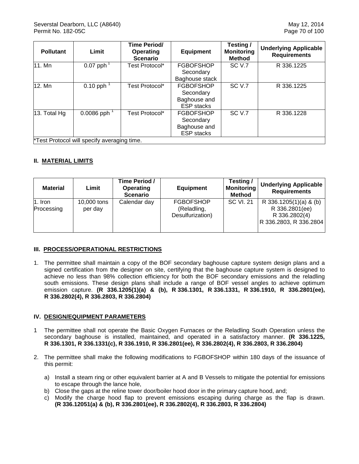| <b>Pollutant</b>                            | Limit                     | Time Period/<br>Operating<br><b>Scenario</b> | <b>Equipment</b>                  | Testing /<br><b>Monitoring</b><br><b>Method</b> | <b>Underlying Applicable</b><br><b>Requirements</b> |  |  |
|---------------------------------------------|---------------------------|----------------------------------------------|-----------------------------------|-------------------------------------------------|-----------------------------------------------------|--|--|
| 11. Mn                                      | $0.07$ pph <sup>1</sup>   | Test Protocol*                               | <b>FGBOFSHOP</b>                  | SC V.7                                          | R 336.1225                                          |  |  |
|                                             |                           |                                              | Secondary                         |                                                 |                                                     |  |  |
|                                             |                           |                                              | Baghouse stack                    |                                                 |                                                     |  |  |
| 12. Mn                                      | $0.10$ pph                | Test Protocol*                               | <b>FGBOFSHOP</b>                  | SC <sub>V.7</sub>                               | R 336.1225                                          |  |  |
|                                             |                           |                                              | Secondary                         |                                                 |                                                     |  |  |
|                                             |                           |                                              | Baghouse and<br><b>ESP</b> stacks |                                                 |                                                     |  |  |
| 13. Total $Hg$                              | $0.0086$ pph <sup>1</sup> | Test Protocol*                               | <b>FGBOFSHOP</b>                  | SC <sub>V.7</sub>                               | R 336.1228                                          |  |  |
|                                             |                           |                                              | Secondary                         |                                                 |                                                     |  |  |
|                                             |                           |                                              | Baghouse and                      |                                                 |                                                     |  |  |
|                                             |                           |                                              | <b>ESP</b> stacks                 |                                                 |                                                     |  |  |
| *Test Protocol will specify averaging time. |                           |                                              |                                   |                                                 |                                                     |  |  |

# **II. MATERIAL LIMITS**

| <b>Material</b>       | Limit                  | Time Period /<br><b>Operating</b><br><b>Scenario</b> | <b>Equipment</b>                                    | Testing/<br><b>Monitoring</b><br><b>Method</b> | <b>Underlying Applicable</b><br><b>Requirements</b>                                 |
|-----------------------|------------------------|------------------------------------------------------|-----------------------------------------------------|------------------------------------------------|-------------------------------------------------------------------------------------|
| 1. Iron<br>Processing | 10,000 tons<br>per day | Calendar day                                         | <b>FGBOFSHOP</b><br>(Reladling,<br>Desulfurization) | <b>SC VI. 21</b>                               | R 336.1205(1)(a) & (b)<br>R 336.2801(ee)<br>R 336.2802(4)<br>R 336.2803, R 336.2804 |

## **III. PROCESS/OPERATIONAL RESTRICTIONS**

1. The permittee shall maintain a copy of the BOF secondary baghouse capture system design plans and a signed certification from the designer on site, certifying that the baghouse capture system is designed to achieve no less than 98% collection efficiency for both the BOF secondary emissions and the reladling south emissions. These design plans shall include a range of BOF vessel angles to achieve optimum emission capture. **(R 336.1205(1)(a) & (b), R 336.1301, R 336.1331, R 336.1910, R 336.2801(ee), R 336.2802(4), R 336.2803, R 336.2804)**

## **IV. DESIGN/EQUIPMENT PARAMETERS**

- 1 The permittee shall not operate the Basic Oxygen Furnaces or the Reladling South Operation unless the secondary baghouse is installed, maintained, and operated in a satisfactory manner. **(R 336.1225, R 336.1301, R 336.1331(c), R 336.1910, R 336.2801(ee), R 336.2802(4), R 336.2803, R 336.2804)**
- 2. The permittee shall make the following modifications to FGBOFSHOP within 180 days of the issuance of this permit:
	- a) Install a steam ring or other equivalent barrier at A and B Vessels to mitigate the potential for emissions to escape through the lance hole,
	- b) Close the gaps at the reline tower door/boiler hood door in the primary capture hood, and;
	- c) Modify the charge hood flap to prevent emissions escaping during charge as the flap is drawn. **(R 336.12051(a) & (b), R 336.2801(ee), R 336.2802(4), R 336.2803, R 336.2804)**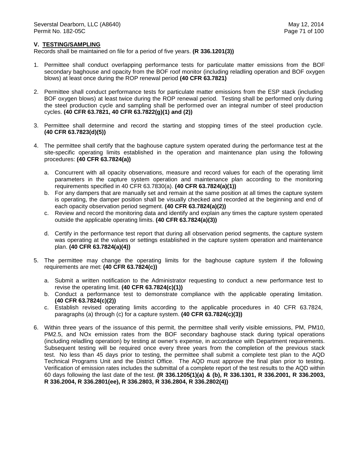### **V. TESTING/SAMPLING**

- 1. Permittee shall conduct overlapping performance tests for particulate matter emissions from the BOF secondary baghouse and opacity from the BOF roof monitor (including reladling operation and BOF oxygen blows) at least once during the ROP renewal period **(40 CFR 63.7821)**
- 2. Permittee shall conduct performance tests for particulate matter emissions from the ESP stack (including BOF oxygen blows) at least twice during the ROP renewal period. Testing shall be performed only during the steel production cycle and sampling shall be performed over an integral number of steel production cycles. **(40 CFR 63.7821, 40 CFR 63.7822(g)(1) and (2))**
- 3. Permittee shall determine and record the starting and stopping times of the steel production cycle. **(40 CFR 63.7823(d)(5))**
- 4. The permittee shall certify that the baghouse capture system operated during the performance test at the site-specific operating limits established in the operation and maintenance plan using the following procedures: **(40 CFR 63.7824(a))**
	- a. Concurrent with all opacity observations, measure and record values for each of the operating limit parameters in the capture system operation and maintenance plan according to the monitoring requirements specified in 40 CFR 63.7830(a). **(40 CFR 63.7824(a)(1))**
	- b. For any dampers that are manually set and remain at the same position at all times the capture system is operating, the damper position shall be visually checked and recorded at the beginning and end of each opacity observation period segment. **(40 CFR 63.7824(a)(2))**
	- c. Review and record the monitoring data and identify and explain any times the capture system operated outside the applicable operating limits. **(40 CFR 63.7824(a)(3))**
	- d. Certify in the performance test report that during all observation period segments, the capture system was operating at the values or settings established in the capture system operation and maintenance plan. **(40 CFR 63.7824(a)(4))**
- 5. The permittee may change the operating limits for the baghouse capture system if the following requirements are met: **(40 CFR 63.7824(c))**
	- a. Submit a written notification to the Administrator requesting to conduct a new performance test to revise the operating limit. **(40 CFR 63.7824(c)(1))**
	- b. Conduct a performance test to demonstrate compliance with the applicable operating limitation. **(40 CFR 63.7824(c)(2))**
	- c. Establish revised operating limits according to the applicable procedures in 40 CFR 63.7824, paragraphs (a) through (c) for a capture system. **(40 CFR 63.7824(c)(3))**
- 6. Within three years of the issuance of this permit, the permittee shall verify visible emissions, PM, PM10, PM2.5, and NOx emission rates from the BOF secondary baghouse stack during typical operations (including reladling operation) by testing at owner's expense, in accordance with Department requirements. Subsequent testing will be required once every three years from the completion of the previous stack test. No less than 45 days prior to testing, the permittee shall submit a complete test plan to the AQD Technical Programs Unit and the District Office. The AQD must approve the final plan prior to testing. Verification of emission rates includes the submittal of a complete report of the test results to the AQD within 60 days following the last date of the test. **(R 336.1205(1)(a) & (b), R 336.1301, R 336.2001, R 336.2003, R 336.2004, R 336.2801(ee), R 336.2803, R 336.2804, R 336.2802(4))**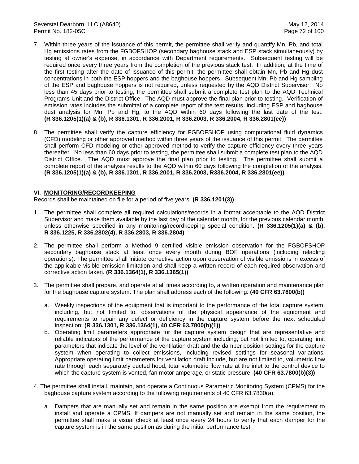- 7. Within three years of the issuance of this permit, the permittee shall verify and quantify Mn, Pb, and total Hg emissions rates from the FGBOFSHOP (secondary baghouse stack and ESP stack simultaneously) by testing at owner's expense, in accordance with Department requirements. Subsequent testing will be required once every three years from the completion of the previous stack test. In addition, at the time of the first testing after the date of issuance of this permit, the permittee shall obtain Mn, Pb and Hg dust concentrations in both the ESP hoppers and the baghouse hoppers. Subsequent Mn, Pb and Hg sampling of the ESP and baghouse hoppers is not required, unless requested by the AQD District Supervisor. No less than 45 days prior to testing, the permittee shall submit a complete test plan to the AQD Technical Programs Unit and the District Office. The AQD must approve the final plan prior to testing. Verification of emission rates includes the submittal of a complete report of the test results, including ESP and baghouse dust analysis for Mn, Pb and Hg, to the AQD within 60 days following the last date of the test. **(R 336.1205(1)(a) & (b), R 336.1301, R 336.2001, R 336.2003, R 336.2004, R 336.2801(ee))**
- 8. The permittee shall verify the capture efficiency for FGBOFSHOP using computational fluid dynamics (CFD) modeling or other approved method within three years of the issuance of this permit. The permittee shall perform CFD modeling or other approved method to verify the capture efficiency every three years thereafter. No less than 60 days prior to testing, the permittee shall submit a complete test plan to the AQD District Office. The AQD must approve the final plan prior to testing. The permittee shall submit a complete report of the analysis results to the AQD within 60 days following the completion of the analysis. **(R 336.1205(1)(a) & (b), R 336.1301, R 336.2001, R 336.2003, R336.2004, R 336.2801(ee))**

## **VI. MONITORING/RECORDKEEPING**

Records shall be maintained on file for a period of five years. **(R 336.1201(3))**

- 1. The permittee shall complete all required calculations/records in a format acceptable to the AQD District Supervisor and make them available by the last day of the calendar month, for the previous calendar month, unless otherwise specified in any monitoring/recordkeeping special condition. **(R 336.1205(1)(a) & (b), R 336.1225, R 336.2802(4), R 336.2803, R 336.2804)**
- 2. The permittee shall perform a Method 9 certified visible emission observation for the FGBOFSHOP secondary baghouse stack at least once every month during BOF operations (including reladling operations). The permittee shall initiate corrective action upon observation of visible emissions in excess of the applicable visible emission limitation and shall keep a written record of each required observation and corrective action taken. **(R 336.1364(1), R 336.1365(1))**
- 3. The permittee shall prepare, and operate at all times according to, a written operation and maintenance plan for the baghouse capture system. The plan shall address each of the following: **(40 CFR 63.7800(b))**
	- a. Weekly inspections of the equipment that is important to the performance of the total capture system, including, but not limited to, observations of the physical appearance of the equipment and requirements to repair any defect or deficiency in the capture system before the next scheduled inspection; **(R 336.1301, R 336.1364(1), 40 CFR 63.7800(b)(1))**
	- b. Operating limit parameters appropriate for the capture system design that are representative and reliable indicators of the performance of the capture system including, but not limited to, operating limit parameters that indicate the level of the ventilation draft and the damper position settings for the capture system when operating to collect emissions, including revised settings for seasonal variations. Appropriate operating limit parameters for ventilation draft include, but are not limited to, volumetric flow rate through each separately ducted hood, total volumetric flow rate at the inlet to the control device to which the capture system is vented, fan motor amperage, or static pressure. **(40 CFR 63.7800(b)(3))**
- 4. The permittee shall install, maintain, and operate a Continuous Parametric Monitoring System (CPMS) for the baghouse capture system according to the following requirements of 40 CFR 63.7830(a):
	- a. Dampers that are manually set and remain in the same position are exempt from the requirement to install and operate a CPMS. If dampers are not manually set and remain in the same position, the permittee shall make a visual check at least once every 24 hours to verify that each damper for the capture system is in the same position as during the initial performance test.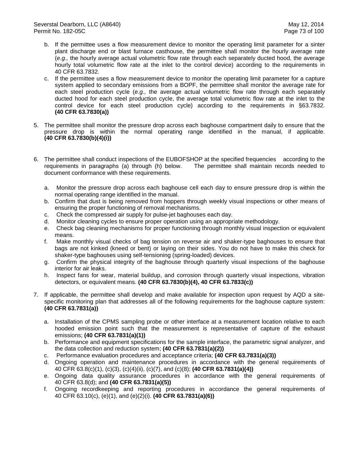- b. If the permittee uses a flow measurement device to monitor the operating limit parameter for a sinter plant discharge end or blast furnace casthouse, the permittee shall monitor the hourly average rate (*e.g.,* the hourly average actual volumetric flow rate through each separately ducted hood, the average hourly total volumetric flow rate at the inlet to the control device) according to the requirements in 40 CFR 63.7832.
- c. If the permittee uses a flow measurement device to monitor the operating limit parameter for a capture system applied to secondary emissions from a BOPF, the permittee shall monitor the average rate for each steel production cycle (*e.g.,* the average actual volumetric flow rate through each separately ducted hood for each steel production cycle, the average total volumetric flow rate at the inlet to the control device for each steel production cycle) according to the requirements in §63.7832. **(40 CFR 63.7830(a))**
- 5. The permittee shall monitor the pressure drop across each baghouse compartment daily to ensure that the pressure drop is within the normal operating range identified in the manual, if applicable. **(40 CFR 63.7830(b)(4)(i))**
- 6. The permittee shall conduct inspections of the EUBOFSHOP at the specified frequencies according to the requirements in paragraphs (a) through (h) below. The permittee shall maintain records needed to document conformance with these requirements.
	- a. Monitor the pressure drop across each baghouse cell each day to ensure pressure drop is within the normal operating range identified in the manual.
	- b. Confirm that dust is being removed from hoppers through weekly visual inspections or other means of ensuring the proper functioning of removal mechanisms.
	- c. Check the compressed air supply for pulse-jet baghouses each day.
	- d. Monitor cleaning cycles to ensure proper operation using an appropriate methodology.
	- e. Check bag cleaning mechanisms for proper functioning through monthly visual inspection or equivalent means.
	- f. Make monthly visual checks of bag tension on reverse air and shaker-type baghouses to ensure that bags are not kinked (kneed or bent) or laying on their sides. You do not have to make this check for shaker-type baghouses using self-tensioning (spring-loaded) devices.
	- g. Confirm the physical integrity of the baghouse through quarterly visual inspections of the baghouse interior for air leaks.
	- h. Inspect fans for wear, material buildup, and corrosion through quarterly visual inspections, vibration detectors, or equivalent means. **(40 CFR 63.7830(b)(4), 40 CFR 63.7833(c))**
- 7. If applicable, the permittee shall develop and make available for inspection upon request by AQD a sitespecific monitoring plan that addresses all of the following requirements for the baghouse capture system: **(40 CFR 63.7831(a))**
	- a. Installation of the CPMS sampling probe or other interface at a measurement location relative to each hooded emission point such that the measurement is representative of capture of the exhaust emissions; **(40 CFR 63.7831(a)(1))**
	- b. Performance and equipment specifications for the sample interface, the parametric signal analyzer, and the data collection and reduction system; **(40 CFR 63.7831(a)(2))**
	- c. Performance evaluation procedures and acceptance criteria; **(40 CFR 63.7831(a)(3))**
	- d. Ongoing operation and maintenance procedures in accordance with the general requirements of 40 CFR 63.8(c)(1), (c)(3), (c)(4)(ii), (c)(7), and (c)(8); **(40 CFR 63.7831(a)(4))**
	- e. Ongoing data quality assurance procedures in accordance with the general requirements of 40 CFR 63.8(d); and **(40 CFR 63.7831(a)(5))**
	- f. Ongoing recordkeeping and reporting procedures in accordance the general requirements of 40 CFR 63.10(c), (e)(1), and (e)(2)(i). **(40 CFR 63.7831(a)(6))**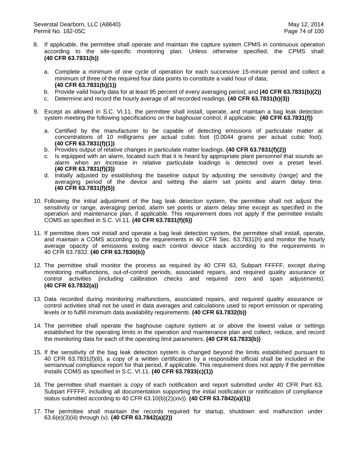- 8. If applicable, the permittee shall operate and maintain the capture system CPMS in continuous operation according to the site-specific monitoring plan. Unless otherwise specified, the CPMS shall: **(40 CFR 63.7831(b))**
	- a. Complete a minimum of one cycle of operation for each successive 15-minute period and collect a minimum of three of the required four data points to constitute a valid hour of data; **(40 CFR 63.7831(b)(1))**
	- b. Provide valid hourly data for at least 95 percent of every averaging period; and **(40 CFR 63.7831(b)(2))**
	- c. Determine and record the hourly average of all recorded readings. **(40 CFR 63.7831(b)(3))**
- 9. Except as allowed in S.C. VI.11, the permittee shall install, operate, and maintain a bag leak detection system meeting the following specifications on the baghouse control, if applicable: **(40 CFR 63.7831(f))**
	- a. Certified by the manufacturer to be capable of detecting emissions of particulate matter at concentrations of 10 milligrams per actual cubic foot (0.0044 grains per actual cubic foot). **(40 CFR 63.7831(f)(1))**
	- b. Provides output of relative changes in particulate matter loadings. **(40 CFR 63.7831(f)(2))**
	- c. Is equipped with an alarm, located such that it is heard by appropriate plant personnel that sounds an alarm when an increase in relative particulate loadings is detected over a preset level. **(40 CFR 63.7831(f)(3))**
	- d. Initially adjusted by establishing the baseline output by adjusting the sensitivity (range) and the averaging period of the device and setting the alarm set points and alarm delay time. **(40 CFR 63.7831(f)(5))**
- 10. Following the initial adjustment of the bag leak detection system, the permittee shall not adjust the sensitivity or range, averaging period, alarm set points or alarm delay time except as specified in the operation and maintenance plan, if applicable. This requirement does not apply if the permittee installs COMS as specified in S.C. VI.11. **(40 CFR 63.7831(f)(6))**
- 11. If permittee does not install and operate a bag leak detection system, the permittee shall install, operate, and maintain a COMS according to the requirements in 40 CFR Sec. 63.7831(h) and monitor the hourly average opacity of emissions exiting each control device stack according to the requirements in 40 CFR 63.7832. **(40 CFR 63.7830(b))**
- 12. The permittee shall monitor the process as required by 40 CFR 63, Subpart FFFFF, except during monitoring malfunctions, out-of-control periods, associated repairs, and required quality assurance or control activities (including calibration checks and required zero and span adjustments). **(40 CFR 63.7832(a))**
- 13. Data recorded during monitoring malfunctions, associated repairs, and required quality assurance or control activities shall not be used in data averages and calculations used to report emission or operating levels or to fulfill minimum data availability requirements. **(40 CFR 63.7832(b))**
- 14. The permittee shall operate the baghouse capture system at or above the lowest value or settings established for the operating limits in the operation and maintenance plan and collect, reduce, and record the monitoring data for each of the operating limit parameters. **(40 CFR 63.7833(b))**
- 15. If the sensitivity of the bag leak detection system is changed beyond the limits established pursuant to 40 CFR 63.7831(f)(6), a copy of a written certification by a responsible official shall be included in the semiannual compliance report for that period, if applicable. This requirement does not apply if the permittee installs COMS as specified in S.C. VI.11. **(40 CFR 63.7833(c)(1))**
- 16. The permittee shall maintain a copy of each notification and report submitted under 40 CFR Part 63, Subpart FFFFF, including all documentation supporting the initial notification or notification of compliance status submitted according to 40 CFR 63.10(b)(2)(xiv)). **(40 CFR 63.7842(a)(1))**
- 17. The permittee shall maintain the records required for startup, shutdown and malfunction under 63.6(e)(3)(iii) through (v). **(40 CFR 63.7842(a)(2))**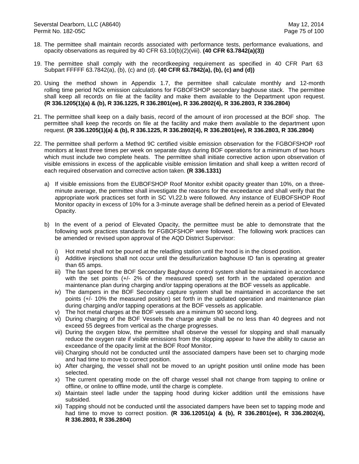- 18. The permittee shall maintain records associated with performance tests, performance evaluations, and opacity observations as required by 40 CFR 63.10(b)(2)(viii). **(40 CFR 63.7842(a)(3))**
- 19. The permittee shall comply with the recordkeeping requirement as specified in 40 CFR Part 63 Subpart FFFFF 63.7842(a), (b), (c) and (d). **(40 CFR 63.7842(a), (b), (c) and (d))**
- 20. Using the method shown in Appendix 1.7, the permittee shall calculate monthly and 12-month rolling time period NOx emission calculations for FGBOFSHOP secondary baghouse stack. The permittee shall keep all records on file at the facility and make them available to the Department upon request. **(R 336.1205(1)(a) & (b), R 336.1225, R 336.2801(ee), R 336.2802(4), R 336.2803, R 336.2804)**
- 21. The permittee shall keep on a daily basis, record of the amount of iron processed at the BOF shop. The permittee shall keep the records on file at the facility and make them available to the department upon request. **(R 336.1205(1)(a) & (b), R 336.1225, R 336.2802(4), R 336.2801(ee), R 336.2803, R 336.2804)**
- 22. The permittee shall perform a Method 9C certified visible emission observation for the FGBOFSHOP roof monitors at least three times per week on separate days during BOF operations for a minimum of two hours which must include two complete heats. The permittee shall initiate corrective action upon observation of visible emissions in excess of the applicable visible emission limitation and shall keep a written record of each required observation and corrective action taken. **(R 336.1331)**
	- a) If visible emissions from the EUBOFSHOP Roof Monitor exhibit opacity greater than 10%, on a threeminute average, the permittee shall investigate the reasons for the exceedance and shall verify that the appropriate work practices set forth in SC VI.22.b were followed. Any instance of EUBOFSHOP Roof Monitor opacity in excess of 10% for a 3-minute average shall be defined herein as a period of Elevated Opacity.
	- b) In the event of a period of Elevated Opacity, the permittee must be able to demonstrate that the following work practices standards for FGBOFSHOP were followed. The following work practices can be amended or revised upon approval of the AQD District Supervisor:
		- i) Hot metal shall not be poured at the reladling station until the hood is in the closed position.
		- ii) Additive injections shall not occur until the desulfurization baghouse ID fan is operating at greater than 65 amps.
		- iii) The fan speed for the BOF Secondary Baghouse control system shall be maintained in accordance with the set points (+/- 2% of the measured speed) set forth in the updated operation and maintenance plan during charging and/or tapping operations at the BOF vessels as applicable.
		- iv) The dampers in the BOF Secondary capture system shall be maintained in accordance the set points (+/- 10% the measured position) set forth in the updated operation and maintenance plan during charging and/or tapping operations at the BOF vessels as applicable.
		- v) The hot metal charges at the BOF vessels are a minimum 90 second long.
		- vi) During charging of the BOF Vessels the charge angle shall be no less than 40 degrees and not exceed 55 degrees from vertical as the charge progresses.
		- vii) During the oxygen blow, the permittee shall observe the vessel for slopping and shall manually reduce the oxygen rate if visible emissions from the slopping appear to have the ability to cause an exceedance of the opacity limit at the BOF Roof Monitor.
		- viii) Charging should not be conducted until the associated dampers have been set to charging mode and had time to move to correct position.
		- ix) After charging, the vessel shall not be moved to an upright position until online mode has been selected.
		- x) The current operating mode on the off charge vessel shall not change from tapping to online or offline, or online to offline mode, until the charge is complete.
		- xi) Maintain steel ladle under the tapping hood during kicker addition until the emissions have subsided.
		- xii) Tapping should not be conducted until the associated dampers have been set to tapping mode and had time to move to correct position. **(R 336.12051(a) & (b), R 336.2801(ee), R 336.2802(4), R 336.2803, R 336.2804)**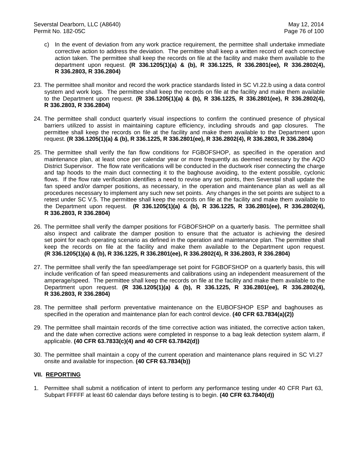- c) In the event of deviation from any work practice requirement, the permittee shall undertake immediate corrective action to address the deviation. The permittee shall keep a written record of each corrective action taken. The permittee shall keep the records on file at the facility and make them available to the department upon request. **(R 336.1205(1)(a) & (b), R 336.1225, R 336.2801(ee), R 336.2802(4), R 336.2803, R 336.2804)**
- 23. The permittee shall monitor and record the work practice standards listed in SC VI.22.b using a data control system and work logs. The permittee shall keep the records on file at the facility and make them available to the Department upon request. **(R 336.1205(1)(a) & (b), R 336.1225, R 336.2801(ee), R 336.2802(4), R 336.2803, R 336.2804)**
- 24. The permittee shall conduct quarterly visual inspections to confirm the continued presence of physical barriers utilized to assist in maintaining capture efficiency, including shrouds and gap closures. The permittee shall keep the records on file at the facility and make them available to the Department upon request. **(R 336.1205(1)(a) & (b), R 336.1225, R 336.2801(ee), R 336.2802(4), R 336.2803, R 336.2804)**
- 25. The permittee shall verify the fan flow conditions for FGBOFSHOP, as specified in the operation and maintenance plan, at least once per calendar year or more frequently as deemed necessary by the AQD District Supervisor. The flow rate verifications will be conducted in the ductwork riser connecting the charge and tap hoods to the main duct connecting it to the baghouse avoiding, to the extent possible, cyclonic flows. If the flow rate verification identifies a need to revise any set points, then Severstal shall update the fan speed and/or damper positions, as necessary, in the operation and maintenance plan as well as all procedures necessary to implement any such new set points. Any changes in the set points are subject to a retest under SC V.5. The permittee shall keep the records on file at the facility and make them available to the Department upon request. **(R 336.1205(1)(a) & (b), R 336.1225, R 336.2801(ee), R 336.2802(4), R 336.2803, R 336.2804)**
- 26. The permittee shall verify the damper positions for FGBOFSHOP on a quarterly basis. The permittee shall also inspect and calibrate the damper position to ensure that the actuator is achieving the desired set point for each operating scenario as defined in the operation and maintenance plan. The permittee shall keep the records on file at the facility and make them available to the Department upon request. **(R 336.1205(1)(a) & (b), R 336.1225, R 336.2801(ee), R 336.2802(4), R 336.2803, R 336.2804)**
- 27. The permittee shall verify the fan speed/amperage set point for FGBOFSHOP on a quarterly basis, this will include verification of fan speed measurements and calibrations using an independent measurement of the amperage/speed. The permittee shall keep the records on file at the facility and make them available to the Department upon request. **(R 336.1205(1)(a) & (b), R 336.1225, R 336.2801(ee), R 336.2802(4), R 336.2803, R 336.2804)**
- 28. The permittee shall perform preventative maintenance on the EUBOFSHOP ESP and baghouses as specified in the operation and maintenance plan for each control device. **(40 CFR 63.7834(a)(2))**
- 29. The permittee shall maintain records of the time corrective action was initiated, the corrective action taken, and the date when corrective actions were completed in response to a bag leak detection system alarm, if applicable. **(40 CFR 63.7833(c)(4) and 40 CFR 63.7842(d))**
- 30. The permittee shall maintain a copy of the current operation and maintenance plans required in SC VI.27 onsite and available for inspection. **(40 CFR 63.7834(b))**

# **VII. REPORTING**

1. Permittee shall submit a notification of intent to perform any performance testing under 40 CFR Part 63, Subpart FFFFF at least 60 calendar days before testing is to begin. **(40 CFR 63.7840(d))**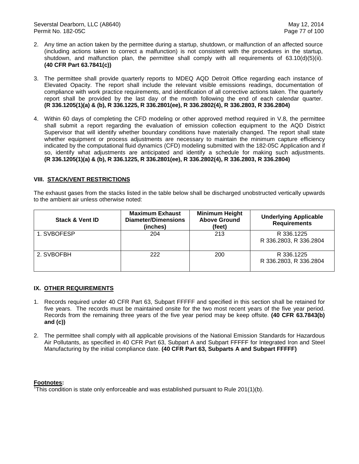- 2. Any time an action taken by the permittee during a startup, shutdown, or malfunction of an affected source (including actions taken to correct a malfunction) is not consistent with the procedures in the startup, shutdown, and malfunction plan, the permittee shall comply with all requirements of 63.10(d)(5)(ii). **(40 CFR Part 63.7841(c))**
- 3. The permittee shall provide quarterly reports to MDEQ AQD Detroit Office regarding each instance of Elevated Opacity. The report shall include the relevant visible emissions readings, documentation of compliance with work practice requirements, and identification of all corrective actions taken. The quarterly report shall be provided by the last day of the month following the end of each calendar quarter. **(R 336.1205(1)(a) & (b), R 336.1225, R 336.2801(ee), R 336.2802(4), R 336.2803, R 336.2804)**
- 4. Within 60 days of completing the CFD modeling or other approved method required in V.8, the permittee shall submit a report regarding the evaluation of emission collection equipment to the AQD District Supervisor that will identify whether boundary conditions have materially changed. The report shall state whether equipment or process adjustments are necessary to maintain the minimum capture efficiency indicated by the computational fluid dynamics (CFD) modeling submitted with the 182-05C Application and if so, identify what adjustments are anticipated and identify a schedule for making such adjustments. **(R 336.1205(1)(a) & (b), R 336.1225, R 336.2801(ee), R 336.2802(4), R 336.2803, R 336.2804)**

# **VIII. STACK/VENT RESTRICTIONS**

The exhaust gases from the stacks listed in the table below shall be discharged unobstructed vertically upwards to the ambient air unless otherwise noted:

| <b>Stack &amp; Vent ID</b> | <b>Maximum Exhaust</b><br>Diameter/Dimensions<br>(inches) | <b>Minimum Height</b><br><b>Above Ground</b><br>(feet) | <b>Underlying Applicable</b><br><b>Requirements</b> |
|----------------------------|-----------------------------------------------------------|--------------------------------------------------------|-----------------------------------------------------|
| 1. SVBOFESP                | 204                                                       | 213                                                    | R 336.1225<br>R 336.2803, R 336.2804                |
| 2. SVBOFBH                 | 222                                                       | 200                                                    | R 336.1225<br>R 336.2803, R 336.2804                |

# **IX. OTHER REQUIREMENTS**

- 1. Records required under 40 CFR Part 63, Subpart FFFFF and specified in this section shall be retained for five years. The records must be maintained onsite for the two most recent years of the five year period. Records from the remaining three years of the five year period may be keep offsite. **(40 CFR 63.7843(b) and (c))**
- 2. The permittee shall comply with all applicable provisions of the National Emission Standards for Hazardous Air Pollutants, as specified in 40 CFR Part 63, Subpart A and Subpart FFFFF for Integrated Iron and Steel Manufacturing by the initial compliance date. **(40 CFR Part 63, Subparts A and Subpart FFFFF)**

## **Footnotes:**

 $\textsuperscript{1}\textsuperscript{1}\textsubscript{1}$  This condition is state only enforceable and was established pursuant to Rule 201(1)(b).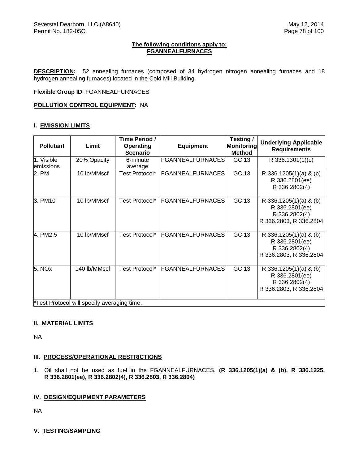## **The following conditions apply to: FGANNEALFURNACES**

**DESCRIPTION:** 52 annealing furnaces (composed of 34 hydrogen nitrogen annealing furnaces and 18 hydrogen annealing furnaces) located in the Cold Mill Building.

**Flexible Group ID**: FGANNEALFURNACES

## **POLLUTION CONTROL EQUIPMENT:** NA

## **I. EMISSION LIMITS**

| <b>Pollutant</b>        | Limit                                       | Time Period /<br>Operating<br><b>Scenario</b> | <b>Equipment</b>        | Testing /<br>Monitoring<br><b>Method</b> | <b>Underlying Applicable</b><br><b>Requirements</b>                                 |
|-------------------------|---------------------------------------------|-----------------------------------------------|-------------------------|------------------------------------------|-------------------------------------------------------------------------------------|
| 1. Visible<br>emissions | 20% Opacity                                 | 6-minute<br>average                           | <b>FGANNEALFURNACES</b> | GC 13                                    | R 336.1301(1)(c)                                                                    |
| 2. PM                   | 10 lb/MMscf                                 | Test Protocol*                                | <b>FGANNEALFURNACES</b> | GC 13                                    | R 336.1205(1)(a) & (b)<br>R 336.2801(ee)<br>R 336.2802(4)                           |
| 3. PM10                 | 10 lb/MMscf                                 | Test Protocol*                                | <b>FGANNEALFURNACES</b> | GC 13                                    | R 336.1205(1)(a) & (b)<br>R 336.2801(ee)<br>R 336.2802(4)<br>R 336.2803, R 336.2804 |
| 4. PM2.5                | 10 lb/MMscf                                 | Test Protocol*                                | FGANNEALFURNACES        | GC 13                                    | R 336.1205(1)(a) & (b)<br>R 336.2801(ee)<br>R 336.2802(4)<br>R 336.2803, R 336.2804 |
| 5. NO <sub>x</sub>      | 140 lb/MMscf                                | Test Protocol*                                | <b>FGANNEALFURNACES</b> | GC 13                                    | R 336.1205(1)(a) & (b)<br>R 336.2801(ee)<br>R 336.2802(4)<br>R 336.2803, R 336.2804 |
|                         | *Test Protocol will specify averaging time. |                                               |                         |                                          |                                                                                     |

**II. MATERIAL LIMITS**

NA

## **III. PROCESS/OPERATIONAL RESTRICTIONS**

1. Oil shall not be used as fuel in the FGANNEALFURNACES. **(R 336.1205(1)(a) & (b), R 336.1225, R 336.2801(ee), R 336.2802(4), R 336.2803, R 336.2804)** 

## **IV. DESIGN/EQUIPMENT PARAMETERS**

NA

## **V. TESTING/SAMPLING**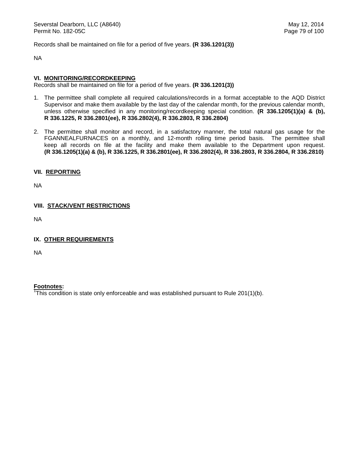Records shall be maintained on file for a period of five years. **(R 336.1201(3))**

NA

## **VI. MONITORING/RECORDKEEPING**

Records shall be maintained on file for a period of five years. **(R 336.1201(3))**

- 1. The permittee shall complete all required calculations/records in a format acceptable to the AQD District Supervisor and make them available by the last day of the calendar month, for the previous calendar month, unless otherwise specified in any monitoring/recordkeeping special condition. **(R 336.1205(1)(a) & (b), R 336.1225, R 336.2801(ee), R 336.2802(4), R 336.2803, R 336.2804)**
- 2. The permittee shall monitor and record, in a satisfactory manner, the total natural gas usage for the FGANNEALFURNACES on a monthly, and 12-month rolling time period basis. The permittee shall keep all records on file at the facility and make them available to the Department upon request. **(R 336.1205(1)(a) & (b), R 336.1225, R 336.2801(ee), R 336.2802(4), R 336.2803, R 336.2804, R 336.2810)**

# **VII. REPORTING**

NA

# **VIII. STACK/VENT RESTRICTIONS**

NA

## **IX. OTHER REQUIREMENTS**

NA

**Footnotes:**  1 This condition is state only enforceable and was established pursuant to Rule 201(1)(b).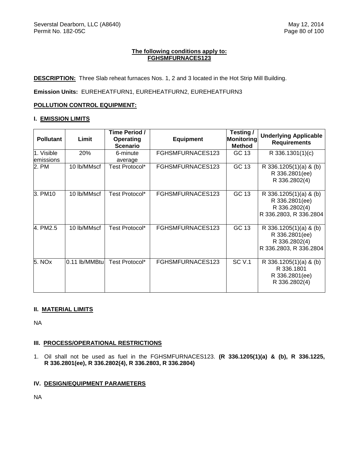# **The following conditions apply to: FGHSMFURNACES123**

**DESCRIPTION:** Three Slab reheat furnaces Nos. 1, 2 and 3 located in the Hot Strip Mill Building.

**Emission Units:** EUREHEATFURN1, EUREHEATFURN2, EUREHEATFURN3

# **POLLUTION CONTROL EQUIPMENT:**

## **I. EMISSION LIMITS**

| <b>Pollutant</b>        | Limit         | Time Period /<br>Operating<br><b>Scenario</b> | <b>Equipment</b> | Testing /<br><b>Monitoring</b><br><b>Method</b> | <b>Underlying Applicable</b><br><b>Requirements</b>                                 |
|-------------------------|---------------|-----------------------------------------------|------------------|-------------------------------------------------|-------------------------------------------------------------------------------------|
| 1. Visible<br>emissions | 20%           | 6-minute<br>average                           | FGHSMFURNACES123 | GC 13                                           | R 336.1301(1)(c)                                                                    |
| 2. PM                   | 10 lb/MMscf   | Test Protocol*                                | FGHSMFURNACES123 | GC 13                                           | R 336.1205(1)(a) & (b)<br>R 336.2801(ee)<br>R 336.2802(4)                           |
| 3. PM10                 | 10 lb/MMscf   | Test Protocol*                                | FGHSMFURNACES123 | GC 13                                           | R 336.1205(1)(a) & (b)<br>R 336.2801(ee)<br>R 336.2802(4)<br>R 336.2803, R 336.2804 |
| 4. PM2.5                | 10 lb/MMscf   | Test Protocol*                                | FGHSMFURNACES123 | GC 13                                           | R 336.1205(1)(a) & (b)<br>R 336.2801(ee)<br>R 336.2802(4)<br>R 336.2803, R 336.2804 |
| 5. NO <sub>x</sub>      | 0.11 lb/MMBtu | Test Protocol*                                | FGHSMFURNACES123 | <b>SC V.1</b>                                   | R 336.1205(1)(a) & (b)<br>R 336.1801<br>R 336.2801(ee)<br>R 336.2802(4)             |

# **II. MATERIAL LIMITS**

NA

# **III. PROCESS/OPERATIONAL RESTRICTIONS**

1. Oil shall not be used as fuel in the FGHSMFURNACES123. **(R 336.1205(1)(a) & (b), R 336.1225, R 336.2801(ee), R 336.2802(4), R 336.2803, R 336.2804)**

# **IV. DESIGN/EQUIPMENT PARAMETERS**

NA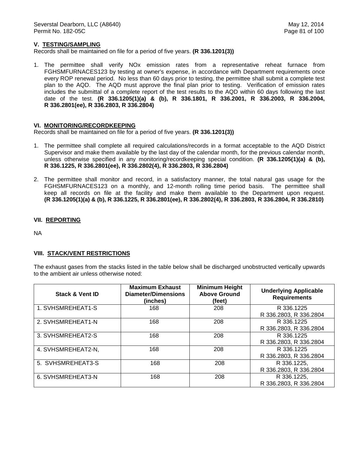# **V. TESTING/SAMPLING**

Records shall be maintained on file for a period of five years. **(R 336.1201(3))**

1. The permittee shall verify NOx emission rates from a representative reheat furnace from FGHSMFURNACES123 by testing at owner's expense, in accordance with Department requirements once every ROP renewal period. No less than 60 days prior to testing, the permittee shall submit a complete test plan to the AQD. The AQD must approve the final plan prior to testing. Verification of emission rates includes the submittal of a complete report of the test results to the AQD within 60 days following the last date of the test. **(R 336.1205(1)(a) & (b), R 336.1801, R 336.2001, R 336.2003, R 336.2004, R 336.2801(ee), R 336.2803, R 336.2804)**

## **VI. MONITORING/RECORDKEEPING**

Records shall be maintained on file for a period of five years. **(R 336.1201(3))**

- 1. The permittee shall complete all required calculations/records in a format acceptable to the AQD District Supervisor and make them available by the last day of the calendar month, for the previous calendar month, unless otherwise specified in any monitoring/recordkeeping special condition. **(R 336.1205(1)(a) & (b), R 336.1225, R 336.2801(ee), R 336.2802(4), R 336.2803, R 336.2804)**
- 2. The permittee shall monitor and record, in a satisfactory manner, the total natural gas usage for the FGHSMFURNACES123 on a monthly, and 12-month rolling time period basis. The permittee shall keep all records on file at the facility and make them available to the Department upon request. **(R 336.1205(1)(a) & (b), R 336.1225, R 336.2801(ee), R 336.2802(4), R 336.2803, R 336.2804, R 336.2810)**

## **VII. REPORTING**

NA

# **VIII. STACK/VENT RESTRICTIONS**

The exhaust gases from the stacks listed in the table below shall be discharged unobstructed vertically upwards to the ambient air unless otherwise noted:

| <b>Stack &amp; Vent ID</b> | <b>Maximum Exhaust</b><br><b>Diameter/Dimensions</b><br>(inches) | <b>Minimum Height</b><br><b>Above Ground</b><br>(feet) | <b>Underlying Applicable</b><br><b>Requirements</b> |
|----------------------------|------------------------------------------------------------------|--------------------------------------------------------|-----------------------------------------------------|
| 1. SVHSMREHEAT1-S          | 168                                                              | 208                                                    | R 336.1225<br>R 336.2803, R 336.2804                |
| 2. SVHSMREHEAT1-N          | 168                                                              | 208                                                    | R 336.1225<br>R 336.2803, R 336.2804                |
| 3. SVHSMREHEAT2-S          | 168                                                              | 208                                                    | R 336.1225<br>R 336.2803, R 336.2804                |
| 4. SVHSMREHEAT2-N,         | 168                                                              | 208                                                    | R 336.1225<br>R 336.2803, R 336.2804                |
| 5. SVHSMREHEAT3-S          | 168                                                              | 208                                                    | R 336.1225,<br>R 336.2803, R 336.2804               |
| 6. SVHSMREHEAT3-N          | 168                                                              | 208                                                    | R 336.1225,<br>R 336.2803, R 336.2804               |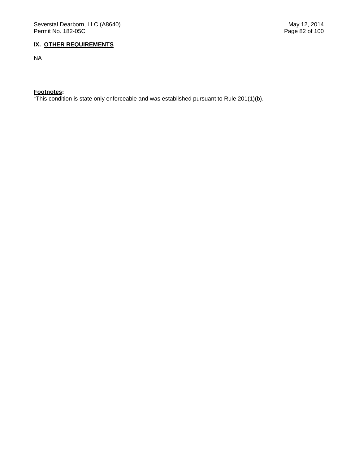# **IX. OTHER REQUIREMENTS**

NA

**Footnotes:**  1 This condition is state only enforceable and was established pursuant to Rule 201(1)(b).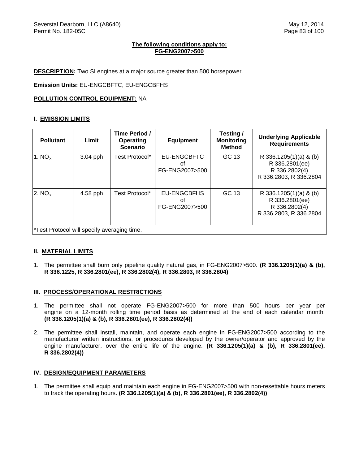# **The following conditions apply to: FG-ENG2007>500**

**DESCRIPTION:** Two SI engines at a major source greater than 500 horsepower.

**Emission Units:** EU-ENGCBFTC, EU-ENGCBFHS

# **POLLUTION CONTROL EQUIPMENT:** NA

# **I. EMISSION LIMITS**

| <b>Pollutant</b>                            | Limit      | Time Period /<br>Operating<br><b>Scenario</b> | <b>Equipment</b>                           | Testing /<br><b>Monitoring</b><br><b>Method</b> | <b>Underlying Applicable</b><br><b>Requirements</b>                                 |
|---------------------------------------------|------------|-----------------------------------------------|--------------------------------------------|-------------------------------------------------|-------------------------------------------------------------------------------------|
| 1. $NOx$                                    | $3.04$ pph | Test Protocol*                                | EU-ENGCBFTC<br>Ωf<br>FG-ENG2007>500        | GC 13                                           | R 336.1205(1)(a) & (b)<br>R 336.2801(ee)<br>R 336.2802(4)<br>R 336.2803, R 336.2804 |
| 2. $NO_x$                                   | 4.58 pph   | Test Protocol*                                | <b>EU-ENGCBFHS</b><br>οt<br>FG-ENG2007>500 | GC 13                                           | R 336.1205(1)(a) & (b)<br>R 336.2801(ee)<br>R 336.2802(4)<br>R 336.2803, R 336.2804 |
| *Test Protocol will specify averaging time. |            |                                               |                                            |                                                 |                                                                                     |

## **II. MATERIAL LIMITS**

1. The permittee shall burn only pipeline quality natural gas, in FG-ENG2007>500. **(R 336.1205(1)(a) & (b), R 336.1225, R 336.2801(ee), R 336.2802(4), R 336.2803, R 336.2804)**

## **III. PROCESS/OPERATIONAL RESTRICTIONS**

- 1. The permittee shall not operate FG-ENG2007>500 for more than 500 hours per year per engine on a 12-month rolling time period basis as determined at the end of each calendar month. **(R 336.1205(1)(a) & (b), R 336.2801(ee), R 336.2802(4))**
- 2. The permittee shall install, maintain, and operate each engine in FG-ENG2007>500 according to the manufacturer written instructions, or procedures developed by the owner/operator and approved by the engine manufacturer, over the entire life of the engine. **(R 336.1205(1)(a) & (b), R 336.2801(ee), R 336.2802(4))**

## **IV. DESIGN/EQUIPMENT PARAMETERS**

1. The permittee shall equip and maintain each engine in FG-ENG2007>500 with non-resettable hours meters to track the operating hours. **(R 336.1205(1)(a) & (b), R 336.2801(ee), R 336.2802(4))**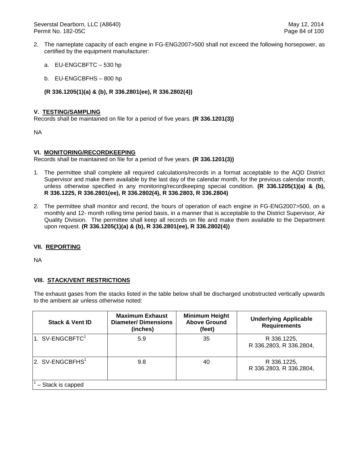Severstal Dearborn, LLC (A8640) May 12, 2014 Permit No. 182-05C **Page 84 of 100** 

- 2. The nameplate capacity of each engine in FG-ENG2007>500 shall not exceed the following horsepower, as certified by the equipment manufacturer:
	- a. EU-ENGCBFTC 530 hp
	- b. EU-ENGCBFHS 800 hp
	- **(R 336.1205(1)(a) & (b), R 336.2801(ee), R 336.2802(4))**

## **V. TESTING/SAMPLING**

Records shall be maintained on file for a period of five years. **(R 336.1201(3))**

NA

## **VI. MONITORING/RECORDKEEPING**

Records shall be maintained on file for a period of five years. **(R 336.1201(3))**

- 1. The permittee shall complete all required calculations/records in a format acceptable to the AQD District Supervisor and make them available by the last day of the calendar month, for the previous calendar month, unless otherwise specified in any monitoring/recordkeeping special condition. **(R 336.1205(1)(a) & (b), R 336.1225, R 336.2801(ee), R 336.2802(4), R 336.2803, R 336.2804)**
- 2. The permittee shall monitor and record, the hours of operation of each engine in FG-ENG2007>500, on a monthly and 12- month rolling time period basis, in a manner that is acceptable to the District Supervisor, Air Quality Division. The permittee shall keep all records on file and make them available to the Department upon request. **(R 336.1205(1)(a) & (b), R 336.2801(ee), R 336.2802(4))**

## **VII. REPORTING**

NA

## **VIII. STACK/VENT RESTRICTIONS**

The exhaust gases from the stacks listed in the table below shall be discharged unobstructed vertically upwards to the ambient air unless otherwise noted:

| <b>Stack &amp; Vent ID</b>  | <b>Maximum Exhaust</b><br><b>Diameter/Dimensions</b><br>(inches) | <b>Minimum Height</b><br><b>Above Ground</b><br>(feet) | <b>Underlying Applicable</b><br><b>Requirements</b> |
|-----------------------------|------------------------------------------------------------------|--------------------------------------------------------|-----------------------------------------------------|
| 1. SV-ENGCBFTC <sup>1</sup> | 5.9                                                              | 35                                                     | R 336.1225,<br>R 336.2803, R 336.2804,              |
| 2. SV-ENGCBFHS <sup>1</sup> | 9.8                                                              | 40                                                     | R 336.1225,<br>R 336.2803, R 336.2804,              |
| - Stack is capped           |                                                                  |                                                        |                                                     |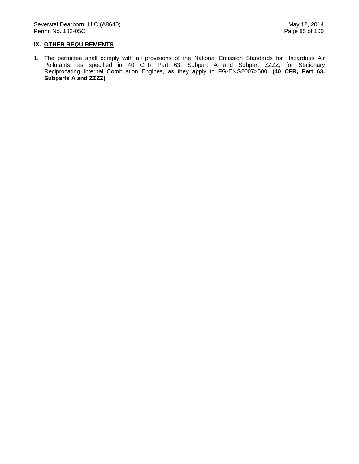# **IX. OTHER REQUIREMENTS**

1. The permittee shall comply with all provisions of the National Emission Standards for Hazardous Air Pollutants, as specified in 40 CFR Part 63, Subpart A and Subpart ZZZZ, for Stationary Reciprocating Internal Combustion Engines, as they apply to FG-ENG2007>500. **(40 CFR, Part 63, Subparts A and ZZZZ)**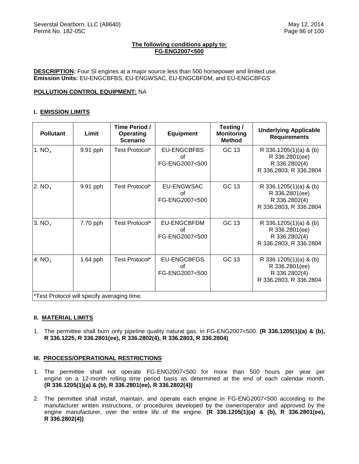## **The following conditions apply to: FG-ENG2007<500**

**DESCRIPTION:** Four SI engines at a major source less than 500 horsepower and limited use. **Emission Units:** EU-ENGCBFBS, EU-ENGWSAC, EU-ENGCBFDM, and EU-ENGCBFGS

# **POLLUTION CONTROL EQUIPMENT:** NA

## **I. EMISSION LIMITS**

| <b>Pollutant</b>                            | Limit    | Time Period /<br><b>Operating</b><br><b>Scenario</b> | <b>Equipment</b>                           | Testing /<br><b>Monitoring</b><br><b>Method</b> | <b>Underlying Applicable</b><br><b>Requirements</b>                                 |
|---------------------------------------------|----------|------------------------------------------------------|--------------------------------------------|-------------------------------------------------|-------------------------------------------------------------------------------------|
| 1. $NO_x$                                   | 9.91 pph | Test Protocol*                                       | <b>EU-ENGCBFBS</b><br>οf<br>FG-ENG2007<500 | GC 13                                           | R 336.1205(1)(a) & (b)<br>R 336.2801(ee)<br>R 336.2802(4)<br>R 336.2803, R 336.2804 |
| 2. $NO_x$                                   | 9.91 pph | Test Protocol*                                       | EU-ENGWSAC<br>οf<br>FG-ENG2007<500         | GC 13                                           | R 336.1205(1)(a) & (b)<br>R 336.2801(ee)<br>R 336.2802(4)<br>R 336.2803, R 336.2804 |
| 3. $NOx$                                    | 7.70 pph | Test Protocol*                                       | EU-ENGCBFDM<br>οf<br>FG-ENG2007<500        | GC 13                                           | R 336.1205(1)(a) & (b)<br>R 336.2801(ee)<br>R 336.2802(4)<br>R 336.2803, R 336.2804 |
| 4. $NOx$                                    | 1.64 pph | Test Protocol*                                       | EU-ENGCBFGS<br>Ωf<br>FG-ENG2007<500        | GC 13                                           | R 336.1205(1)(a) & (b)<br>R 336.2801(ee)<br>R 336.2802(4)<br>R 336.2803, R 336.2804 |
| *Test Protocol will specify averaging time. |          |                                                      |                                            |                                                 |                                                                                     |

## **II. MATERIAL LIMITS**

1. The permittee shall burn only pipeline quality natural gas, in FG-ENG2007<500. **(R 336.1205(1)(a) & (b), R 336.1225, R 336.2801(ee), R 336.2802(4), R 336.2803, R 336.2804)** 

# **III. PROCESS/OPERATIONAL RESTRICTIONS**

- 1. The permittee shall not operate FG-ENG2007<500 for more than 500 hours per year per engine on a 12-month rolling time period basis as determined at the end of each calendar month. **(R 336.1205(1)(a) & (b), R 336.2801(ee), R 336.2802(4))**
- 2. The permittee shall install, maintain, and operate each engine in FG-ENG2007<500 according to the manufacturer written instructions, or procedures developed by the owner/operator and approved by the engine manufacturer, over the entire life of the engine. **(R 336.1205(1)(a) & (b), R 336.2801(ee), R 336.2802(4))**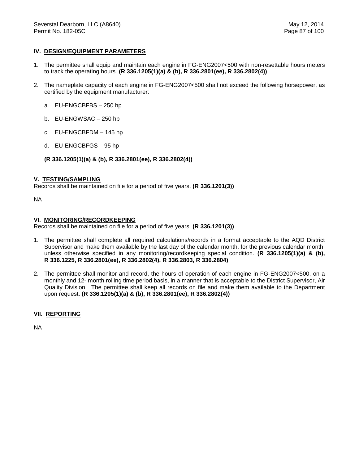# **IV. DESIGN/EQUIPMENT PARAMETERS**

- 1. The permittee shall equip and maintain each engine in FG-ENG2007<500 with non-resettable hours meters to track the operating hours. **(R 336.1205(1)(a) & (b), R 336.2801(ee), R 336.2802(4))**
- 2. The nameplate capacity of each engine in FG-ENG2007<500 shall not exceed the following horsepower, as certified by the equipment manufacturer:
	- a. EU-ENGCBFBS 250 hp
	- b. EU-ENGWSAC 250 hp
	- c. EU-ENGCBFDM 145 hp
	- d. EU-ENGCBFGS 95 hp
	- **(R 336.1205(1)(a) & (b), R 336.2801(ee), R 336.2802(4))**

## **V. TESTING/SAMPLING**

Records shall be maintained on file for a period of five years. **(R 336.1201(3))**

NA

## **VI. MONITORING/RECORDKEEPING**

Records shall be maintained on file for a period of five years. **(R 336.1201(3))**

- 1. The permittee shall complete all required calculations/records in a format acceptable to the AQD District Supervisor and make them available by the last day of the calendar month, for the previous calendar month, unless otherwise specified in any monitoring/recordkeeping special condition. **(R 336.1205(1)(a) & (b), R 336.1225, R 336.2801(ee), R 336.2802(4), R 336.2803, R 336.2804)**
- 2. The permittee shall monitor and record, the hours of operation of each engine in FG-ENG2007<500, on a monthly and 12- month rolling time period basis, in a manner that is acceptable to the District Supervisor, Air Quality Division. The permittee shall keep all records on file and make them available to the Department upon request. **(R 336.1205(1)(a) & (b), R 336.2801(ee), R 336.2802(4))**

## **VII. REPORTING**

NA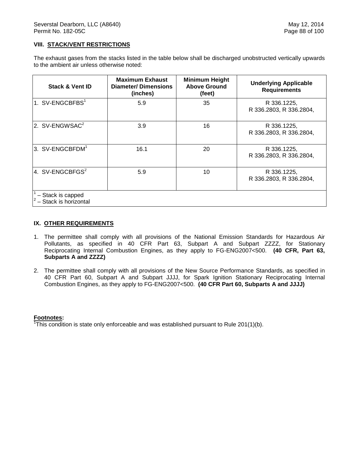# **VIII. STACK/VENT RESTRICTIONS**

The exhaust gases from the stacks listed in the table below shall be discharged unobstructed vertically upwards to the ambient air unless otherwise noted:

| <b>Stack &amp; Vent ID</b>                 | <b>Maximum Exhaust</b><br><b>Diameter/Dimensions</b><br>(inches) | <b>Minimum Height</b><br><b>Above Ground</b><br>(feet) | <b>Underlying Applicable</b><br><b>Requirements</b> |
|--------------------------------------------|------------------------------------------------------------------|--------------------------------------------------------|-----------------------------------------------------|
| 1. SV-ENGCBFBS <sup>1</sup>                | 5.9                                                              | 35                                                     | R 336.1225,<br>R 336.2803, R 336.2804,              |
| 2. SV-ENGWSAC <sup>2</sup>                 | 3.9                                                              | 16                                                     | R 336.1225.<br>R 336.2803, R 336.2804,              |
| 3. SV-ENGCBFDM <sup>1</sup>                | 16.1                                                             | 20                                                     | R 336.1225,<br>R 336.2803, R 336.2804,              |
| 4. SV-ENGCBFGS $2$                         | 5.9                                                              | 10                                                     | R 336.1225.<br>R 336.2803, R 336.2804,              |
| - Stack is capped<br>- Stack is horizontal |                                                                  |                                                        |                                                     |

## **IX. OTHER REQUIREMENTS**

- 1. The permittee shall comply with all provisions of the National Emission Standards for Hazardous Air Pollutants, as specified in 40 CFR Part 63, Subpart A and Subpart ZZZZ, for Stationary Reciprocating Internal Combustion Engines, as they apply to FG-ENG2007<500. **(40 CFR, Part 63, Subparts A and ZZZZ)**
- 2. The permittee shall comply with all provisions of the New Source Performance Standards, as specified in 40 CFR Part 60, Subpart A and Subpart JJJJ, for Spark Ignition Stationary Reciprocating Internal Combustion Engines, as they apply to FG-ENG2007<500. **(40 CFR Part 60, Subparts A and JJJJ)**

**Footnotes:** 1 This condition is state only enforceable and was established pursuant to Rule 201(1)(b).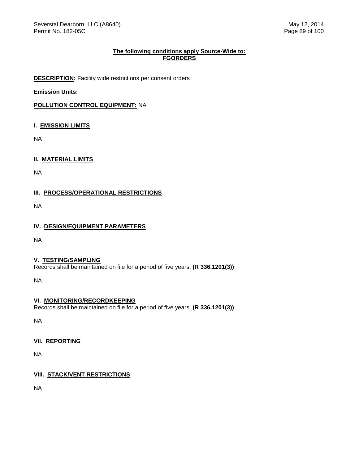# **The following conditions apply Source-Wide to: FGORDERS**

**DESCRIPTION:** Facility wide restrictions per consent orders

**Emission Units:**

**POLLUTION CONTROL EQUIPMENT:** NA

# **I. EMISSION LIMITS**

NA

**II. MATERIAL LIMITS**

NA

**III. PROCESS/OPERATIONAL RESTRICTIONS**

NA

# **IV. DESIGN/EQUIPMENT PARAMETERS**

NA

## **V. TESTING/SAMPLING**

Records shall be maintained on file for a period of five years. **(R 336.1201(3))**

NA

# **VI. MONITORING/RECORDKEEPING**

Records shall be maintained on file for a period of five years. **(R 336.1201(3))**

NA

# **VII. REPORTING**

NA

# **VIII. STACK/VENT RESTRICTIONS**

NA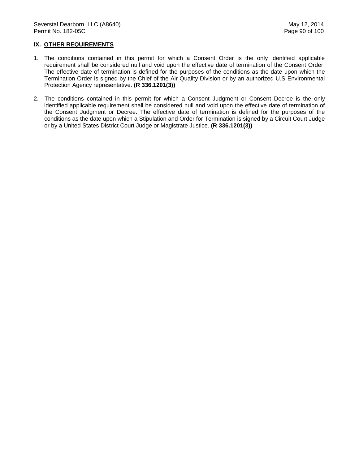# **IX. OTHER REQUIREMENTS**

- 1. The conditions contained in this permit for which a Consent Order is the only identified applicable requirement shall be considered null and void upon the effective date of termination of the Consent Order. The effective date of termination is defined for the purposes of the conditions as the date upon which the Termination Order is signed by the Chief of the Air Quality Division or by an authorized U.S Environmental Protection Agency representative. **(R 336.1201(3))**
- 2. The conditions contained in this permit for which a Consent Judgment or Consent Decree is the only identified applicable requirement shall be considered null and void upon the effective date of termination of the Consent Judgment or Decree. The effective date of termination is defined for the purposes of the conditions as the date upon which a Stipulation and Order for Termination is signed by a Circuit Court Judge or by a United States District Court Judge or Magistrate Justice. **(R 336.1201(3))**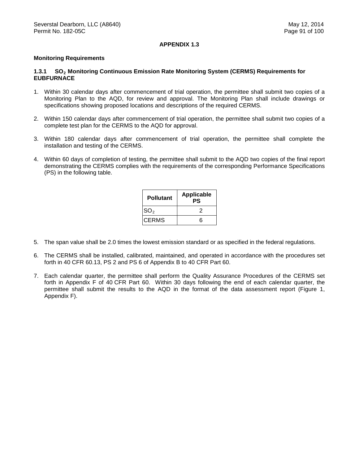## **APPENDIX 1.3**

## **Monitoring Requirements**

## **1.3.1 SO<sub>2</sub> Monitoring Continuous Emission Rate Monitoring System (CERMS) Requirements for EUBFURNACE**

- 1. Within 30 calendar days after commencement of trial operation, the permittee shall submit two copies of a Monitoring Plan to the AQD, for review and approval. The Monitoring Plan shall include drawings or specifications showing proposed locations and descriptions of the required CERMS.
- 2. Within 150 calendar days after commencement of trial operation, the permittee shall submit two copies of a complete test plan for the CERMS to the AQD for approval.
- 3. Within 180 calendar days after commencement of trial operation, the permittee shall complete the installation and testing of the CERMS.
- 4. Within 60 days of completion of testing, the permittee shall submit to the AQD two copies of the final report demonstrating the CERMS complies with the requirements of the corresponding Performance Specifications (PS) in the following table.

| <b>Pollutant</b> | <b>Applicable</b><br>PS |  |
|------------------|-------------------------|--|
| SO <sub>2</sub>  | 2                       |  |
| CERMS            | ี่ค                     |  |

- 5. The span value shall be 2.0 times the lowest emission standard or as specified in the federal regulations.
- 6. The CERMS shall be installed, calibrated, maintained, and operated in accordance with the procedures set forth in 40 CFR 60.13, PS 2 and PS 6 of Appendix B to 40 CFR Part 60.
- 7. Each calendar quarter, the permittee shall perform the Quality Assurance Procedures of the CERMS set forth in Appendix F of 40 CFR Part 60. Within 30 days following the end of each calendar quarter, the permittee shall submit the results to the AQD in the format of the data assessment report (Figure 1, Appendix F).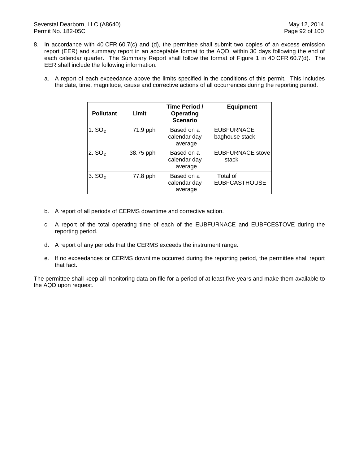- 8. In accordance with 40 CFR 60.7(c) and (d), the permittee shall submit two copies of an excess emission report (EER) and summary report in an acceptable format to the AQD, within 30 days following the end of each calendar quarter. The Summary Report shall follow the format of Figure 1 in 40 CFR 60.7(d). The EER shall include the following information:
	- a. A report of each exceedance above the limits specified in the conditions of this permit. This includes the date, time, magnitude, cause and corrective actions of all occurrences during the reporting period.

| <b>Pollutant</b>   | Limit     | Time Period /<br><b>Operating</b><br><b>Scenario</b> | <b>Equipment</b>                    |
|--------------------|-----------|------------------------------------------------------|-------------------------------------|
| 1. $SO2$           | 71.9 pph  | Based on a<br>calendar day<br>average                | <b>EUBFURNACE</b><br>baghouse stack |
| 2. $SO2$           | 38.75 pph | Based on a<br>calendar day<br>average                | <b>EUBFURNACE stove</b><br>stack    |
| 3. SO <sub>2</sub> | 77.8 pph  | Based on a<br>calendar day<br>average                | Total of<br><b>EUBFCASTHOUSE</b>    |

- b. A report of all periods of CERMS downtime and corrective action.
- c. A report of the total operating time of each of the EUBFURNACE and EUBFCESTOVE during the reporting period.
- d. A report of any periods that the CERMS exceeds the instrument range.
- e. If no exceedances or CERMS downtime occurred during the reporting period, the permittee shall report that fact.

The permittee shall keep all monitoring data on file for a period of at least five years and make them available to the AQD upon request.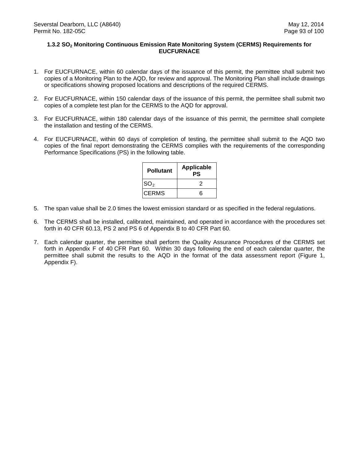## **1.3.2 SO2 Monitoring Continuous Emission Rate Monitoring System (CERMS) Requirements for EUCFURNACE**

- 1. For EUCFURNACE, within 60 calendar days of the issuance of this permit, the permittee shall submit two copies of a Monitoring Plan to the AQD, for review and approval. The Monitoring Plan shall include drawings or specifications showing proposed locations and descriptions of the required CERMS.
- 2. For EUCFURNACE, within 150 calendar days of the issuance of this permit, the permittee shall submit two copies of a complete test plan for the CERMS to the AQD for approval.
- 3. For EUCFURNACE, within 180 calendar days of the issuance of this permit, the permittee shall complete the installation and testing of the CERMS.
- 4. For EUCFURNACE, within 60 days of completion of testing, the permittee shall submit to the AQD two copies of the final report demonstrating the CERMS complies with the requirements of the corresponding Performance Specifications (PS) in the following table.

| <b>Applicable</b><br>PS |
|-------------------------|
| ッ                       |
| ี่ค                     |
|                         |

- 5. The span value shall be 2.0 times the lowest emission standard or as specified in the federal regulations.
- 6. The CERMS shall be installed, calibrated, maintained, and operated in accordance with the procedures set forth in 40 CFR 60.13, PS 2 and PS 6 of Appendix B to 40 CFR Part 60.
- 7. Each calendar quarter, the permittee shall perform the Quality Assurance Procedures of the CERMS set forth in Appendix F of 40 CFR Part 60. Within 30 days following the end of each calendar quarter, the permittee shall submit the results to the AQD in the format of the data assessment report (Figure 1, Appendix F).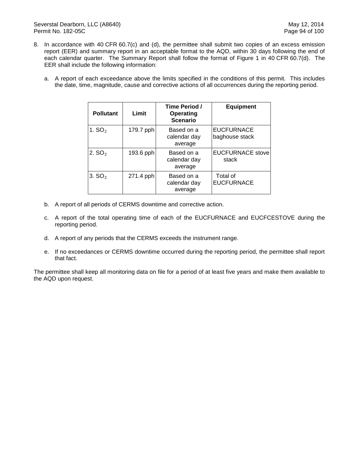- 8. In accordance with 40 CFR 60.7(c) and (d), the permittee shall submit two copies of an excess emission report (EER) and summary report in an acceptable format to the AQD, within 30 days following the end of each calendar quarter. The Summary Report shall follow the format of Figure 1 in 40 CFR 60.7(d). The EER shall include the following information:
	- a. A report of each exceedance above the limits specified in the conditions of this permit. This includes the date, time, magnitude, cause and corrective actions of all occurrences during the reporting period.

| <b>Pollutant</b> | Limit     | Time Period /<br>Operating<br><b>Scenario</b> | <b>Equipment</b>                    |
|------------------|-----------|-----------------------------------------------|-------------------------------------|
| 1. $SO2$         | 179.7 pph | Based on a<br>calendar day<br>average         | <b>EUCFURNACE</b><br>baghouse stack |
| 2. $SO2$         | 193.6 pph | Based on a<br>calendar day<br>average         | <b>EUCFURNACE</b> stove<br>stack    |
| 3. $SO2$         | 271.4 pph | Based on a<br>calendar day<br>average         | Total of<br><b>EUCFURNACE</b>       |

- b. A report of all periods of CERMS downtime and corrective action.
- c. A report of the total operating time of each of the EUCFURNACE and EUCFCESTOVE during the reporting period.
- d. A report of any periods that the CERMS exceeds the instrument range.
- e. If no exceedances or CERMS downtime occurred during the reporting period, the permittee shall report that fact.

The permittee shall keep all monitoring data on file for a period of at least five years and make them available to the AQD upon request.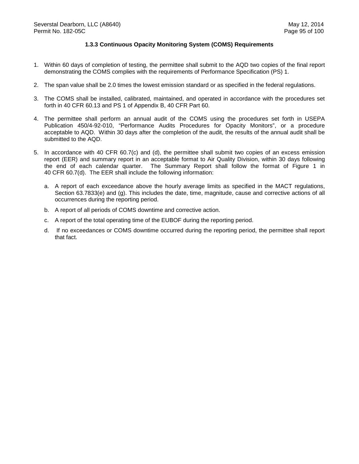## **1.3.3 Continuous Opacity Monitoring System (COMS) Requirements**

- 1. Within 60 days of completion of testing, the permittee shall submit to the AQD two copies of the final report demonstrating the COMS complies with the requirements of Performance Specification (PS) 1.
- 2. The span value shall be 2.0 times the lowest emission standard or as specified in the federal regulations.
- 3. The COMS shall be installed, calibrated, maintained, and operated in accordance with the procedures set forth in 40 CFR 60.13 and PS 1 of Appendix B, 40 CFR Part 60.
- 4. The permittee shall perform an annual audit of the COMS using the procedures set forth in USEPA Publication 450/4-92-010, "Performance Audits Procedures for Opacity Monitors", or a procedure acceptable to AQD. Within 30 days after the completion of the audit, the results of the annual audit shall be submitted to the AQD.
- 5. In accordance with 40 CFR 60.7(c) and (d), the permittee shall submit two copies of an excess emission report (EER) and summary report in an acceptable format to Air Quality Division, within 30 days following the end of each calendar quarter. The Summary Report shall follow the format of Figure 1 in 40 CFR 60.7(d). The EER shall include the following information:
	- a. A report of each exceedance above the hourly average limits as specified in the MACT regulations, Section 63.7833(e) and (g). This includes the date, time, magnitude, cause and corrective actions of all occurrences during the reporting period.
	- b. A report of all periods of COMS downtime and corrective action.
	- c. A report of the total operating time of the EUBOF during the reporting period.
	- d. If no exceedances or COMS downtime occurred during the reporting period, the permittee shall report that fact.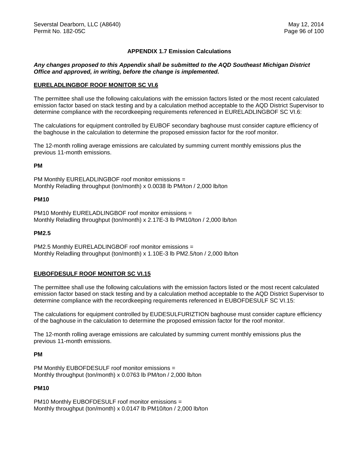# **APPENDIX 1.7 Emission Calculations**

# *Any changes proposed to this Appendix shall be submitted to the AQD Southeast Michigan District Office and approved, in writing, before the change is implemented.*

## **EURELADLINGBOF ROOF MONITOR SC VI.6**

The permittee shall use the following calculations with the emission factors listed or the most recent calculated emission factor based on stack testing and by a calculation method acceptable to the AQD District Supervisor to determine compliance with the recordkeeping requirements referenced in EURELADLINGBOF SC VI.6:

The calculations for equipment controlled by EUBOF secondary baghouse must consider capture efficiency of the baghouse in the calculation to determine the proposed emission factor for the roof monitor.

The 12-month rolling average emissions are calculated by summing current monthly emissions plus the previous 11-month emissions.

## **PM**

PM Monthly EURELADLINGBOF roof monitor emissions = Monthly Reladling throughput (ton/month) x 0.0038 lb PM/ton / 2,000 lb/ton

#### **PM10**

PM10 Monthly EURELADLINGBOF roof monitor emissions = Monthly Reladling throughput (ton/month) x 2.17E-3 lb PM10/ton / 2,000 lb/ton

## **PM2.5**

PM2.5 Monthly EURELADLINGBOF roof monitor emissions = Monthly Reladling throughput (ton/month) x 1.10E-3 lb PM2.5/ton / 2,000 lb/ton

## **EUBOFDESULF ROOF MONITOR SC VI.15**

The permittee shall use the following calculations with the emission factors listed or the most recent calculated emission factor based on stack testing and by a calculation method acceptable to the AQD District Supervisor to determine compliance with the recordkeeping requirements referenced in EUBOFDESULF SC VI.15:

The calculations for equipment controlled by EUDESULFURIZTION baghouse must consider capture efficiency of the baghouse in the calculation to determine the proposed emission factor for the roof monitor.

The 12-month rolling average emissions are calculated by summing current monthly emissions plus the previous 11-month emissions.

#### **PM**

PM Monthly EUBOFDESULF roof monitor emissions = Monthly throughput (ton/month) x 0.0763 lb PM/ton / 2,000 lb/ton

## **PM10**

PM10 Monthly EUBOFDESULF roof monitor emissions = Monthly throughput (ton/month) x 0.0147 lb PM10/ton / 2,000 lb/ton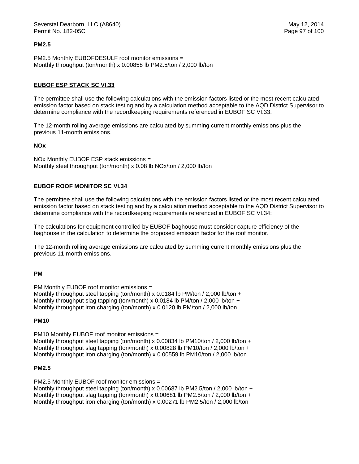## **PM2.5**

PM2.5 Monthly EUBOFDESULF roof monitor emissions = Monthly throughput (ton/month) x 0.00858 lb PM2.5/ton / 2,000 lb/ton

## **EUBOF ESP STACK SC VI.33**

The permittee shall use the following calculations with the emission factors listed or the most recent calculated emission factor based on stack testing and by a calculation method acceptable to the AQD District Supervisor to determine compliance with the recordkeeping requirements referenced in EUBOF SC VI.33:

The 12-month rolling average emissions are calculated by summing current monthly emissions plus the previous 11-month emissions.

#### **NOx**

NOx Monthly EUBOF ESP stack emissions = Monthly steel throughput (ton/month) x 0.08 lb NOx/ton / 2,000 lb/ton

## **EUBOF ROOF MONITOR SC VI.34**

The permittee shall use the following calculations with the emission factors listed or the most recent calculated emission factor based on stack testing and by a calculation method acceptable to the AQD District Supervisor to determine compliance with the recordkeeping requirements referenced in EUBOF SC VI.34:

The calculations for equipment controlled by EUBOF baghouse must consider capture efficiency of the baghouse in the calculation to determine the proposed emission factor for the roof monitor.

The 12-month rolling average emissions are calculated by summing current monthly emissions plus the previous 11-month emissions.

#### **PM**

PM Monthly EUBOF roof monitor emissions =

Monthly throughput steel tapping (ton/month) x 0.0184 lb PM/ton / 2,000 lb/ton + Monthly throughput slag tapping (ton/month) x 0.0184 lb PM/ton / 2,000 lb/ton + Monthly throughput iron charging (ton/month) x 0.0120 lb PM/ton / 2,000 lb/ton

#### **PM10**

PM10 Monthly EUBOF roof monitor emissions = Monthly throughput steel tapping (ton/month) x 0.00834 lb PM10/ton / 2,000 lb/ton + Monthly throughput slag tapping (ton/month) x 0.00828 lb PM10/ton / 2,000 lb/ton + Monthly throughput iron charging (ton/month) x 0.00559 lb PM10/ton / 2,000 lb/ton

## **PM2.5**

PM2.5 Monthly EUBOF roof monitor emissions = Monthly throughput steel tapping (ton/month) x 0.00687 lb PM2.5/ton / 2,000 lb/ton + Monthly throughput slag tapping (ton/month) x 0.00681 lb PM2.5/ton / 2,000 lb/ton + Monthly throughput iron charging (ton/month) x 0.00271 lb PM2.5/ton / 2,000 lb/ton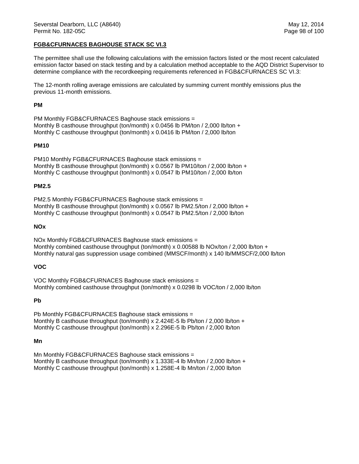## **FGB&CFURNACES BAGHOUSE STACK SC VI.3**

The permittee shall use the following calculations with the emission factors listed or the most recent calculated emission factor based on stack testing and by a calculation method acceptable to the AQD District Supervisor to determine compliance with the recordkeeping requirements referenced in FGB&CFURNACES SC VI.3:

The 12-month rolling average emissions are calculated by summing current monthly emissions plus the previous 11-month emissions.

## **PM**

PM Monthly FGB&CFURNACES Baghouse stack emissions = Monthly B casthouse throughput (ton/month) x 0.0456 lb PM/ton / 2,000 lb/ton + Monthly C casthouse throughput (ton/month) x 0.0416 lb PM/ton / 2,000 lb/ton

## **PM10**

PM10 Monthly FGB&CFURNACES Baghouse stack emissions = Monthly B casthouse throughput (ton/month) x 0.0567 lb PM10/ton / 2,000 lb/ton + Monthly C casthouse throughput (ton/month) x 0.0547 lb PM10/ton / 2,000 lb/ton

## **PM2.5**

PM2.5 Monthly FGB&CFURNACES Baghouse stack emissions = Monthly B casthouse throughput (ton/month) x 0.0567 lb PM2.5/ton / 2,000 lb/ton + Monthly C casthouse throughput (ton/month) x 0.0547 lb PM2.5/ton / 2,000 lb/ton

## **NOx**

NOx Monthly FGB&CFURNACES Baghouse stack emissions = Monthly combined casthouse throughput (ton/month)  $\times$  0.00588 lb NOx/ton / 2,000 lb/ton + Monthly natural gas suppression usage combined (MMSCF/month) x 140 lb/MMSCF/2,000 lb/ton

## **VOC**

VOC Monthly FGB&CFURNACES Baghouse stack emissions = Monthly combined casthouse throughput (ton/month) x 0.0298 lb VOC/ton / 2,000 lb/ton

## **Pb**

Pb Monthly FGB&CFURNACES Baghouse stack emissions = Monthly B casthouse throughput (ton/month) x 2.424E-5 lb Pb/ton / 2,000 lb/ton + Monthly C casthouse throughput (ton/month) x 2.296E-5 lb Pb/ton / 2,000 lb/ton

## **Mn**

Mn Monthly FGB&CFURNACES Baghouse stack emissions = Monthly B casthouse throughput (ton/month) x 1.333E-4 lb Mn/ton / 2,000 lb/ton + Monthly C casthouse throughput (ton/month) x 1.258E-4 lb Mn/ton / 2,000 lb/ton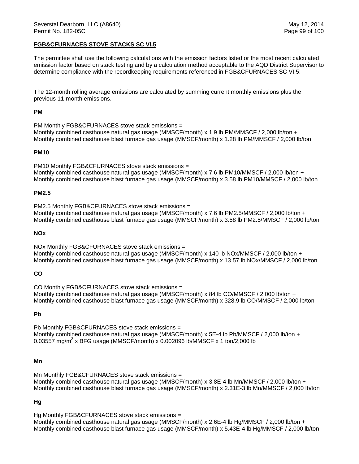# **FGB&CFURNACES STOVE STACKS SC VI.5**

The permittee shall use the following calculations with the emission factors listed or the most recent calculated emission factor based on stack testing and by a calculation method acceptable to the AQD District Supervisor to determine compliance with the recordkeeping requirements referenced in FGB&CFURNACES SC VI.5:

The 12-month rolling average emissions are calculated by summing current monthly emissions plus the previous 11-month emissions.

## **PM**

PM Monthly FGB&CFURNACES stove stack emissions = Monthly combined casthouse natural gas usage (MMSCF/month) x 1.9 lb PM/MMSCF / 2,000 lb/ton + Monthly combined casthouse blast furnace gas usage (MMSCF/month) x 1.28 lb PM/MMSCF / 2,000 lb/ton

## **PM10**

PM10 Monthly FGB&CFURNACES stove stack emissions = Monthly combined casthouse natural gas usage (MMSCF/month) x 7.6 lb PM10/MMSCF / 2,000 lb/ton + Monthly combined casthouse blast furnace gas usage (MMSCF/month) x 3.58 lb PM10/MMSCF / 2,000 lb/ton

## **PM2.5**

PM2.5 Monthly FGB&CFURNACES stove stack emissions = Monthly combined casthouse natural gas usage (MMSCF/month) x 7.6 lb PM2.5/MMSCF / 2,000 lb/ton + Monthly combined casthouse blast furnace gas usage (MMSCF/month) x 3.58 lb PM2.5/MMSCF / 2,000 lb/ton

## **NOx**

NOx Monthly FGB&CFURNACES stove stack emissions = Monthly combined casthouse natural gas usage (MMSCF/month) x 140 lb NOx/MMSCF / 2,000 lb/ton + Monthly combined casthouse blast furnace gas usage (MMSCF/month) x 13.57 lb NOx/MMSCF / 2,000 lb/ton

## **CO**

CO Monthly FGB&CFURNACES stove stack emissions = Monthly combined casthouse natural gas usage (MMSCF/month) x 84 lb CO/MMSCF / 2,000 lb/ton + Monthly combined casthouse blast furnace gas usage (MMSCF/month) x 328.9 lb CO/MMSCF / 2,000 lb/ton

#### **Pb**

Pb Monthly FGB&CFURNACES stove stack emissions = Monthly combined casthouse natural gas usage (MMSCF/month) x 5E-4 lb Pb/MMSCF / 2,000 lb/ton + 0.03557 mg/m<sup>3</sup> x BFG usage (MMSCF/month) x 0.002096 lb/MMSCF x 1 ton/2,000 lb

# **Mn**

Mn Monthly FGB&CFURNACES stove stack emissions = Monthly combined casthouse natural gas usage (MMSCF/month) x 3.8E-4 lb Mn/MMSCF / 2,000 lb/ton + Monthly combined casthouse blast furnace gas usage (MMSCF/month) x 2.31E-3 lb Mn/MMSCF / 2,000 lb/ton

## **Hg**

Hg Monthly FGB&CFURNACES stove stack emissions = Monthly combined casthouse natural gas usage (MMSCF/month) x 2.6E-4 lb Hg/MMSCF / 2,000 lb/ton + Monthly combined casthouse blast furnace gas usage (MMSCF/month) x 5.43E-4 lb Hg/MMSCF / 2,000 lb/ton